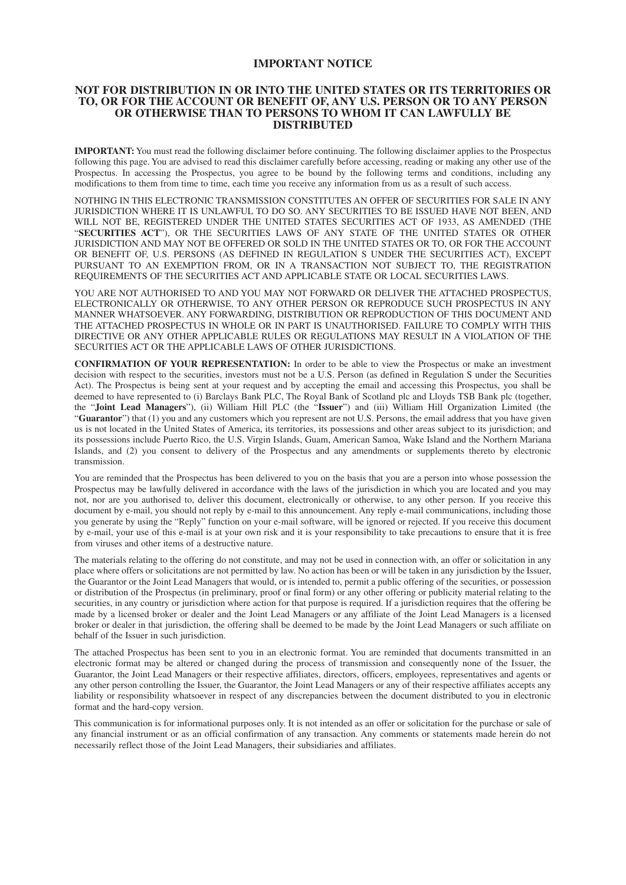#### **IMPORTANT NOTICE**

#### **NOT FOR DISTRIBUTION IN OR INTO THE UNITED STATES OR ITS TERRITORIES OR TO, OR FOR THE ACCOUNT OR BENEFIT OF, ANY U.S. PERSON OR TO ANY PERSON OR OTHERWISE THAN TO PERSONS TO WHOM IT CAN LAWFULLY BE DISTRIBUTED**

**IMPORTANT:** You must read the following disclaimer before continuing. The following disclaimer applies to the Prospectus following this page. You are advised to read this disclaimer carefully before accessing, reading or making any other use of the Prospectus. In accessing the Prospectus, you agree to be bound by the following terms and conditions, including any modifications to them from time to time, each time you receive any information from us as a result of such access.

NOTHING IN THIS ELECTRONIC TRANSMISSION CONSTITUTES AN OFFER OF SECURITIES FOR SALE IN ANY JURISDICTION WHERE IT IS UNLAWFUL TO DO SO. ANY SECURITIES TO BE ISSUED HAVE NOT BEEN, AND WILL NOT BE, REGISTERED UNDER THE UNITED STATES SECURITIES ACT OF 1933, AS AMENDED (THE "**SECURITIES ACT**"), OR THE SECURITIES LAWS OF ANY STATE OF THE UNITED STATES OR OTHER JURISDICTION AND MAY NOT BE OFFERED OR SOLD IN THE UNITED STATES OR TO, OR FOR THE ACCOUNT OR BENEFIT OF, U.S. PERSONS (AS DEFINED IN REGULATION S UNDER THE SECURITIES ACT), EXCEPT PURSUANT TO AN EXEMPTION FROM, OR IN A TRANSACTION NOT SUBJECT TO, THE REGISTRATION REQUIREMENTS OF THE SECURITIES ACT AND APPLICABLE STATE OR LOCAL SECURITIES LAWS.

YOU ARE NOT AUTHORISED TO AND YOU MAY NOT FORWARD OR DELIVER THE ATTACHED PROSPECTUS, ELECTRONICALLY OR OTHERWISE, TO ANY OTHER PERSON OR REPRODUCE SUCH PROSPECTUS IN ANY MANNER WHATSOEVER. ANY FORWARDING, DISTRIBUTION OR REPRODUCTION OF THIS DOCUMENT AND THE ATTACHED PROSPECTUS IN WHOLE OR IN PART IS UNAUTHORISED. FAILURE TO COMPLY WITH THIS DIRECTIVE OR ANY OTHER APPLICABLE RULES OR REGULATIONS MAY RESULT IN A VIOLATION OF THE SECURITIES ACT OR THE APPLICABLE LAWS OF OTHER JURISDICTIONS.

**CONFIRMATION OF YOUR REPRESENTATION:** In order to be able to view the Prospectus or make an investment decision with respect to the securities, investors must not be a U.S. Person (as defined in Regulation S under the Securities Act). The Prospectus is being sent at your request and by accepting the email and accessing this Prospectus, you shall be deemed to have represented to (i) Barclays Bank PLC, The Royal Bank of Scotland plc and Lloyds TSB Bank plc (together, the "**Joint Lead Managers**"), (ii) William Hill PLC (the "**Issuer**") and (iii) William Hill Organization Limited (the "**Guarantor**") that (1) you and any customers which you represent are not U.S. Persons, the email address that you have given us is not located in the United States of America, its territories, its possessions and other areas subject to its jurisdiction; and its possessions include Puerto Rico, the U.S. Virgin Islands, Guam, American Samoa, Wake Island and the Northern Mariana Islands, and (2) you consent to delivery of the Prospectus and any amendments or supplements thereto by electronic transmission.

You are reminded that the Prospectus has been delivered to you on the basis that you are a person into whose possession the Prospectus may be lawfully delivered in accordance with the laws of the jurisdiction in which you are located and you may not, nor are you authorised to, deliver this document, electronically or otherwise, to any other person. If you receive this document by e-mail, you should not reply by e-mail to this announcement. Any reply e-mail communications, including those you generate by using the "Reply" function on your e-mail software, will be ignored or rejected. If you receive this document by e-mail, your use of this e-mail is at your own risk and it is your responsibility to take precautions to ensure that it is free from viruses and other items of a destructive nature.

The materials relating to the offering do not constitute, and may not be used in connection with, an offer or solicitation in any place where offers or solicitations are not permitted by law. No action has been or will be taken in any jurisdiction by the Issuer, the Guarantor or the Joint Lead Managers that would, or is intended to, permit a public offering of the securities, or possession or distribution of the Prospectus (in preliminary, proof or final form) or any other offering or publicity material relating to the securities, in any country or jurisdiction where action for that purpose is required. If a jurisdiction requires that the offering be made by a licensed broker or dealer and the Joint Lead Managers or any affiliate of the Joint Lead Managers is a licensed broker or dealer in that jurisdiction, the offering shall be deemed to be made by the Joint Lead Managers or such affiliate on behalf of the Issuer in such jurisdiction.

The attached Prospectus has been sent to you in an electronic format. You are reminded that documents transmitted in an electronic format may be altered or changed during the process of transmission and consequently none of the Issuer, the Guarantor, the Joint Lead Managers or their respective affiliates, directors, officers, employees, representatives and agents or any other person controlling the Issuer, the Guarantor, the Joint Lead Managers or any of their respective affiliates accepts any liability or responsibility whatsoever in respect of any discrepancies between the document distributed to you in electronic format and the hard-copy version.

This communication is for informational purposes only. It is not intended as an offer or solicitation for the purchase or sale of any financial instrument or as an official confirmation of any transaction. Any comments or statements made herein do not necessarily reflect those of the Joint Lead Managers, their subsidiaries and affiliates.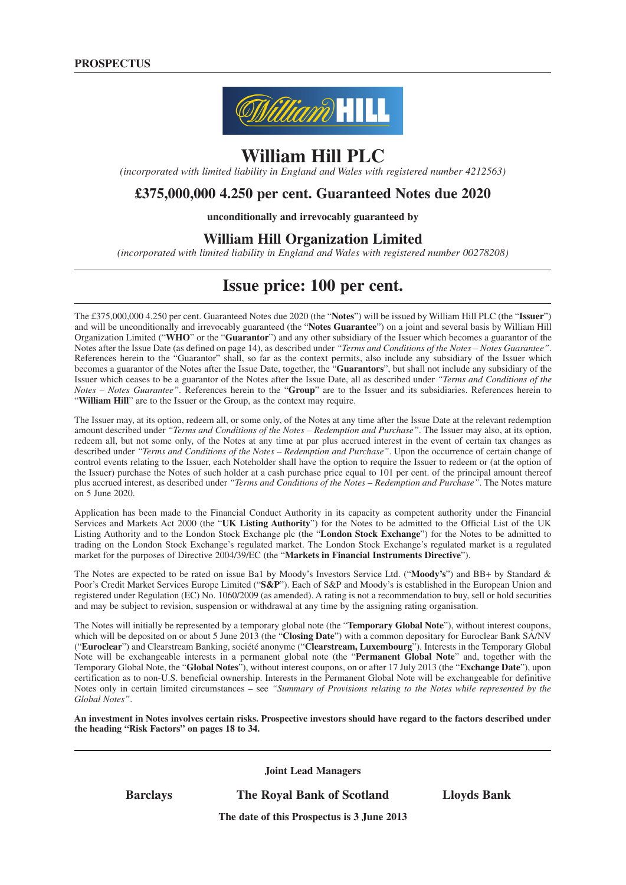

# **William Hill PLC**

*(incorporated with limited liability in England and Wales with registered number 4212563)*

## **£375,000,000 4.250 per cent. Guaranteed Notes due 2020**

**unconditionally and irrevocably guaranteed by**

## **William Hill Organization Limited**

*(incorporated with limited liability in England and Wales with registered number 00278208)*

## **Issue price: 100 per cent.**

The £375,000,000 4.250 per cent. Guaranteed Notes due 2020 (the "**Notes**") will be issued by William Hill PLC (the "**Issuer**") and will be unconditionally and irrevocably guaranteed (the "**Notes Guarantee**") on a joint and several basis by William Hill Organization Limited ("**WHO**" or the "**Guarantor**") and any other subsidiary of the Issuer which becomes a guarantor of the Notes after the Issue Date (as defined on page 14), as described under *"Terms and Conditions of the Notes – Notes Guarantee"*. References herein to the "Guarantor" shall, so far as the context permits, also include any subsidiary of the Issuer which becomes a guarantor of the Notes after the Issue Date, together, the "**Guarantors**", but shall not include any subsidiary of the Issuer which ceases to be a guarantor of the Notes after the Issue Date, all as described under *"Terms and Conditions of the Notes – Notes Guarantee"*. References herein to the "**Group**" are to the Issuer and its subsidiaries. References herein to "**William Hill**" are to the Issuer or the Group, as the context may require.

The Issuer may, at its option, redeem all, or some only, of the Notes at any time after the Issue Date at the relevant redemption amount described under *"Terms and Conditions of the Notes – Redemption and Purchase"*. The Issuer may also, at its option, redeem all, but not some only, of the Notes at any time at par plus accrued interest in the event of certain tax changes as described under *"Terms and Conditions of the Notes – Redemption and Purchase"*. Upon the occurrence of certain change of control events relating to the Issuer, each Noteholder shall have the option to require the Issuer to redeem or (at the option of the Issuer) purchase the Notes of such holder at a cash purchase price equal to 101 per cent. of the principal amount thereof plus accrued interest, as described under *"Terms and Conditions of the Notes – Redemption and Purchase"*. The Notes mature on 5 June 2020.

Application has been made to the Financial Conduct Authority in its capacity as competent authority under the Financial Services and Markets Act 2000 (the "**UK Listing Authority**") for the Notes to be admitted to the Official List of the UK Listing Authority and to the London Stock Exchange plc (the "**London Stock Exchange**") for the Notes to be admitted to trading on the London Stock Exchange's regulated market. The London Stock Exchange's regulated market is a regulated market for the purposes of Directive 2004/39/EC (the "**Markets in Financial Instruments Directive**").

The Notes are expected to be rated on issue Ba1 by Moody's Investors Service Ltd. ("**Moody's**") and BB+ by Standard & Poor's Credit Market Services Europe Limited ("**S&P**"). Each of S&P and Moody's is established in the European Union and registered under Regulation (EC) No. 1060/2009 (as amended). A rating is not a recommendation to buy, sell or hold securities and may be subject to revision, suspension or withdrawal at any time by the assigning rating organisation.

The Notes will initially be represented by a temporary global note (the "**Temporary Global Note**"), without interest coupons, which will be deposited on or about 5 June 2013 (the "**Closing Date**") with a common depositary for Euroclear Bank SA/NV ("**Euroclear**") and Clearstream Banking, société anonyme ("**Clearstream, Luxembourg**"). Interests in the Temporary Global Note will be exchangeable interests in a permanent global note (the "**Permanent Global Note**" and, together with the Temporary Global Note, the "**Global Notes**"), without interest coupons, on or after 17 July 2013 (the "**Exchange Date**"), upon certification as to non-U.S. beneficial ownership. Interests in the Permanent Global Note will be exchangeable for definitive Notes only in certain limited circumstances – see *"Summary of Provisions relating to the Notes while represented by the Global Notes"*.

An investment in Notes involves certain risks. Prospective investors should have regard to the factors described under **the heading "Risk Factors" on pages 18 to 34.**

**Joint Lead Managers**

**Barclays The Royal Bank of Scotland Lloyds Bank**

**The date of this Prospectus is 3 June 2013**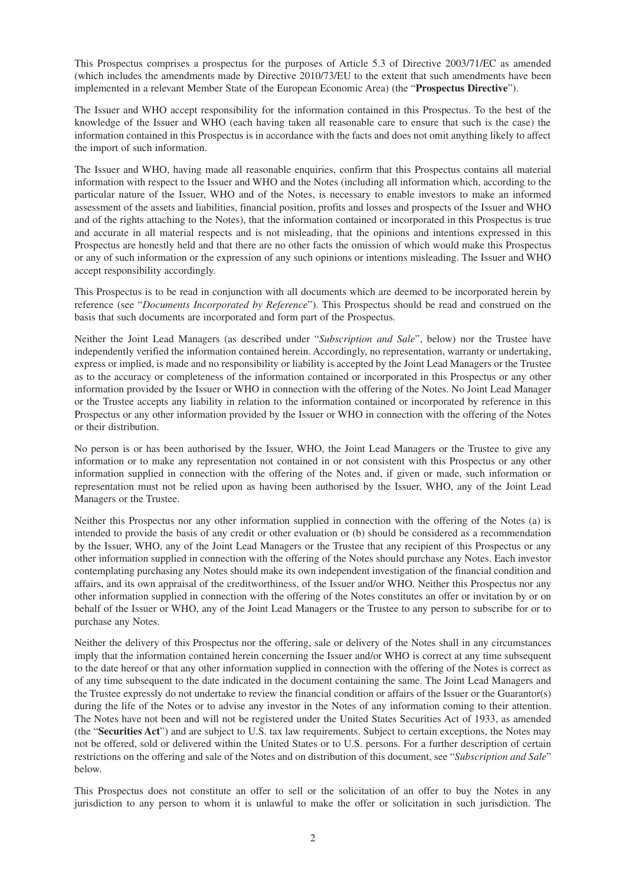This Prospectus comprises a prospectus for the purposes of Article 5.3 of Directive 2003/71/EC as amended (which includes the amendments made by Directive 2010/73/EU to the extent that such amendments have been implemented in a relevant Member State of the European Economic Area) (the "**Prospectus Directive**").

The Issuer and WHO accept responsibility for the information contained in this Prospectus. To the best of the knowledge of the Issuer and WHO (each having taken all reasonable care to ensure that such is the case) the information contained in this Prospectus is in accordance with the facts and does not omit anything likely to affect the import of such information.

The Issuer and WHO, having made all reasonable enquiries, confirm that this Prospectus contains all material information with respect to the Issuer and WHO and the Notes (including all information which, according to the particular nature of the Issuer, WHO and of the Notes, is necessary to enable investors to make an informed assessment of the assets and liabilities, financial position, profits and losses and prospects of the Issuer and WHO and of the rights attaching to the Notes), that the information contained or incorporated in this Prospectus is true and accurate in all material respects and is not misleading, that the opinions and intentions expressed in this Prospectus are honestly held and that there are no other facts the omission of which would make this Prospectus or any of such information or the expression of any such opinions or intentions misleading. The Issuer and WHO accept responsibility accordingly.

This Prospectus is to be read in conjunction with all documents which are deemed to be incorporated herein by reference (see "*Documents Incorporated by Reference*"). This Prospectus should be read and construed on the basis that such documents are incorporated and form part of the Prospectus.

Neither the Joint Lead Managers (as described under "*Subscription and Sale*", below) nor the Trustee have independently verified the information contained herein. Accordingly, no representation, warranty or undertaking, express or implied, is made and no responsibility or liability is accepted by the Joint Lead Managers or the Trustee as to the accuracy or completeness of the information contained or incorporated in this Prospectus or any other information provided by the Issuer or WHO in connection with the offering of the Notes. No Joint Lead Manager or the Trustee accepts any liability in relation to the information contained or incorporated by reference in this Prospectus or any other information provided by the Issuer or WHO in connection with the offering of the Notes or their distribution.

No person is or has been authorised by the Issuer, WHO, the Joint Lead Managers or the Trustee to give any information or to make any representation not contained in or not consistent with this Prospectus or any other information supplied in connection with the offering of the Notes and, if given or made, such information or representation must not be relied upon as having been authorised by the Issuer, WHO, any of the Joint Lead Managers or the Trustee.

Neither this Prospectus nor any other information supplied in connection with the offering of the Notes (a) is intended to provide the basis of any credit or other evaluation or (b) should be considered as a recommendation by the Issuer, WHO, any of the Joint Lead Managers or the Trustee that any recipient of this Prospectus or any other information supplied in connection with the offering of the Notes should purchase any Notes. Each investor contemplating purchasing any Notes should make its own independent investigation of the financial condition and affairs, and its own appraisal of the creditworthiness, of the Issuer and/or WHO. Neither this Prospectus nor any other information supplied in connection with the offering of the Notes constitutes an offer or invitation by or on behalf of the Issuer or WHO, any of the Joint Lead Managers or the Trustee to any person to subscribe for or to purchase any Notes.

Neither the delivery of this Prospectus nor the offering, sale or delivery of the Notes shall in any circumstances imply that the information contained herein concerning the Issuer and/or WHO is correct at any time subsequent to the date hereof or that any other information supplied in connection with the offering of the Notes is correct as of any time subsequent to the date indicated in the document containing the same. The Joint Lead Managers and the Trustee expressly do not undertake to review the financial condition or affairs of the Issuer or the Guarantor(s) during the life of the Notes or to advise any investor in the Notes of any information coming to their attention. The Notes have not been and will not be registered under the United States Securities Act of 1933, as amended (the "**Securities Act**") and are subject to U.S. tax law requirements. Subject to certain exceptions, the Notes may not be offered, sold or delivered within the United States or to U.S. persons. For a further description of certain restrictions on the offering and sale of the Notes and on distribution of this document, see "*Subscription and Sale*" below.

This Prospectus does not constitute an offer to sell or the solicitation of an offer to buy the Notes in any jurisdiction to any person to whom it is unlawful to make the offer or solicitation in such jurisdiction. The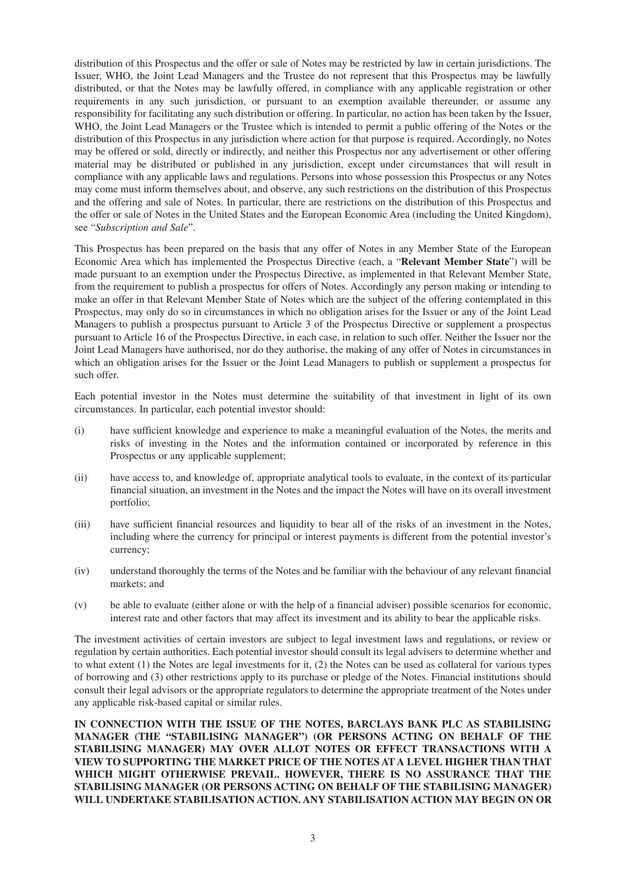distribution of this Prospectus and the offer or sale of Notes may be restricted by law in certain jurisdictions. The Issuer, WHO, the Joint Lead Managers and the Trustee do not represent that this Prospectus may be lawfully distributed, or that the Notes may be lawfully offered, in compliance with any applicable registration or other requirements in any such jurisdiction, or pursuant to an exemption available thereunder, or assume any responsibility for facilitating any such distribution or offering. In particular, no action has been taken by the Issuer, WHO, the Joint Lead Managers or the Trustee which is intended to permit a public offering of the Notes or the distribution of this Prospectus in any jurisdiction where action for that purpose is required. Accordingly, no Notes may be offered or sold, directly or indirectly, and neither this Prospectus nor any advertisement or other offering material may be distributed or published in any jurisdiction, except under circumstances that will result in compliance with any applicable laws and regulations. Persons into whose possession this Prospectus or any Notes may come must inform themselves about, and observe, any such restrictions on the distribution of this Prospectus and the offering and sale of Notes. In particular, there are restrictions on the distribution of this Prospectus and the offer or sale of Notes in the United States and the European Economic Area (including the United Kingdom), see "*Subscription and Sale*".

This Prospectus has been prepared on the basis that any offer of Notes in any Member State of the European Economic Area which has implemented the Prospectus Directive (each, a "**Relevant Member State**") will be made pursuant to an exemption under the Prospectus Directive, as implemented in that Relevant Member State, from the requirement to publish a prospectus for offers of Notes. Accordingly any person making or intending to make an offer in that Relevant Member State of Notes which are the subject of the offering contemplated in this Prospectus, may only do so in circumstances in which no obligation arises for the Issuer or any of the Joint Lead Managers to publish a prospectus pursuant to Article 3 of the Prospectus Directive or supplement a prospectus pursuant to Article 16 of the Prospectus Directive, in each case, in relation to such offer. Neither the Issuer nor the Joint Lead Managers have authorised, nor do they authorise, the making of any offer of Notes in circumstances in which an obligation arises for the Issuer or the Joint Lead Managers to publish or supplement a prospectus for such offer.

Each potential investor in the Notes must determine the suitability of that investment in light of its own circumstances. In particular, each potential investor should:

- (i) have sufficient knowledge and experience to make a meaningful evaluation of the Notes, the merits and risks of investing in the Notes and the information contained or incorporated by reference in this Prospectus or any applicable supplement;
- (ii) have access to, and knowledge of, appropriate analytical tools to evaluate, in the context of its particular financial situation, an investment in the Notes and the impact the Notes will have on its overall investment portfolio;
- (iii) have sufficient financial resources and liquidity to bear all of the risks of an investment in the Notes, including where the currency for principal or interest payments is different from the potential investor's currency;
- (iv) understand thoroughly the terms of the Notes and be familiar with the behaviour of any relevant financial markets; and
- (v) be able to evaluate (either alone or with the help of a financial adviser) possible scenarios for economic, interest rate and other factors that may affect its investment and its ability to bear the applicable risks.

The investment activities of certain investors are subject to legal investment laws and regulations, or review or regulation by certain authorities. Each potential investor should consult its legal advisers to determine whether and to what extent (1) the Notes are legal investments for it, (2) the Notes can be used as collateral for various types of borrowing and (3) other restrictions apply to its purchase or pledge of the Notes. Financial institutions should consult their legal advisors or the appropriate regulators to determine the appropriate treatment of the Notes under any applicable risk-based capital or similar rules.

**IN CONNECTION WITH THE ISSUE OF THE NOTES, BARCLAYS BANK PLC AS STABILISING MANAGER (THE "STABILISING MANAGER") (OR PERSONS ACTING ON BEHALF OF THE STABILISING MANAGER) MAY OVER ALLOT NOTES OR EFFECT TRANSACTIONS WITH A VIEW TO SUPPORTING THE MARKET PRICE OF THE NOTES AT A LEVEL HIGHER THAN THAT WHICH MIGHT OTHERWISE PREVAIL. HOWEVER, THERE IS NO ASSURANCE THAT THE STABILISING MANAGER (OR PERSONS ACTING ON BEHALF OF THE STABILISING MANAGER) WILL UNDERTAKE STABILISATION ACTION. ANY STABILISATION ACTION MAY BEGIN ON OR**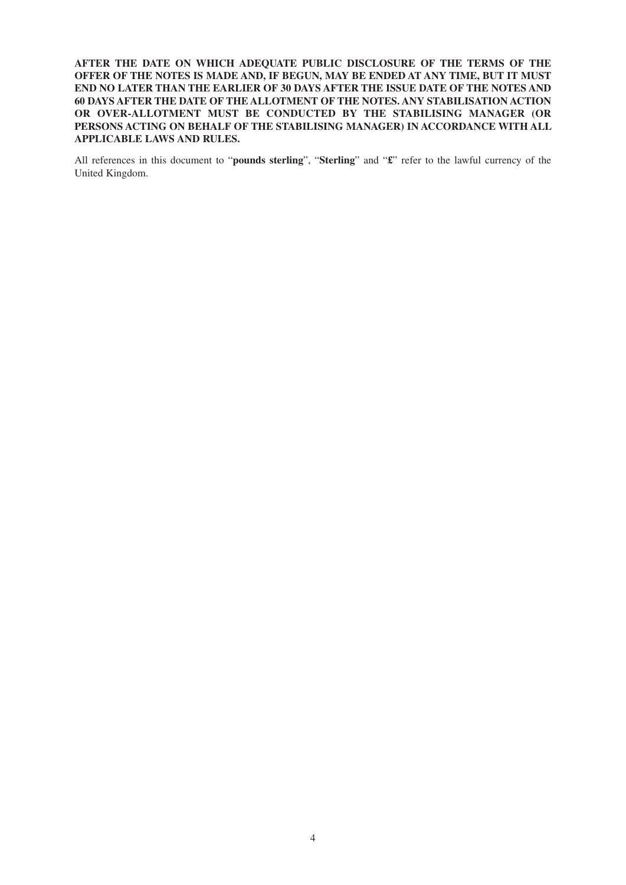**AFTER THE DATE ON WHICH ADEQUATE PUBLIC DISCLOSURE OF THE TERMS OF THE OFFER OF THE NOTES IS MADE AND, IF BEGUN, MAY BE ENDED AT ANY TIME, BUT IT MUST END NO LATER THAN THE EARLIER OF 30 DAYS AFTER THE ISSUE DATE OF THE NOTES AND 60 DAYS AFTER THE DATE OF THE ALLOTMENT OF THE NOTES. ANY STABILISATION ACTION OR OVER-ALLOTMENT MUST BE CONDUCTED BY THE STABILISING MANAGER (OR PERSONS ACTING ON BEHALF OF THE STABILISING MANAGER) IN ACCORDANCE WITH ALL APPLICABLE LAWS AND RULES.**

All references in this document to "**pounds sterling**", "**Sterling**" and "**£**" refer to the lawful currency of the United Kingdom.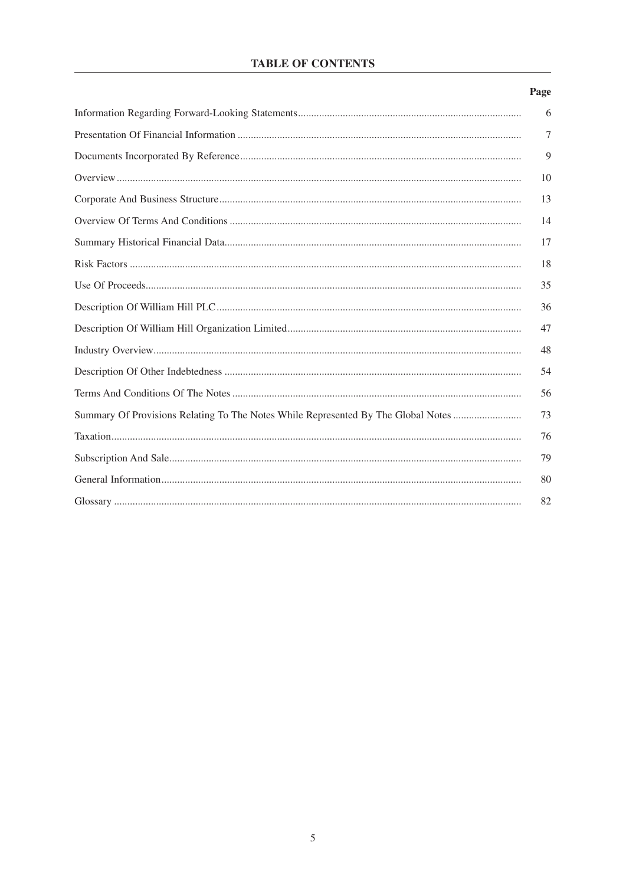## **TABLE OF CONTENTS**

## Page

|                                                                                   | 6  |
|-----------------------------------------------------------------------------------|----|
|                                                                                   | 7  |
|                                                                                   | 9  |
|                                                                                   | 10 |
|                                                                                   | 13 |
|                                                                                   | 14 |
|                                                                                   | 17 |
|                                                                                   | 18 |
|                                                                                   | 35 |
|                                                                                   | 36 |
|                                                                                   | 47 |
|                                                                                   | 48 |
|                                                                                   | 54 |
|                                                                                   | 56 |
| Summary Of Provisions Relating To The Notes While Represented By The Global Notes | 73 |
|                                                                                   | 76 |
|                                                                                   | 79 |
|                                                                                   | 80 |
|                                                                                   | 82 |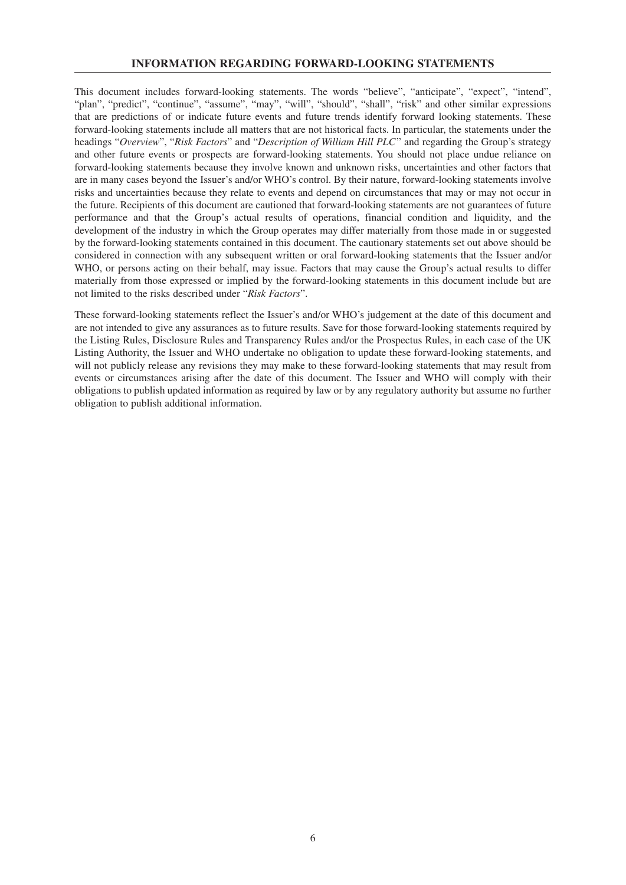#### **INFORMATION REGARDING FORWARD-LOOKING STATEMENTS**

This document includes forward-looking statements. The words "believe", "anticipate", "expect", "intend", "plan", "predict", "continue", "assume", "may", "will", "should", "shall", "risk" and other similar expressions that are predictions of or indicate future events and future trends identify forward looking statements. These forward-looking statements include all matters that are not historical facts. In particular, the statements under the headings "*Overview*", "*Risk Factors*" and "*Description of William Hill PLC*" and regarding the Group's strategy and other future events or prospects are forward-looking statements. You should not place undue reliance on forward-looking statements because they involve known and unknown risks, uncertainties and other factors that are in many cases beyond the Issuer's and/or WHO's control. By their nature, forward-looking statements involve risks and uncertainties because they relate to events and depend on circumstances that may or may not occur in the future. Recipients of this document are cautioned that forward-looking statements are not guarantees of future performance and that the Group's actual results of operations, financial condition and liquidity, and the development of the industry in which the Group operates may differ materially from those made in or suggested by the forward-looking statements contained in this document. The cautionary statements set out above should be considered in connection with any subsequent written or oral forward-looking statements that the Issuer and/or WHO, or persons acting on their behalf, may issue. Factors that may cause the Group's actual results to differ materially from those expressed or implied by the forward-looking statements in this document include but are not limited to the risks described under "*Risk Factors*".

These forward-looking statements reflect the Issuer's and/or WHO's judgement at the date of this document and are not intended to give any assurances as to future results. Save for those forward-looking statements required by the Listing Rules, Disclosure Rules and Transparency Rules and/or the Prospectus Rules, in each case of the UK Listing Authority, the Issuer and WHO undertake no obligation to update these forward-looking statements, and will not publicly release any revisions they may make to these forward-looking statements that may result from events or circumstances arising after the date of this document. The Issuer and WHO will comply with their obligations to publish updated information as required by law or by any regulatory authority but assume no further obligation to publish additional information.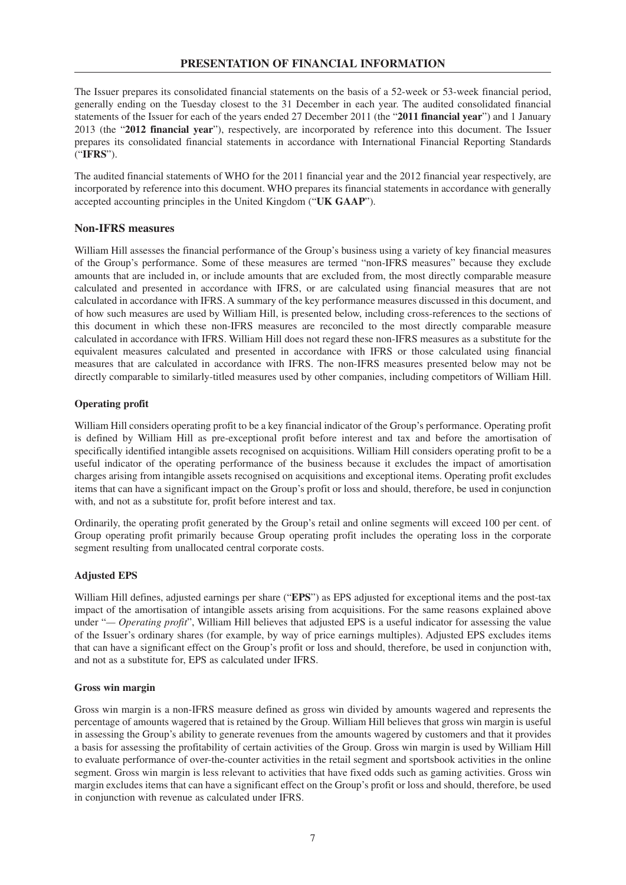The Issuer prepares its consolidated financial statements on the basis of a 52-week or 53-week financial period, generally ending on the Tuesday closest to the 31 December in each year. The audited consolidated financial statements of the Issuer for each of the years ended 27 December 2011 (the "**2011 financial year**") and 1 January 2013 (the "**2012 financial year**"), respectively, are incorporated by reference into this document. The Issuer prepares its consolidated financial statements in accordance with International Financial Reporting Standards ("**IFRS**").

The audited financial statements of WHO for the 2011 financial year and the 2012 financial year respectively, are incorporated by reference into this document. WHO prepares its financial statements in accordance with generally accepted accounting principles in the United Kingdom ("**UK GAAP**").

## **Non-IFRS measures**

William Hill assesses the financial performance of the Group's business using a variety of key financial measures of the Group's performance. Some of these measures are termed "non-IFRS measures" because they exclude amounts that are included in, or include amounts that are excluded from, the most directly comparable measure calculated and presented in accordance with IFRS, or are calculated using financial measures that are not calculated in accordance with IFRS. A summary of the key performance measures discussed in this document, and of how such measures are used by William Hill, is presented below, including cross-references to the sections of this document in which these non-IFRS measures are reconciled to the most directly comparable measure calculated in accordance with IFRS. William Hill does not regard these non-IFRS measures as a substitute for the equivalent measures calculated and presented in accordance with IFRS or those calculated using financial measures that are calculated in accordance with IFRS. The non-IFRS measures presented below may not be directly comparable to similarly-titled measures used by other companies, including competitors of William Hill.

#### **Operating profit**

William Hill considers operating profit to be a key financial indicator of the Group's performance. Operating profit is defined by William Hill as pre-exceptional profit before interest and tax and before the amortisation of specifically identified intangible assets recognised on acquisitions. William Hill considers operating profit to be a useful indicator of the operating performance of the business because it excludes the impact of amortisation charges arising from intangible assets recognised on acquisitions and exceptional items. Operating profit excludes items that can have a significant impact on the Group's profit or loss and should, therefore, be used in conjunction with, and not as a substitute for, profit before interest and tax.

Ordinarily, the operating profit generated by the Group's retail and online segments will exceed 100 per cent. of Group operating profit primarily because Group operating profit includes the operating loss in the corporate segment resulting from unallocated central corporate costs.

## **Adjusted EPS**

William Hill defines, adjusted earnings per share ("**EPS**") as EPS adjusted for exceptional items and the post-tax impact of the amortisation of intangible assets arising from acquisitions. For the same reasons explained above under "*— Operating profit*", William Hill believes that adjusted EPS is a useful indicator for assessing the value of the Issuer's ordinary shares (for example, by way of price earnings multiples). Adjusted EPS excludes items that can have a significant effect on the Group's profit or loss and should, therefore, be used in conjunction with, and not as a substitute for, EPS as calculated under IFRS.

#### **Gross win margin**

Gross win margin is a non-IFRS measure defined as gross win divided by amounts wagered and represents the percentage of amounts wagered that is retained by the Group. William Hill believes that gross win margin is useful in assessing the Group's ability to generate revenues from the amounts wagered by customers and that it provides a basis for assessing the profitability of certain activities of the Group. Gross win margin is used by William Hill to evaluate performance of over-the-counter activities in the retail segment and sportsbook activities in the online segment. Gross win margin is less relevant to activities that have fixed odds such as gaming activities. Gross win margin excludes items that can have a significant effect on the Group's profit or loss and should, therefore, be used in conjunction with revenue as calculated under IFRS.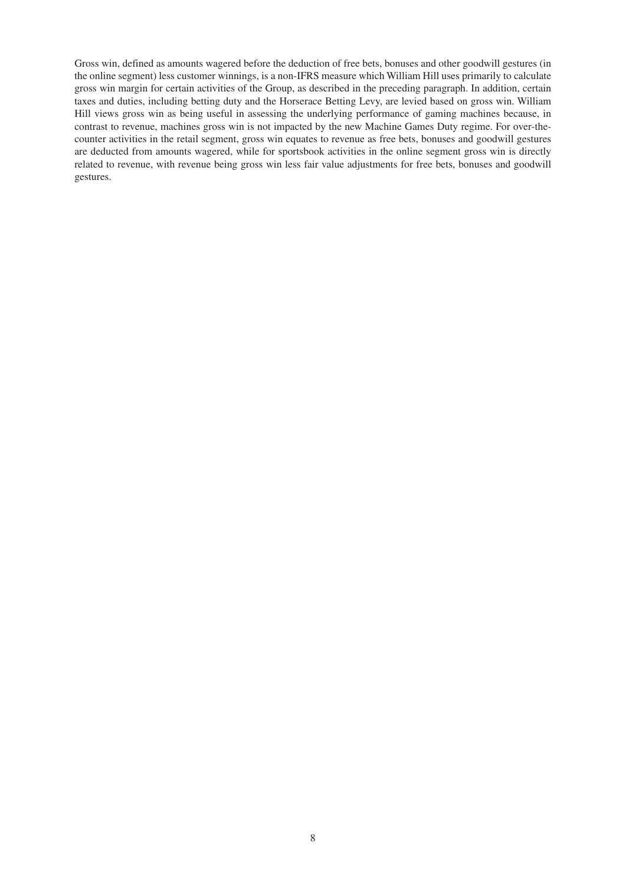Gross win, defined as amounts wagered before the deduction of free bets, bonuses and other goodwill gestures (in the online segment) less customer winnings, is a non-IFRS measure which William Hill uses primarily to calculate gross win margin for certain activities of the Group, as described in the preceding paragraph. In addition, certain taxes and duties, including betting duty and the Horserace Betting Levy, are levied based on gross win. William Hill views gross win as being useful in assessing the underlying performance of gaming machines because, in contrast to revenue, machines gross win is not impacted by the new Machine Games Duty regime. For over-thecounter activities in the retail segment, gross win equates to revenue as free bets, bonuses and goodwill gestures are deducted from amounts wagered, while for sportsbook activities in the online segment gross win is directly related to revenue, with revenue being gross win less fair value adjustments for free bets, bonuses and goodwill gestures.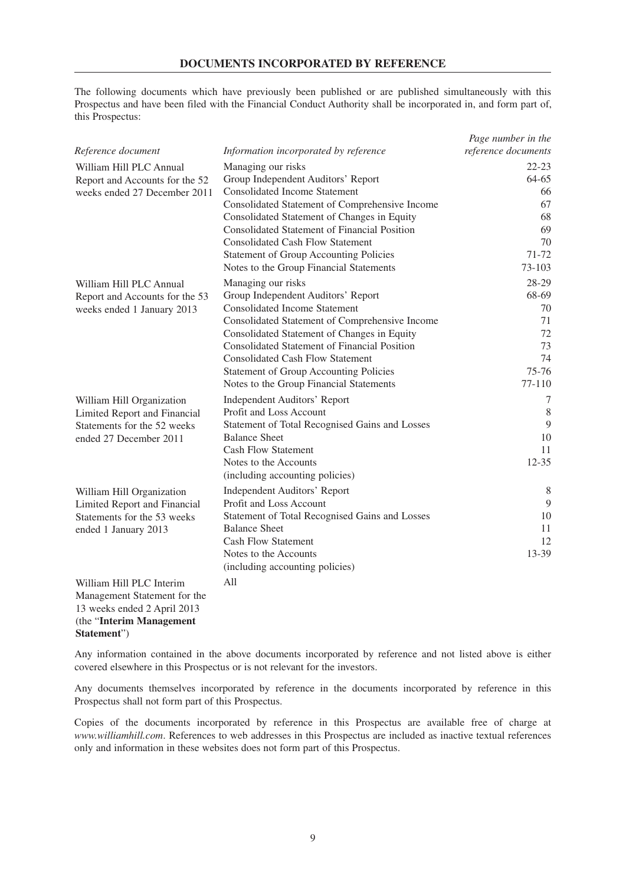The following documents which have previously been published or are published simultaneously with this Prospectus and have been filed with the Financial Conduct Authority shall be incorporated in, and form part of, this Prospectus:

|                                                             |                                                     | Page number in the  |
|-------------------------------------------------------------|-----------------------------------------------------|---------------------|
| Reference document                                          | Information incorporated by reference               | reference documents |
| William Hill PLC Annual                                     | Managing our risks                                  | $22 - 23$           |
| Report and Accounts for the 52                              | Group Independent Auditors' Report                  | $64-65$             |
| weeks ended 27 December 2011                                | <b>Consolidated Income Statement</b>                | 66                  |
|                                                             | Consolidated Statement of Comprehensive Income      | 67                  |
|                                                             | Consolidated Statement of Changes in Equity         | 68                  |
|                                                             | <b>Consolidated Statement of Financial Position</b> | 69                  |
|                                                             | <b>Consolidated Cash Flow Statement</b>             | 70                  |
|                                                             | <b>Statement of Group Accounting Policies</b>       | 71-72               |
|                                                             | Notes to the Group Financial Statements             | 73-103              |
| William Hill PLC Annual                                     | Managing our risks                                  | 28-29               |
| Report and Accounts for the 53                              | Group Independent Auditors' Report                  | 68-69               |
| weeks ended 1 January 2013                                  | <b>Consolidated Income Statement</b>                | 70                  |
|                                                             | Consolidated Statement of Comprehensive Income      | 71                  |
|                                                             | Consolidated Statement of Changes in Equity         | 72                  |
|                                                             | Consolidated Statement of Financial Position        | 73                  |
|                                                             | <b>Consolidated Cash Flow Statement</b>             | 74                  |
|                                                             | <b>Statement of Group Accounting Policies</b>       | $75 - 76$           |
|                                                             | Notes to the Group Financial Statements             | $77-110$            |
| William Hill Organization                                   | <b>Independent Auditors' Report</b>                 | 7                   |
| Limited Report and Financial                                | Profit and Loss Account                             | 8                   |
| Statements for the 52 weeks                                 | Statement of Total Recognised Gains and Losses      | 9                   |
| ended 27 December 2011                                      | <b>Balance Sheet</b>                                | 10                  |
|                                                             | <b>Cash Flow Statement</b>                          | 11                  |
|                                                             | Notes to the Accounts                               | $12 - 35$           |
|                                                             | (including accounting policies)                     |                     |
| William Hill Organization                                   | <b>Independent Auditors' Report</b>                 | 8                   |
| Limited Report and Financial                                | Profit and Loss Account                             | 9                   |
| Statements for the 53 weeks                                 | Statement of Total Recognised Gains and Losses      | 10                  |
| ended 1 January 2013                                        | <b>Balance Sheet</b>                                | 11                  |
|                                                             | <b>Cash Flow Statement</b>                          | 12                  |
|                                                             | Notes to the Accounts                               | 13-39               |
|                                                             | (including accounting policies)                     |                     |
| William Hill PLC Interim                                    | A11                                                 |                     |
| Management Statement for the<br>13 weeks ended 2 April 2013 |                                                     |                     |

Any information contained in the above documents incorporated by reference and not listed above is either covered elsewhere in this Prospectus or is not relevant for the investors. **Statement**")

(the "**Interim Management**

Any documents themselves incorporated by reference in the documents incorporated by reference in this Prospectus shall not form part of this Prospectus.

Copies of the documents incorporated by reference in this Prospectus are available free of charge at *www.williamhill.com*. References to web addresses in this Prospectus are included as inactive textual references only and information in these websites does not form part of this Prospectus.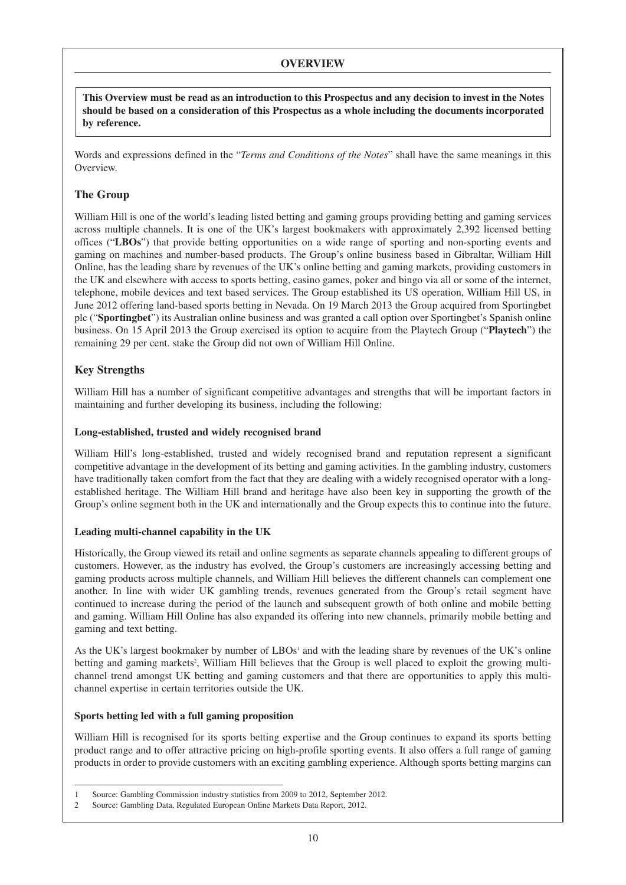## **OVERVIEW**

This Overview must be read as an introduction to this Prospectus and any decision to invest in the Notes **should be based on a consideration of this Prospectus as a whole including the documents incorporated by reference.**

Words and expressions defined in the "*Terms and Conditions of the Notes*" shall have the same meanings in this Overview.

## **The Group**

William Hill is one of the world's leading listed betting and gaming groups providing betting and gaming services across multiple channels. It is one of the UK's largest bookmakers with approximately 2,392 licensed betting offices ("**LBOs**") that provide betting opportunities on a wide range of sporting and non-sporting events and gaming on machines and number-based products. The Group's online business based in Gibraltar, William Hill Online, has the leading share by revenues of the UK's online betting and gaming markets, providing customers in the UK and elsewhere with access to sports betting, casino games, poker and bingo via all or some of the internet, telephone, mobile devices and text based services. The Group established its US operation, William Hill US, in June 2012 offering land-based sports betting in Nevada. On 19 March 2013 the Group acquired from Sportingbet plc ("**Sportingbet**") its Australian online business and was granted a call option over Sportingbet's Spanish online business. On 15 April 2013 the Group exercised its option to acquire from the Playtech Group ("**Playtech**") the remaining 29 per cent. stake the Group did not own of William Hill Online.

## **Key Strengths**

William Hill has a number of significant competitive advantages and strengths that will be important factors in maintaining and further developing its business, including the following:

#### **Long-established, trusted and widely recognised brand**

William Hill's long-established, trusted and widely recognised brand and reputation represent a significant competitive advantage in the development of its betting and gaming activities. In the gambling industry, customers have traditionally taken comfort from the fact that they are dealing with a widely recognised operator with a longestablished heritage. The William Hill brand and heritage have also been key in supporting the growth of the Group's online segment both in the UK and internationally and the Group expects this to continue into the future.

#### **Leading multi-channel capability in the UK**

Historically, the Group viewed its retail and online segments as separate channels appealing to different groups of customers. However, as the industry has evolved, the Group's customers are increasingly accessing betting and gaming products across multiple channels, and William Hill believes the different channels can complement one another. In line with wider UK gambling trends, revenues generated from the Group's retail segment have continued to increase during the period of the launch and subsequent growth of both online and mobile betting and gaming. William Hill Online has also expanded its offering into new channels, primarily mobile betting and gaming and text betting.

As the UK's largest bookmaker by number of  $LBOs<sup>1</sup>$  and with the leading share by revenues of the UK's online betting and gaming markets<sup>2</sup>, William Hill believes that the Group is well placed to exploit the growing multichannel trend amongst UK betting and gaming customers and that there are opportunities to apply this multichannel expertise in certain territories outside the UK.

## **Sports betting led with a full gaming proposition**

William Hill is recognised for its sports betting expertise and the Group continues to expand its sports betting product range and to offer attractive pricing on high-profile sporting events. It also offers a full range of gaming products in order to provide customers with an exciting gambling experience. Although sports betting margins can

<sup>1</sup> Source: Gambling Commission industry statistics from 2009 to 2012, September 2012.

<sup>2</sup> Source: Gambling Data, Regulated European Online Markets Data Report, 2012.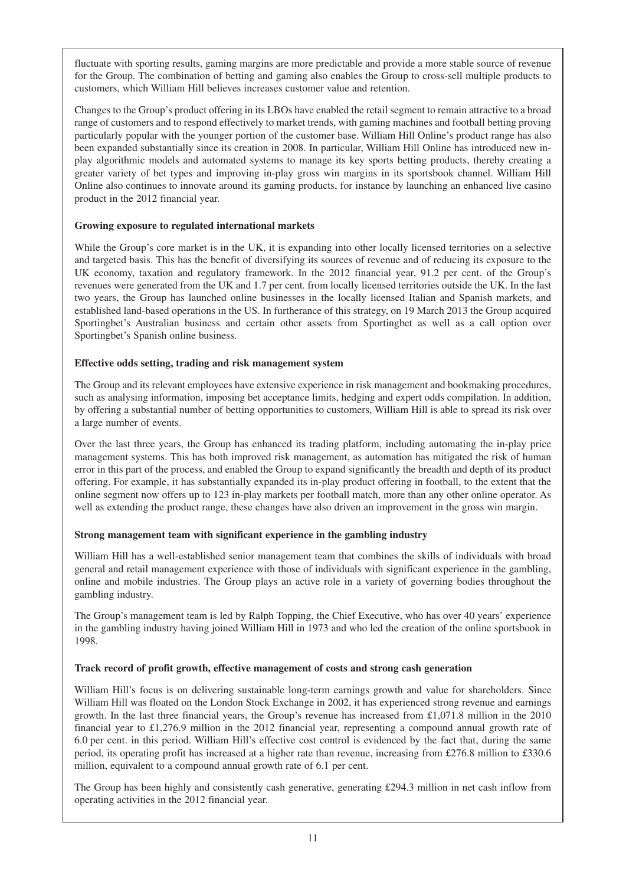fluctuate with sporting results, gaming margins are more predictable and provide a more stable source of revenue for the Group. The combination of betting and gaming also enables the Group to cross-sell multiple products to customers, which William Hill believes increases customer value and retention.

Changes to the Group's product offering in its LBOs have enabled the retail segment to remain attractive to a broad range of customers and to respond effectively to market trends, with gaming machines and football betting proving particularly popular with the younger portion of the customer base. William Hill Online's product range has also been expanded substantially since its creation in 2008. In particular, William Hill Online has introduced new inplay algorithmic models and automated systems to manage its key sports betting products, thereby creating a greater variety of bet types and improving in-play gross win margins in its sportsbook channel. William Hill Online also continues to innovate around its gaming products, for instance by launching an enhanced live casino product in the 2012 financial year.

## **Growing exposure to regulated international markets**

While the Group's core market is in the UK, it is expanding into other locally licensed territories on a selective and targeted basis. This has the benefit of diversifying its sources of revenue and of reducing its exposure to the UK economy, taxation and regulatory framework. In the 2012 financial year, 91.2 per cent. of the Group's revenues were generated from the UK and 1.7 per cent. from locally licensed territories outside the UK. In the last two years, the Group has launched online businesses in the locally licensed Italian and Spanish markets, and established land-based operations in the US. In furtherance of this strategy, on 19 March 2013 the Group acquired Sportingbet's Australian business and certain other assets from Sportingbet as well as a call option over Sportingbet's Spanish online business.

## **Effective odds setting, trading and risk management system**

The Group and its relevant employees have extensive experience in risk management and bookmaking procedures, such as analysing information, imposing bet acceptance limits, hedging and expert odds compilation. In addition, by offering a substantial number of betting opportunities to customers, William Hill is able to spread its risk over a large number of events.

Over the last three years, the Group has enhanced its trading platform, including automating the in-play price management systems. This has both improved risk management, as automation has mitigated the risk of human error in this part of the process, and enabled the Group to expand significantly the breadth and depth of its product offering. For example, it has substantially expanded its in-play product offering in football, to the extent that the online segment now offers up to 123 in-play markets per football match, more than any other online operator. As well as extending the product range, these changes have also driven an improvement in the gross win margin.

## **Strong management team with significant experience in the gambling industry**

William Hill has a well-established senior management team that combines the skills of individuals with broad general and retail management experience with those of individuals with significant experience in the gambling, online and mobile industries. The Group plays an active role in a variety of governing bodies throughout the gambling industry.

The Group's management team is led by Ralph Topping, the Chief Executive, who has over 40 years' experience in the gambling industry having joined William Hill in 1973 and who led the creation of the online sportsbook in 1998.

## **Track record of profit growth, effective management of costs and strong cash generation**

William Hill's focus is on delivering sustainable long-term earnings growth and value for shareholders. Since William Hill was floated on the London Stock Exchange in 2002, it has experienced strong revenue and earnings growth. In the last three financial years, the Group's revenue has increased from  $\text{\pounds}1,071.8$  million in the 2010 financial year to £1,276.9 million in the 2012 financial year, representing a compound annual growth rate of 6.0 per cent. in this period. William Hill's effective cost control is evidenced by the fact that, during the same period, its operating profit has increased at a higher rate than revenue, increasing from £276.8 million to £330.6 million, equivalent to a compound annual growth rate of 6.1 per cent.

The Group has been highly and consistently cash generative, generating £294.3 million in net cash inflow from operating activities in the 2012 financial year.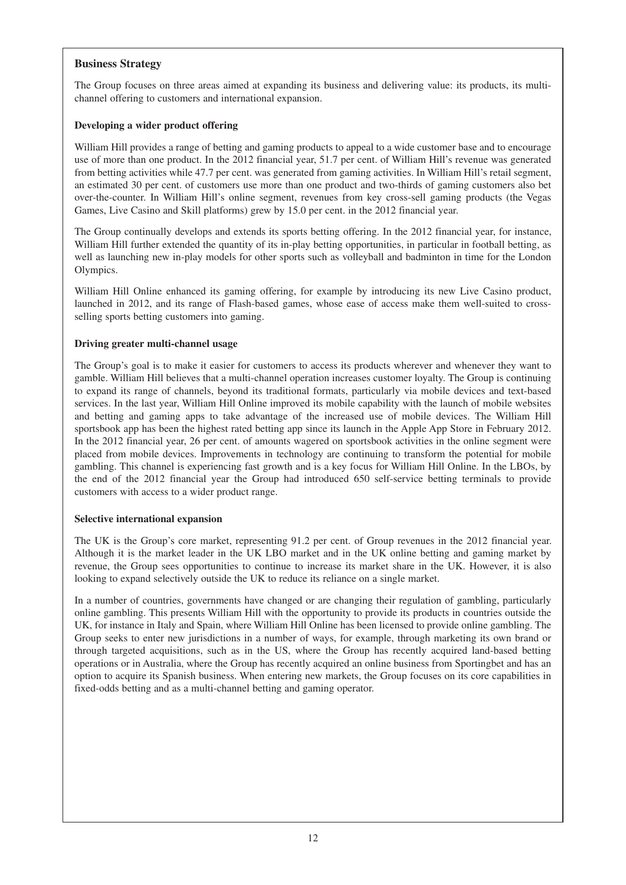## **Business Strategy**

The Group focuses on three areas aimed at expanding its business and delivering value: its products, its multichannel offering to customers and international expansion.

### **Developing a wider product offering**

William Hill provides a range of betting and gaming products to appeal to a wide customer base and to encourage use of more than one product. In the 2012 financial year, 51.7 per cent. of William Hill's revenue was generated from betting activities while 47.7 per cent. was generated from gaming activities. In William Hill's retail segment, an estimated 30 per cent. of customers use more than one product and two-thirds of gaming customers also bet over-the-counter. In William Hill's online segment, revenues from key cross-sell gaming products (the Vegas Games, Live Casino and Skill platforms) grew by 15.0 per cent. in the 2012 financial year.

The Group continually develops and extends its sports betting offering. In the 2012 financial year, for instance, William Hill further extended the quantity of its in-play betting opportunities, in particular in football betting, as well as launching new in-play models for other sports such as volleyball and badminton in time for the London Olympics.

William Hill Online enhanced its gaming offering, for example by introducing its new Live Casino product, launched in 2012, and its range of Flash-based games, whose ease of access make them well-suited to crossselling sports betting customers into gaming.

#### **Driving greater multi-channel usage**

The Group's goal is to make it easier for customers to access its products wherever and whenever they want to gamble. William Hill believes that a multi-channel operation increases customer loyalty. The Group is continuing to expand its range of channels, beyond its traditional formats, particularly via mobile devices and text-based services. In the last year, William Hill Online improved its mobile capability with the launch of mobile websites and betting and gaming apps to take advantage of the increased use of mobile devices. The William Hill sportsbook app has been the highest rated betting app since its launch in the Apple App Store in February 2012. In the 2012 financial year, 26 per cent. of amounts wagered on sportsbook activities in the online segment were placed from mobile devices. Improvements in technology are continuing to transform the potential for mobile gambling. This channel is experiencing fast growth and is a key focus for William Hill Online. In the LBOs, by the end of the 2012 financial year the Group had introduced 650 self-service betting terminals to provide customers with access to a wider product range.

#### **Selective international expansion**

The UK is the Group's core market, representing 91.2 per cent. of Group revenues in the 2012 financial year. Although it is the market leader in the UK LBO market and in the UK online betting and gaming market by revenue, the Group sees opportunities to continue to increase its market share in the UK. However, it is also looking to expand selectively outside the UK to reduce its reliance on a single market.

In a number of countries, governments have changed or are changing their regulation of gambling, particularly online gambling. This presents William Hill with the opportunity to provide its products in countries outside the UK, for instance in Italy and Spain, where William Hill Online has been licensed to provide online gambling. The Group seeks to enter new jurisdictions in a number of ways, for example, through marketing its own brand or through targeted acquisitions, such as in the US, where the Group has recently acquired land-based betting operations or in Australia, where the Group has recently acquired an online business from Sportingbet and has an option to acquire its Spanish business. When entering new markets, the Group focuses on its core capabilities in fixed-odds betting and as a multi-channel betting and gaming operator.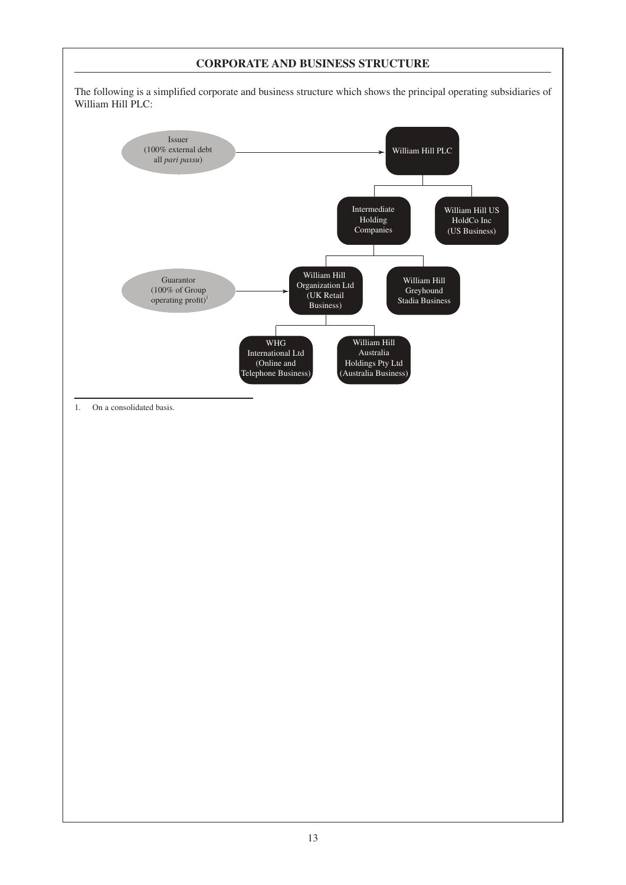## **CORPORATE AND BUSINESS STRUCTURE**

The following is a simplified corporate and business structure which shows the principal operating subsidiaries of William Hill PLC:

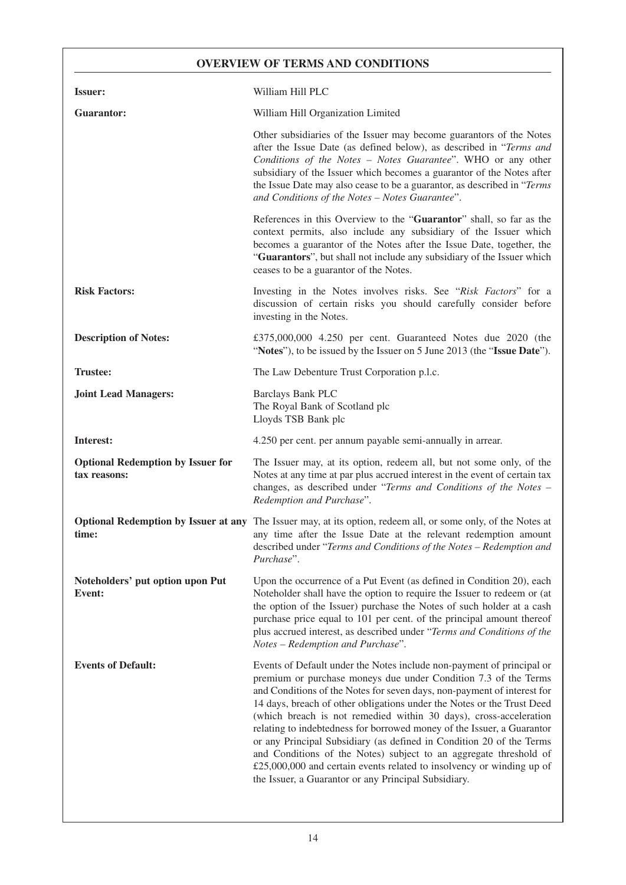## **OVERVIEW OF TERMS AND CONDITIONS**

| <b>Issuer:</b>                                           | William Hill PLC                                                                                                                                                                                                                                                                                                                                                                                                                                                                                                                                                                                                                                                                                                           |  |
|----------------------------------------------------------|----------------------------------------------------------------------------------------------------------------------------------------------------------------------------------------------------------------------------------------------------------------------------------------------------------------------------------------------------------------------------------------------------------------------------------------------------------------------------------------------------------------------------------------------------------------------------------------------------------------------------------------------------------------------------------------------------------------------------|--|
| <b>Guarantor:</b>                                        | William Hill Organization Limited                                                                                                                                                                                                                                                                                                                                                                                                                                                                                                                                                                                                                                                                                          |  |
|                                                          | Other subsidiaries of the Issuer may become guarantors of the Notes<br>after the Issue Date (as defined below), as described in "Terms and<br>Conditions of the Notes - Notes Guarantee". WHO or any other<br>subsidiary of the Issuer which becomes a guarantor of the Notes after<br>the Issue Date may also cease to be a guarantor, as described in "Terms<br>and Conditions of the Notes - Notes Guarantee".                                                                                                                                                                                                                                                                                                          |  |
|                                                          | References in this Overview to the "Guarantor" shall, so far as the<br>context permits, also include any subsidiary of the Issuer which<br>becomes a guarantor of the Notes after the Issue Date, together, the<br>"Guarantors", but shall not include any subsidiary of the Issuer which<br>ceases to be a guarantor of the Notes.                                                                                                                                                                                                                                                                                                                                                                                        |  |
| <b>Risk Factors:</b>                                     | Investing in the Notes involves risks. See "Risk Factors" for a<br>discussion of certain risks you should carefully consider before<br>investing in the Notes.                                                                                                                                                                                                                                                                                                                                                                                                                                                                                                                                                             |  |
| <b>Description of Notes:</b>                             | £375,000,000 4.250 per cent. Guaranteed Notes due 2020 (the<br>"Notes"), to be issued by the Issuer on 5 June 2013 (the "Issue Date").                                                                                                                                                                                                                                                                                                                                                                                                                                                                                                                                                                                     |  |
| <b>Trustee:</b>                                          | The Law Debenture Trust Corporation p.l.c.                                                                                                                                                                                                                                                                                                                                                                                                                                                                                                                                                                                                                                                                                 |  |
| <b>Joint Lead Managers:</b>                              | <b>Barclays Bank PLC</b><br>The Royal Bank of Scotland plc<br>Lloyds TSB Bank plc                                                                                                                                                                                                                                                                                                                                                                                                                                                                                                                                                                                                                                          |  |
| Interest:                                                | 4.250 per cent. per annum payable semi-annually in arrear.                                                                                                                                                                                                                                                                                                                                                                                                                                                                                                                                                                                                                                                                 |  |
| <b>Optional Redemption by Issuer for</b><br>tax reasons: | The Issuer may, at its option, redeem all, but not some only, of the<br>Notes at any time at par plus accrued interest in the event of certain tax<br>changes, as described under "Terms and Conditions of the Notes -<br>Redemption and Purchase".                                                                                                                                                                                                                                                                                                                                                                                                                                                                        |  |
| time:                                                    | Optional Redemption by Issuer at any The Issuer may, at its option, redeem all, or some only, of the Notes at<br>any time after the Issue Date at the relevant redemption amount<br>described under "Terms and Conditions of the Notes - Redemption and<br>Purchase".                                                                                                                                                                                                                                                                                                                                                                                                                                                      |  |
| Noteholders' put option upon Put<br>Event:               | Upon the occurrence of a Put Event (as defined in Condition 20), each<br>Noteholder shall have the option to require the Issuer to redeem or (at<br>the option of the Issuer) purchase the Notes of such holder at a cash<br>purchase price equal to 101 per cent. of the principal amount thereof<br>plus accrued interest, as described under "Terms and Conditions of the<br>Notes - Redemption and Purchase".                                                                                                                                                                                                                                                                                                          |  |
| <b>Events of Default:</b>                                | Events of Default under the Notes include non-payment of principal or<br>premium or purchase moneys due under Condition 7.3 of the Terms<br>and Conditions of the Notes for seven days, non-payment of interest for<br>14 days, breach of other obligations under the Notes or the Trust Deed<br>(which breach is not remedied within 30 days), cross-acceleration<br>relating to indebtedness for borrowed money of the Issuer, a Guarantor<br>or any Principal Subsidiary (as defined in Condition 20 of the Terms<br>and Conditions of the Notes) subject to an aggregate threshold of<br>£25,000,000 and certain events related to insolvency or winding up of<br>the Issuer, a Guarantor or any Principal Subsidiary. |  |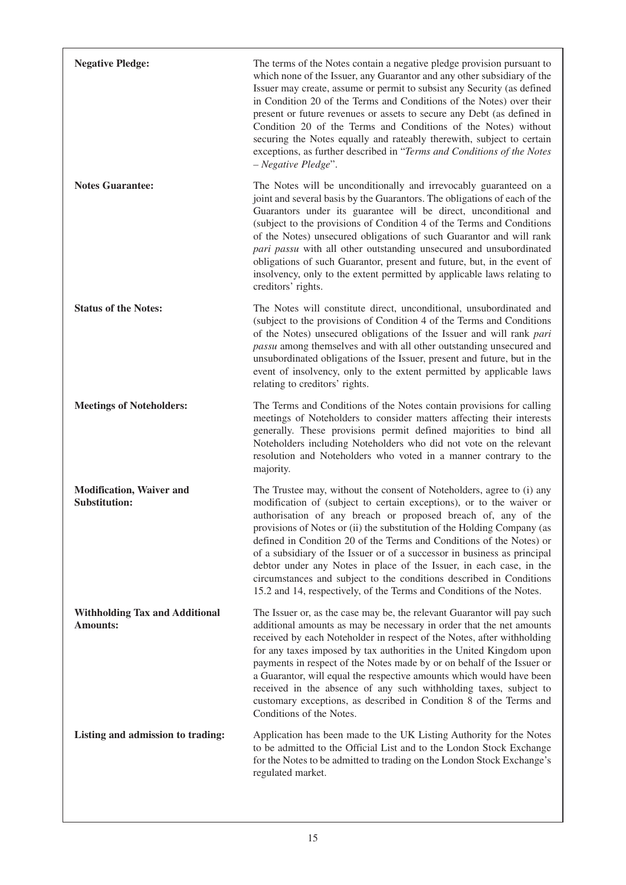| <b>Negative Pledge:</b>                                  | The terms of the Notes contain a negative pledge provision pursuant to<br>which none of the Issuer, any Guarantor and any other subsidiary of the<br>Issuer may create, assume or permit to subsist any Security (as defined<br>in Condition 20 of the Terms and Conditions of the Notes) over their<br>present or future revenues or assets to secure any Debt (as defined in<br>Condition 20 of the Terms and Conditions of the Notes) without<br>securing the Notes equally and rateably therewith, subject to certain<br>exceptions, as further described in "Terms and Conditions of the Notes<br>- Negative Pledge".                                          |
|----------------------------------------------------------|---------------------------------------------------------------------------------------------------------------------------------------------------------------------------------------------------------------------------------------------------------------------------------------------------------------------------------------------------------------------------------------------------------------------------------------------------------------------------------------------------------------------------------------------------------------------------------------------------------------------------------------------------------------------|
| <b>Notes Guarantee:</b>                                  | The Notes will be unconditionally and irrevocably guaranteed on a<br>joint and several basis by the Guarantors. The obligations of each of the<br>Guarantors under its guarantee will be direct, unconditional and<br>(subject to the provisions of Condition 4 of the Terms and Conditions<br>of the Notes) unsecured obligations of such Guarantor and will rank<br>pari passu with all other outstanding unsecured and unsubordinated<br>obligations of such Guarantor, present and future, but, in the event of<br>insolvency, only to the extent permitted by applicable laws relating to<br>creditors' rights.                                                |
| <b>Status of the Notes:</b>                              | The Notes will constitute direct, unconditional, unsubordinated and<br>(subject to the provisions of Condition 4 of the Terms and Conditions<br>of the Notes) unsecured obligations of the Issuer and will rank pari<br>passu among themselves and with all other outstanding unsecured and<br>unsubordinated obligations of the Issuer, present and future, but in the<br>event of insolvency, only to the extent permitted by applicable laws<br>relating to creditors' rights.                                                                                                                                                                                   |
| <b>Meetings of Noteholders:</b>                          | The Terms and Conditions of the Notes contain provisions for calling<br>meetings of Noteholders to consider matters affecting their interests<br>generally. These provisions permit defined majorities to bind all<br>Noteholders including Noteholders who did not vote on the relevant<br>resolution and Noteholders who voted in a manner contrary to the<br>majority.                                                                                                                                                                                                                                                                                           |
| <b>Modification, Waiver and</b><br><b>Substitution:</b>  | The Trustee may, without the consent of Noteholders, agree to (i) any<br>modification of (subject to certain exceptions), or to the waiver or<br>authorisation of any breach or proposed breach of, any of the<br>provisions of Notes or (ii) the substitution of the Holding Company (as<br>defined in Condition 20 of the Terms and Conditions of the Notes) or<br>of a subsidiary of the Issuer or of a successor in business as principal<br>debtor under any Notes in place of the Issuer, in each case, in the<br>circumstances and subject to the conditions described in Conditions<br>15.2 and 14, respectively, of the Terms and Conditions of the Notes. |
| <b>Withholding Tax and Additional</b><br><b>Amounts:</b> | The Issuer or, as the case may be, the relevant Guarantor will pay such<br>additional amounts as may be necessary in order that the net amounts<br>received by each Noteholder in respect of the Notes, after withholding<br>for any taxes imposed by tax authorities in the United Kingdom upon<br>payments in respect of the Notes made by or on behalf of the Issuer or<br>a Guarantor, will equal the respective amounts which would have been<br>received in the absence of any such withholding taxes, subject to<br>customary exceptions, as described in Condition 8 of the Terms and<br>Conditions of the Notes.                                           |
| Listing and admission to trading:                        | Application has been made to the UK Listing Authority for the Notes<br>to be admitted to the Official List and to the London Stock Exchange<br>for the Notes to be admitted to trading on the London Stock Exchange's<br>regulated market.                                                                                                                                                                                                                                                                                                                                                                                                                          |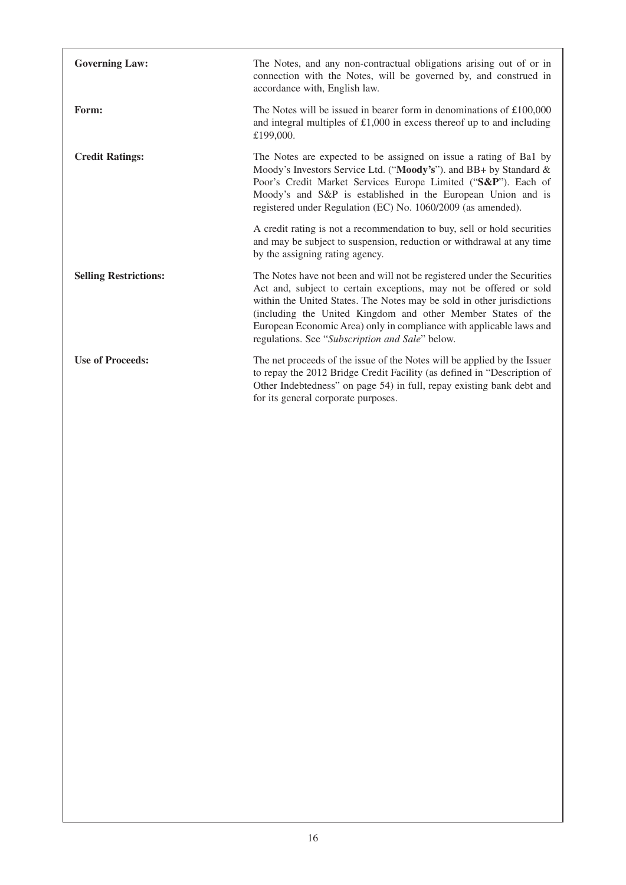| <b>Governing Law:</b>        | The Notes, and any non-contractual obligations arising out of or in<br>connection with the Notes, will be governed by, and construed in<br>accordance with, English law.                                                                                                                                                                                                                                          |
|------------------------------|-------------------------------------------------------------------------------------------------------------------------------------------------------------------------------------------------------------------------------------------------------------------------------------------------------------------------------------------------------------------------------------------------------------------|
| Form:                        | The Notes will be issued in bearer form in denominations of $£100,000$<br>and integral multiples of $£1,000$ in excess thereof up to and including<br>£199,000.                                                                                                                                                                                                                                                   |
| <b>Credit Ratings:</b>       | The Notes are expected to be assigned on issue a rating of Ba1 by<br>Moody's Investors Service Ltd. ("Moody's"). and BB+ by Standard &<br>Poor's Credit Market Services Europe Limited ("S&P"). Each of<br>Moody's and S&P is established in the European Union and is<br>registered under Regulation (EC) No. 1060/2009 (as amended).                                                                            |
|                              | A credit rating is not a recommendation to buy, sell or hold securities<br>and may be subject to suspension, reduction or withdrawal at any time<br>by the assigning rating agency.                                                                                                                                                                                                                               |
| <b>Selling Restrictions:</b> | The Notes have not been and will not be registered under the Securities<br>Act and, subject to certain exceptions, may not be offered or sold<br>within the United States. The Notes may be sold in other jurisdictions<br>(including the United Kingdom and other Member States of the<br>European Economic Area) only in compliance with applicable laws and<br>regulations. See "Subscription and Sale" below. |
| <b>Use of Proceeds:</b>      | The net proceeds of the issue of the Notes will be applied by the Issuer<br>to repay the 2012 Bridge Credit Facility (as defined in "Description of<br>Other Indebtedness" on page 54) in full, repay existing bank debt and<br>for its general corporate purposes.                                                                                                                                               |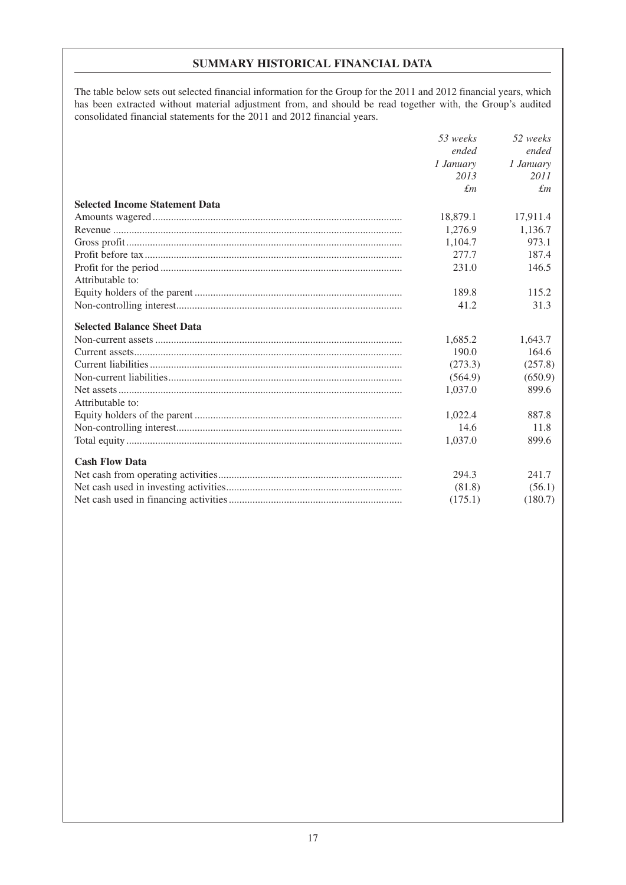## **SUMMARY HISTORICAL FINANCIAL DATA**

The table below sets out selected financial information for the Group for the 2011 and 2012 financial years, which has been extracted without material adjustment from, and should be read together with, the Group's audited consolidated financial statements for the 2011 and 2012 financial years.

|                                       | 53 weeks    | 52 weeks    |
|---------------------------------------|-------------|-------------|
|                                       | ended       | ended       |
|                                       | 1 January   | 1 January   |
|                                       | 2013        | 2011        |
|                                       | $\pounds$ m | $\pounds$ m |
| <b>Selected Income Statement Data</b> |             |             |
|                                       | 18,879.1    | 17,911.4    |
|                                       | 1,276.9     | 1,136.7     |
|                                       | 1,104.7     | 973.1       |
|                                       | 277.7       | 187.4       |
|                                       | 231.0       | 146.5       |
| Attributable to:                      |             |             |
|                                       | 189.8       | 115.2       |
|                                       | 41.2        | 31.3        |
| <b>Selected Balance Sheet Data</b>    |             |             |
|                                       | 1,685.2     | 1,643.7     |
|                                       | 190.0       | 164.6       |
|                                       | (273.3)     | (257.8)     |
|                                       | (564.9)     | (650.9)     |
|                                       | 1,037.0     | 899.6       |
| Attributable to:                      |             |             |
|                                       | 1,022.4     | 887.8       |
|                                       | 14.6        | 11.8        |
|                                       | 1,037.0     | 899.6       |
| <b>Cash Flow Data</b>                 |             |             |
|                                       | 294.3       | 241.7       |
|                                       | (81.8)      | (56.1)      |
|                                       | (175.1)     | (180.7)     |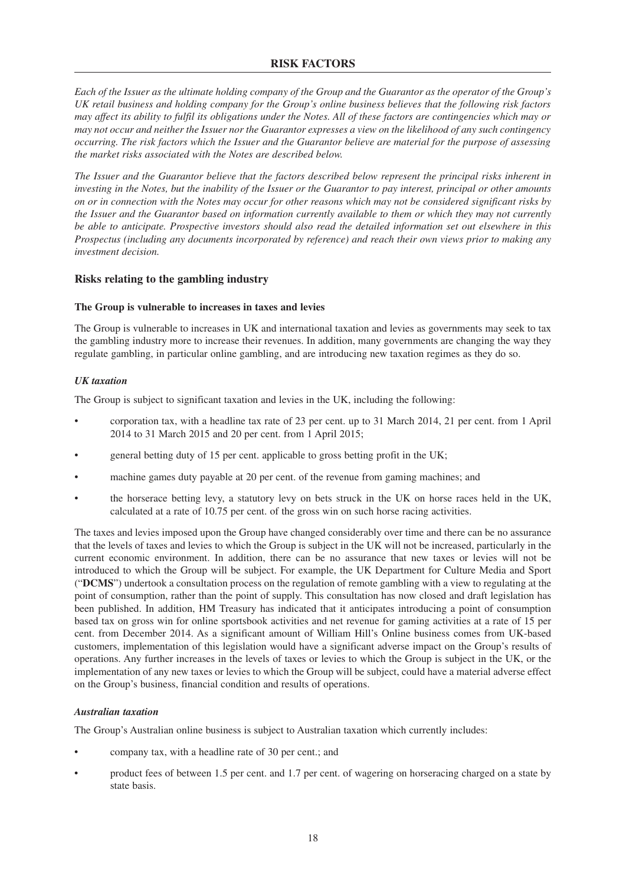## **RISK FACTORS**

Each of the Issuer as the ultimate holding company of the Group and the Guarantor as the operator of the Group's UK retail business and holding company for the Group's online business believes that the following risk factors may affect its ability to fulfil its obligations under the Notes. All of these factors are contingencies which may or may not occur and neither the Issuer nor the Guarantor expresses a view on the likelihood of any such contingency occurring. The risk factors which the Issuer and the Guarantor believe are material for the purpose of assessing *the market risks associated with the Notes are described below.*

The Issuer and the Guarantor believe that the factors described below represent the principal risks inherent in investing in the Notes, but the inability of the Issuer or the Guarantor to pay interest, principal or other amounts on or in connection with the Notes may occur for other reasons which may not be considered significant risks by the Issuer and the Guarantor based on information currently available to them or which they may not currently be able to anticipate. Prospective investors should also read the detailed information set out elsewhere in this *Prospectus (including any documents incorporated by reference) and reach their own views prior to making any investment decision.*

## **Risks relating to the gambling industry**

#### **The Group is vulnerable to increases in taxes and levies**

The Group is vulnerable to increases in UK and international taxation and levies as governments may seek to tax the gambling industry more to increase their revenues. In addition, many governments are changing the way they regulate gambling, in particular online gambling, and are introducing new taxation regimes as they do so.

#### *UK taxation*

The Group is subject to significant taxation and levies in the UK, including the following:

- corporation tax, with a headline tax rate of 23 per cent. up to 31 March 2014, 21 per cent. from 1 April 2014 to 31 March 2015 and 20 per cent. from 1 April 2015;
- general betting duty of 15 per cent. applicable to gross betting profit in the UK;
- machine games duty payable at 20 per cent. of the revenue from gaming machines; and
- the horserace betting levy, a statutory levy on bets struck in the UK on horse races held in the UK, calculated at a rate of 10.75 per cent. of the gross win on such horse racing activities.

The taxes and levies imposed upon the Group have changed considerably over time and there can be no assurance that the levels of taxes and levies to which the Group is subject in the UK will not be increased, particularly in the current economic environment. In addition, there can be no assurance that new taxes or levies will not be introduced to which the Group will be subject. For example, the UK Department for Culture Media and Sport ("**DCMS**") undertook a consultation process on the regulation of remote gambling with a view to regulating at the point of consumption, rather than the point of supply. This consultation has now closed and draft legislation has been published. In addition, HM Treasury has indicated that it anticipates introducing a point of consumption based tax on gross win for online sportsbook activities and net revenue for gaming activities at a rate of 15 per cent. from December 2014. As a significant amount of William Hill's Online business comes from UK-based customers, implementation of this legislation would have a significant adverse impact on the Group's results of operations. Any further increases in the levels of taxes or levies to which the Group is subject in the UK, or the implementation of any new taxes or levies to which the Group will be subject, could have a material adverse effect on the Group's business, financial condition and results of operations.

#### *Australian taxation*

The Group's Australian online business is subject to Australian taxation which currently includes:

- company tax, with a headline rate of 30 per cent.; and
- product fees of between 1.5 per cent. and 1.7 per cent. of wagering on horseracing charged on a state by state basis.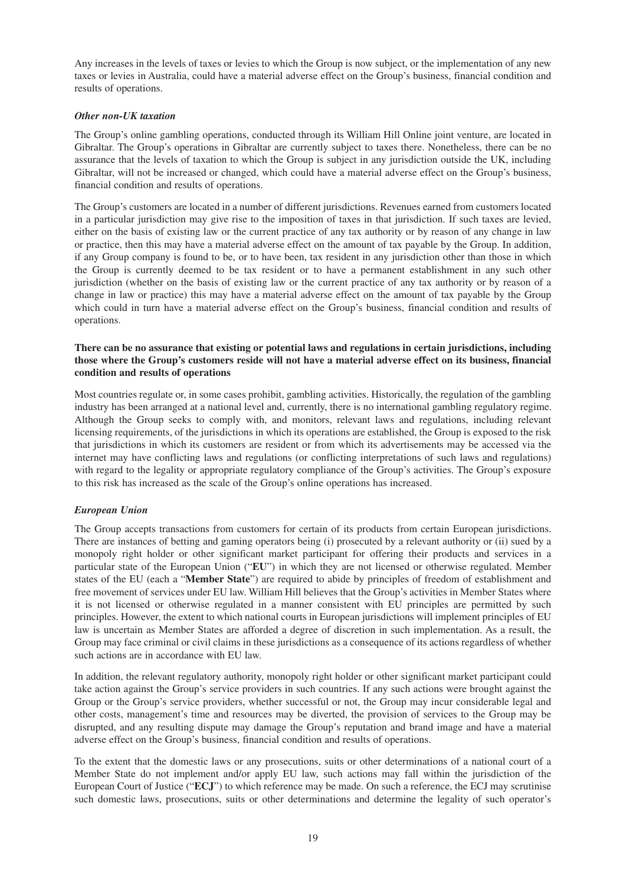Any increases in the levels of taxes or levies to which the Group is now subject, or the implementation of any new taxes or levies in Australia, could have a material adverse effect on the Group's business, financial condition and results of operations.

#### *Other non-UK taxation*

The Group's online gambling operations, conducted through its William Hill Online joint venture, are located in Gibraltar. The Group's operations in Gibraltar are currently subject to taxes there. Nonetheless, there can be no assurance that the levels of taxation to which the Group is subject in any jurisdiction outside the UK, including Gibraltar, will not be increased or changed, which could have a material adverse effect on the Group's business, financial condition and results of operations.

The Group's customers are located in a number of different jurisdictions. Revenues earned from customers located in a particular jurisdiction may give rise to the imposition of taxes in that jurisdiction. If such taxes are levied, either on the basis of existing law or the current practice of any tax authority or by reason of any change in law or practice, then this may have a material adverse effect on the amount of tax payable by the Group. In addition, if any Group company is found to be, or to have been, tax resident in any jurisdiction other than those in which the Group is currently deemed to be tax resident or to have a permanent establishment in any such other jurisdiction (whether on the basis of existing law or the current practice of any tax authority or by reason of a change in law or practice) this may have a material adverse effect on the amount of tax payable by the Group which could in turn have a material adverse effect on the Group's business, financial condition and results of operations.

#### **There can be no assurance that existing or potential laws and regulations in certain jurisdictions, including** those where the Group's customers reside will not have a material adverse effect on its business, financial **condition and results of operations**

Most countries regulate or, in some cases prohibit, gambling activities. Historically, the regulation of the gambling industry has been arranged at a national level and, currently, there is no international gambling regulatory regime. Although the Group seeks to comply with, and monitors, relevant laws and regulations, including relevant licensing requirements, of the jurisdictions in which its operations are established, the Group is exposed to the risk that jurisdictions in which its customers are resident or from which its advertisements may be accessed via the internet may have conflicting laws and regulations (or conflicting interpretations of such laws and regulations) with regard to the legality or appropriate regulatory compliance of the Group's activities. The Group's exposure to this risk has increased as the scale of the Group's online operations has increased.

## *European Union*

The Group accepts transactions from customers for certain of its products from certain European jurisdictions. There are instances of betting and gaming operators being (i) prosecuted by a relevant authority or (ii) sued by a monopoly right holder or other significant market participant for offering their products and services in a particular state of the European Union ("**EU**") in which they are not licensed or otherwise regulated. Member states of the EU (each a "**Member State**") are required to abide by principles of freedom of establishment and free movement of services under EU law. William Hill believes that the Group's activities in Member States where it is not licensed or otherwise regulated in a manner consistent with EU principles are permitted by such principles. However, the extent to which national courts in European jurisdictions will implement principles of EU law is uncertain as Member States are afforded a degree of discretion in such implementation. As a result, the Group may face criminal or civil claims in these jurisdictions as a consequence of its actions regardless of whether such actions are in accordance with EU law.

In addition, the relevant regulatory authority, monopoly right holder or other significant market participant could take action against the Group's service providers in such countries. If any such actions were brought against the Group or the Group's service providers, whether successful or not, the Group may incur considerable legal and other costs, management's time and resources may be diverted, the provision of services to the Group may be disrupted, and any resulting dispute may damage the Group's reputation and brand image and have a material adverse effect on the Group's business, financial condition and results of operations.

To the extent that the domestic laws or any prosecutions, suits or other determinations of a national court of a Member State do not implement and/or apply EU law, such actions may fall within the jurisdiction of the European Court of Justice ("**ECJ**") to which reference may be made. On such a reference, the ECJ may scrutinise such domestic laws, prosecutions, suits or other determinations and determine the legality of such operator's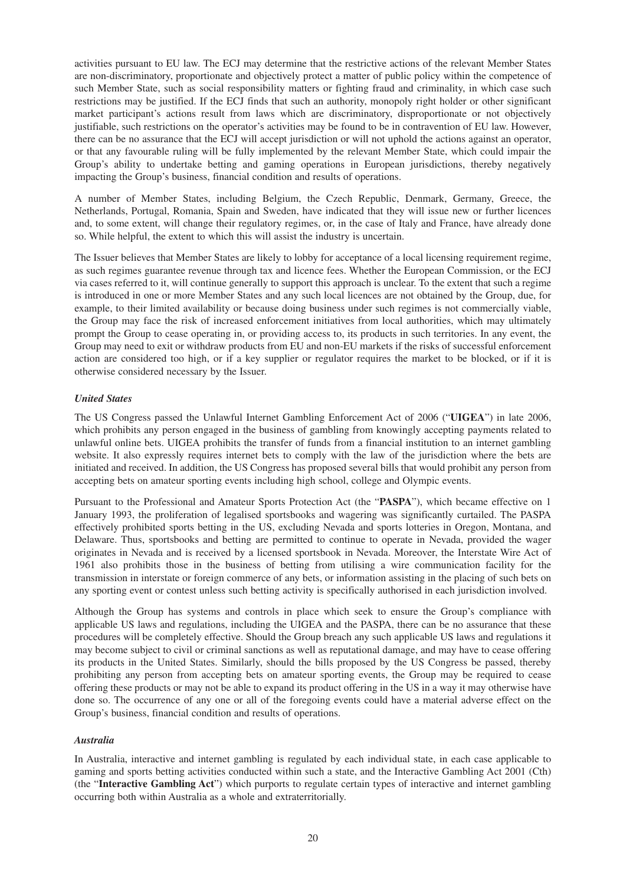activities pursuant to EU law. The ECJ may determine that the restrictive actions of the relevant Member States are non-discriminatory, proportionate and objectively protect a matter of public policy within the competence of such Member State, such as social responsibility matters or fighting fraud and criminality, in which case such restrictions may be justified. If the ECJ finds that such an authority, monopoly right holder or other significant market participant's actions result from laws which are discriminatory, disproportionate or not objectively justifiable, such restrictions on the operator's activities may be found to be in contravention of EU law. However, there can be no assurance that the ECJ will accept jurisdiction or will not uphold the actions against an operator, or that any favourable ruling will be fully implemented by the relevant Member State, which could impair the Group's ability to undertake betting and gaming operations in European jurisdictions, thereby negatively impacting the Group's business, financial condition and results of operations.

A number of Member States, including Belgium, the Czech Republic, Denmark, Germany, Greece, the Netherlands, Portugal, Romania, Spain and Sweden, have indicated that they will issue new or further licences and, to some extent, will change their regulatory regimes, or, in the case of Italy and France, have already done so. While helpful, the extent to which this will assist the industry is uncertain.

The Issuer believes that Member States are likely to lobby for acceptance of a local licensing requirement regime, as such regimes guarantee revenue through tax and licence fees. Whether the European Commission, or the ECJ via cases referred to it, will continue generally to support this approach is unclear. To the extent that such a regime is introduced in one or more Member States and any such local licences are not obtained by the Group, due, for example, to their limited availability or because doing business under such regimes is not commercially viable, the Group may face the risk of increased enforcement initiatives from local authorities, which may ultimately prompt the Group to cease operating in, or providing access to, its products in such territories. In any event, the Group may need to exit or withdraw products from EU and non-EU markets if the risks of successful enforcement action are considered too high, or if a key supplier or regulator requires the market to be blocked, or if it is otherwise considered necessary by the Issuer.

#### *United States*

The US Congress passed the Unlawful Internet Gambling Enforcement Act of 2006 ("**UIGEA**") in late 2006, which prohibits any person engaged in the business of gambling from knowingly accepting payments related to unlawful online bets. UIGEA prohibits the transfer of funds from a financial institution to an internet gambling website. It also expressly requires internet bets to comply with the law of the jurisdiction where the bets are initiated and received. In addition, the US Congress has proposed several bills that would prohibit any person from accepting bets on amateur sporting events including high school, college and Olympic events.

Pursuant to the Professional and Amateur Sports Protection Act (the "**PASPA**"), which became effective on 1 January 1993, the proliferation of legalised sportsbooks and wagering was significantly curtailed. The PASPA effectively prohibited sports betting in the US, excluding Nevada and sports lotteries in Oregon, Montana, and Delaware. Thus, sportsbooks and betting are permitted to continue to operate in Nevada, provided the wager originates in Nevada and is received by a licensed sportsbook in Nevada. Moreover, the Interstate Wire Act of 1961 also prohibits those in the business of betting from utilising a wire communication facility for the transmission in interstate or foreign commerce of any bets, or information assisting in the placing of such bets on any sporting event or contest unless such betting activity is specifically authorised in each jurisdiction involved.

Although the Group has systems and controls in place which seek to ensure the Group's compliance with applicable US laws and regulations, including the UIGEA and the PASPA, there can be no assurance that these procedures will be completely effective. Should the Group breach any such applicable US laws and regulations it may become subject to civil or criminal sanctions as well as reputational damage, and may have to cease offering its products in the United States. Similarly, should the bills proposed by the US Congress be passed, thereby prohibiting any person from accepting bets on amateur sporting events, the Group may be required to cease offering these products or may not be able to expand its product offering in the US in a way it may otherwise have done so. The occurrence of any one or all of the foregoing events could have a material adverse effect on the Group's business, financial condition and results of operations.

#### *Australia*

In Australia, interactive and internet gambling is regulated by each individual state, in each case applicable to gaming and sports betting activities conducted within such a state, and the Interactive Gambling Act 2001 (Cth) (the "**Interactive Gambling Act**") which purports to regulate certain types of interactive and internet gambling occurring both within Australia as a whole and extraterritorially.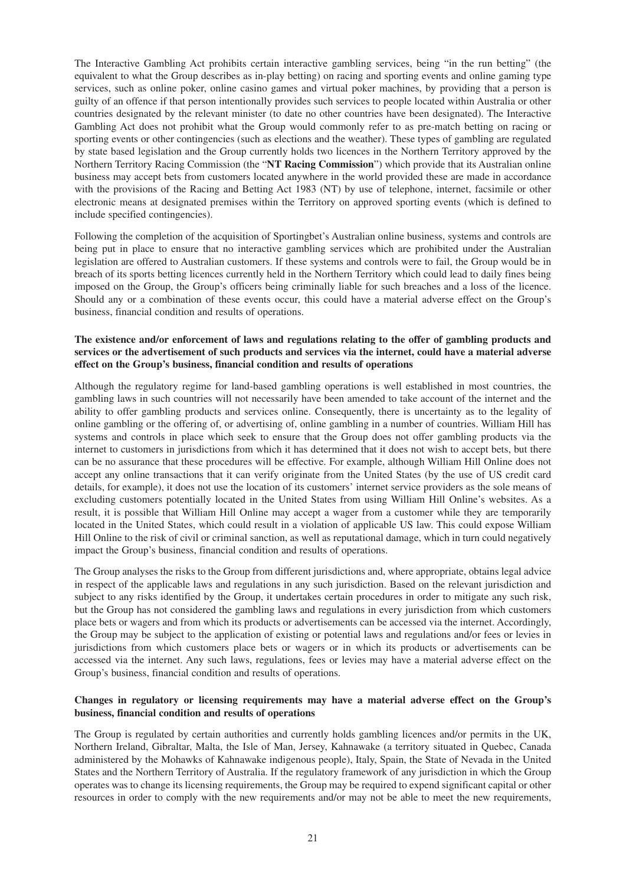The Interactive Gambling Act prohibits certain interactive gambling services, being "in the run betting" (the equivalent to what the Group describes as in-play betting) on racing and sporting events and online gaming type services, such as online poker, online casino games and virtual poker machines, by providing that a person is guilty of an offence if that person intentionally provides such services to people located within Australia or other countries designated by the relevant minister (to date no other countries have been designated). The Interactive Gambling Act does not prohibit what the Group would commonly refer to as pre-match betting on racing or sporting events or other contingencies (such as elections and the weather). These types of gambling are regulated by state based legislation and the Group currently holds two licences in the Northern Territory approved by the Northern Territory Racing Commission (the "**NT Racing Commission**") which provide that its Australian online business may accept bets from customers located anywhere in the world provided these are made in accordance with the provisions of the Racing and Betting Act 1983 (NT) by use of telephone, internet, facsimile or other electronic means at designated premises within the Territory on approved sporting events (which is defined to include specified contingencies).

Following the completion of the acquisition of Sportingbet's Australian online business, systems and controls are being put in place to ensure that no interactive gambling services which are prohibited under the Australian legislation are offered to Australian customers. If these systems and controls were to fail, the Group would be in breach of its sports betting licences currently held in the Northern Territory which could lead to daily fines being imposed on the Group, the Group's officers being criminally liable for such breaches and a loss of the licence. Should any or a combination of these events occur, this could have a material adverse effect on the Group's business, financial condition and results of operations.

#### **The existence and/or enforcement of laws and regulations relating to the offer of gambling products and** services or the advertisement of such products and services via the internet, could have a material adverse **effect on the Group's business, financial condition and results of operations**

Although the regulatory regime for land-based gambling operations is well established in most countries, the gambling laws in such countries will not necessarily have been amended to take account of the internet and the ability to offer gambling products and services online. Consequently, there is uncertainty as to the legality of online gambling or the offering of, or advertising of, online gambling in a number of countries. William Hill has systems and controls in place which seek to ensure that the Group does not offer gambling products via the internet to customers in jurisdictions from which it has determined that it does not wish to accept bets, but there can be no assurance that these procedures will be effective. For example, although William Hill Online does not accept any online transactions that it can verify originate from the United States (by the use of US credit card details, for example), it does not use the location of its customers' internet service providers as the sole means of excluding customers potentially located in the United States from using William Hill Online's websites. As a result, it is possible that William Hill Online may accept a wager from a customer while they are temporarily located in the United States, which could result in a violation of applicable US law. This could expose William Hill Online to the risk of civil or criminal sanction, as well as reputational damage, which in turn could negatively impact the Group's business, financial condition and results of operations.

The Group analyses the risks to the Group from different jurisdictions and, where appropriate, obtains legal advice in respect of the applicable laws and regulations in any such jurisdiction. Based on the relevant jurisdiction and subject to any risks identified by the Group, it undertakes certain procedures in order to mitigate any such risk, but the Group has not considered the gambling laws and regulations in every jurisdiction from which customers place bets or wagers and from which its products or advertisements can be accessed via the internet. Accordingly, the Group may be subject to the application of existing or potential laws and regulations and/or fees or levies in jurisdictions from which customers place bets or wagers or in which its products or advertisements can be accessed via the internet. Any such laws, regulations, fees or levies may have a material adverse effect on the Group's business, financial condition and results of operations.

#### **Changes in regulatory or licensing requirements may have a material adverse effect on the Group's business, financial condition and results of operations**

The Group is regulated by certain authorities and currently holds gambling licences and/or permits in the UK, Northern Ireland, Gibraltar, Malta, the Isle of Man, Jersey, Kahnawake (a territory situated in Quebec, Canada administered by the Mohawks of Kahnawake indigenous people), Italy, Spain, the State of Nevada in the United States and the Northern Territory of Australia. If the regulatory framework of any jurisdiction in which the Group operates was to change its licensing requirements, the Group may be required to expend significant capital or other resources in order to comply with the new requirements and/or may not be able to meet the new requirements,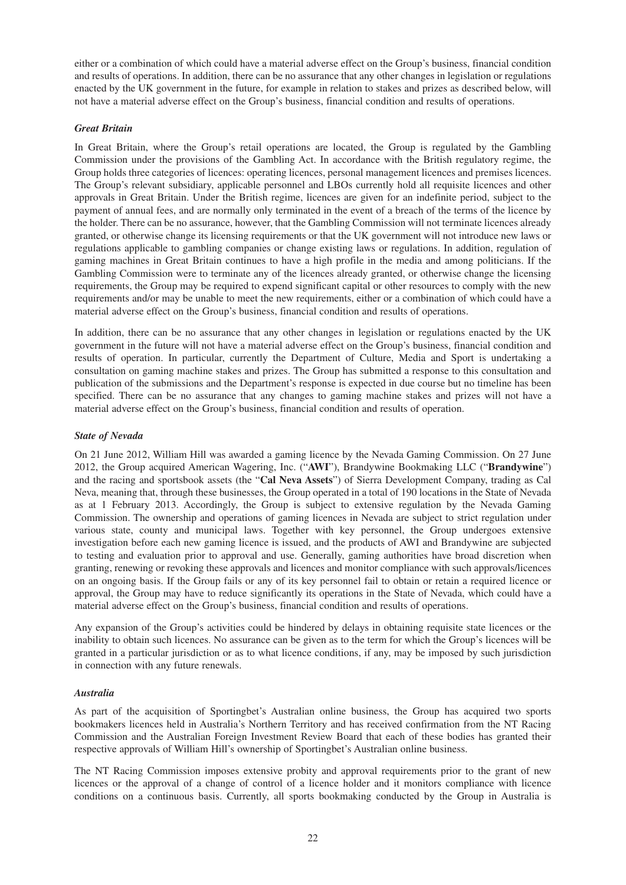either or a combination of which could have a material adverse effect on the Group's business, financial condition and results of operations. In addition, there can be no assurance that any other changes in legislation or regulations enacted by the UK government in the future, for example in relation to stakes and prizes as described below, will not have a material adverse effect on the Group's business, financial condition and results of operations.

#### *Great Britain*

In Great Britain, where the Group's retail operations are located, the Group is regulated by the Gambling Commission under the provisions of the Gambling Act. In accordance with the British regulatory regime, the Group holds three categories of licences: operating licences, personal management licences and premises licences. The Group's relevant subsidiary, applicable personnel and LBOs currently hold all requisite licences and other approvals in Great Britain. Under the British regime, licences are given for an indefinite period, subject to the payment of annual fees, and are normally only terminated in the event of a breach of the terms of the licence by the holder. There can be no assurance, however, that the Gambling Commission will not terminate licences already granted, or otherwise change its licensing requirements or that the UK government will not introduce new laws or regulations applicable to gambling companies or change existing laws or regulations. In addition, regulation of gaming machines in Great Britain continues to have a high profile in the media and among politicians. If the Gambling Commission were to terminate any of the licences already granted, or otherwise change the licensing requirements, the Group may be required to expend significant capital or other resources to comply with the new requirements and/or may be unable to meet the new requirements, either or a combination of which could have a material adverse effect on the Group's business, financial condition and results of operations.

In addition, there can be no assurance that any other changes in legislation or regulations enacted by the UK government in the future will not have a material adverse effect on the Group's business, financial condition and results of operation. In particular, currently the Department of Culture, Media and Sport is undertaking a consultation on gaming machine stakes and prizes. The Group has submitted a response to this consultation and publication of the submissions and the Department's response is expected in due course but no timeline has been specified. There can be no assurance that any changes to gaming machine stakes and prizes will not have a material adverse effect on the Group's business, financial condition and results of operation.

#### *State of Nevada*

On 21 June 2012, William Hill was awarded a gaming licence by the Nevada Gaming Commission. On 27 June 2012, the Group acquired American Wagering, Inc. ("**AWI**"), Brandywine Bookmaking LLC ("**Brandywine**") and the racing and sportsbook assets (the "**Cal Neva Assets**") of Sierra Development Company, trading as Cal Neva, meaning that, through these businesses, the Group operated in a total of 190 locations in the State of Nevada as at 1 February 2013. Accordingly, the Group is subject to extensive regulation by the Nevada Gaming Commission. The ownership and operations of gaming licences in Nevada are subject to strict regulation under various state, county and municipal laws. Together with key personnel, the Group undergoes extensive investigation before each new gaming licence is issued, and the products of AWI and Brandywine are subjected to testing and evaluation prior to approval and use. Generally, gaming authorities have broad discretion when granting, renewing or revoking these approvals and licences and monitor compliance with such approvals/licences on an ongoing basis. If the Group fails or any of its key personnel fail to obtain or retain a required licence or approval, the Group may have to reduce significantly its operations in the State of Nevada, which could have a material adverse effect on the Group's business, financial condition and results of operations.

Any expansion of the Group's activities could be hindered by delays in obtaining requisite state licences or the inability to obtain such licences. No assurance can be given as to the term for which the Group's licences will be granted in a particular jurisdiction or as to what licence conditions, if any, may be imposed by such jurisdiction in connection with any future renewals.

#### *Australia*

As part of the acquisition of Sportingbet's Australian online business, the Group has acquired two sports bookmakers licences held in Australia's Northern Territory and has received confirmation from the NT Racing Commission and the Australian Foreign Investment Review Board that each of these bodies has granted their respective approvals of William Hill's ownership of Sportingbet's Australian online business.

The NT Racing Commission imposes extensive probity and approval requirements prior to the grant of new licences or the approval of a change of control of a licence holder and it monitors compliance with licence conditions on a continuous basis. Currently, all sports bookmaking conducted by the Group in Australia is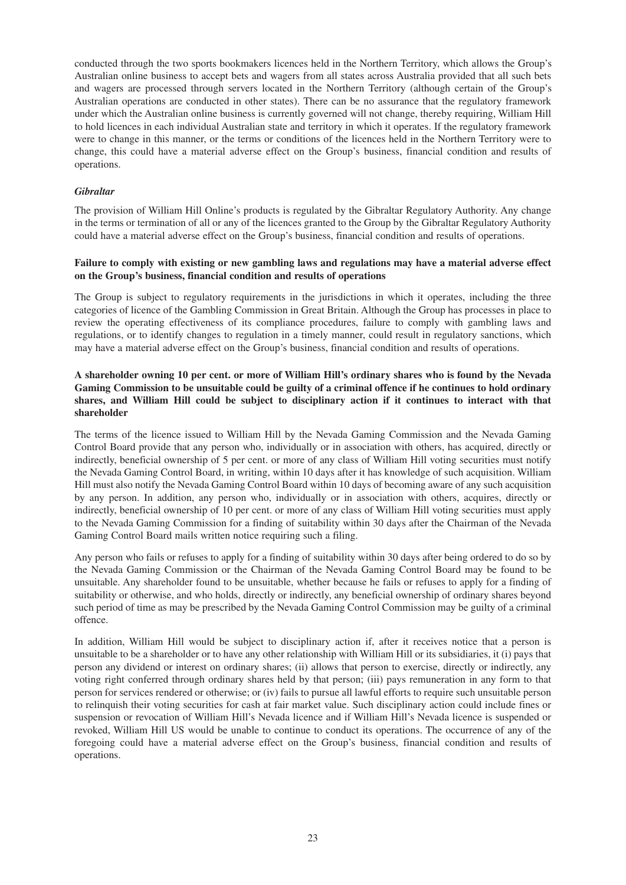conducted through the two sports bookmakers licences held in the Northern Territory, which allows the Group's Australian online business to accept bets and wagers from all states across Australia provided that all such bets and wagers are processed through servers located in the Northern Territory (although certain of the Group's Australian operations are conducted in other states). There can be no assurance that the regulatory framework under which the Australian online business is currently governed will not change, thereby requiring, William Hill to hold licences in each individual Australian state and territory in which it operates. If the regulatory framework were to change in this manner, or the terms or conditions of the licences held in the Northern Territory were to change, this could have a material adverse effect on the Group's business, financial condition and results of operations.

#### *Gibraltar*

The provision of William Hill Online's products is regulated by the Gibraltar Regulatory Authority. Any change in the terms or termination of all or any of the licences granted to the Group by the Gibraltar Regulatory Authority could have a material adverse effect on the Group's business, financial condition and results of operations.

#### **Failure to comply with existing or new gambling laws and regulations may have a material adverse effect on the Group's business, financial condition and results of operations**

The Group is subject to regulatory requirements in the jurisdictions in which it operates, including the three categories of licence of the Gambling Commission in Great Britain. Although the Group has processes in place to review the operating effectiveness of its compliance procedures, failure to comply with gambling laws and regulations, or to identify changes to regulation in a timely manner, could result in regulatory sanctions, which may have a material adverse effect on the Group's business, financial condition and results of operations.

#### A shareholder owning 10 per cent, or more of William Hill's ordinary shares who is found by the Nevada Gaming Commission to be unsuitable could be guilty of a criminal offence if he continues to hold ordinary **shares, and William Hill could be subject to disciplinary action if it continues to interact with that shareholder**

The terms of the licence issued to William Hill by the Nevada Gaming Commission and the Nevada Gaming Control Board provide that any person who, individually or in association with others, has acquired, directly or indirectly, beneficial ownership of 5 per cent. or more of any class of William Hill voting securities must notify the Nevada Gaming Control Board, in writing, within 10 days after it has knowledge of such acquisition. William Hill must also notify the Nevada Gaming Control Board within 10 days of becoming aware of any such acquisition by any person. In addition, any person who, individually or in association with others, acquires, directly or indirectly, beneficial ownership of 10 per cent. or more of any class of William Hill voting securities must apply to the Nevada Gaming Commission for a finding of suitability within 30 days after the Chairman of the Nevada Gaming Control Board mails written notice requiring such a filing.

Any person who fails or refuses to apply for a finding of suitability within 30 days after being ordered to do so by the Nevada Gaming Commission or the Chairman of the Nevada Gaming Control Board may be found to be unsuitable. Any shareholder found to be unsuitable, whether because he fails or refuses to apply for a finding of suitability or otherwise, and who holds, directly or indirectly, any beneficial ownership of ordinary shares beyond such period of time as may be prescribed by the Nevada Gaming Control Commission may be guilty of a criminal offence.

In addition, William Hill would be subject to disciplinary action if, after it receives notice that a person is unsuitable to be a shareholder or to have any other relationship with William Hill or its subsidiaries, it (i) pays that person any dividend or interest on ordinary shares; (ii) allows that person to exercise, directly or indirectly, any voting right conferred through ordinary shares held by that person; (iii) pays remuneration in any form to that person for services rendered or otherwise; or (iv) fails to pursue all lawful efforts to require such unsuitable person to relinquish their voting securities for cash at fair market value. Such disciplinary action could include fines or suspension or revocation of William Hill's Nevada licence and if William Hill's Nevada licence is suspended or revoked, William Hill US would be unable to continue to conduct its operations. The occurrence of any of the foregoing could have a material adverse effect on the Group's business, financial condition and results of operations.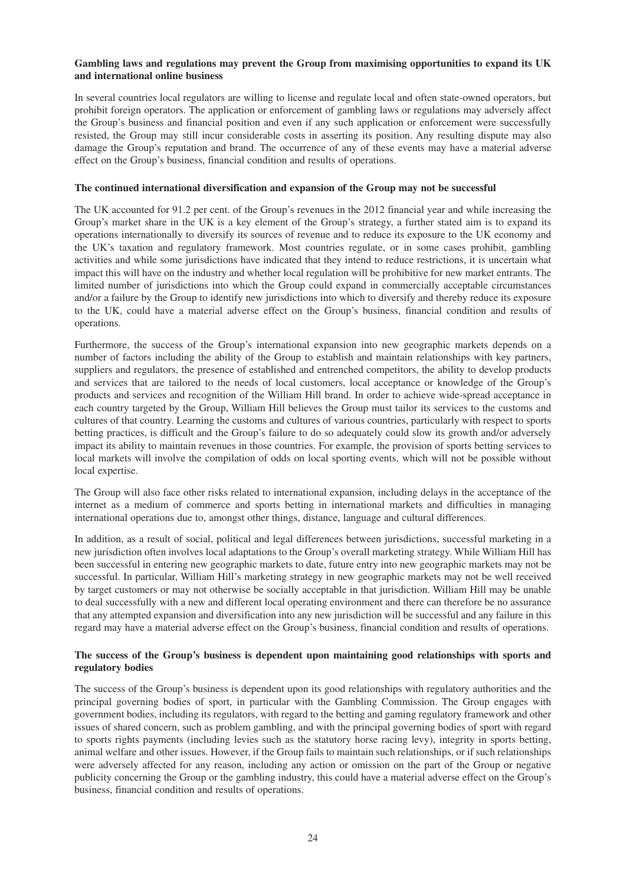#### **Gambling laws and regulations may prevent the Group from maximising opportunities to expand its UK and international online business**

In several countries local regulators are willing to license and regulate local and often state-owned operators, but prohibit foreign operators. The application or enforcement of gambling laws or regulations may adversely affect the Group's business and financial position and even if any such application or enforcement were successfully resisted, the Group may still incur considerable costs in asserting its position. Any resulting dispute may also damage the Group's reputation and brand. The occurrence of any of these events may have a material adverse effect on the Group's business, financial condition and results of operations.

#### **The continued international diversification and expansion of the Group may not be successful**

The UK accounted for 91.2 per cent. of the Group's revenues in the 2012 financial year and while increasing the Group's market share in the UK is a key element of the Group's strategy, a further stated aim is to expand its operations internationally to diversify its sources of revenue and to reduce its exposure to the UK economy and the UK's taxation and regulatory framework. Most countries regulate, or in some cases prohibit, gambling activities and while some jurisdictions have indicated that they intend to reduce restrictions, it is uncertain what impact this will have on the industry and whether local regulation will be prohibitive for new market entrants. The limited number of jurisdictions into which the Group could expand in commercially acceptable circumstances and/or a failure by the Group to identify new jurisdictions into which to diversify and thereby reduce its exposure to the UK, could have a material adverse effect on the Group's business, financial condition and results of operations.

Furthermore, the success of the Group's international expansion into new geographic markets depends on a number of factors including the ability of the Group to establish and maintain relationships with key partners, suppliers and regulators, the presence of established and entrenched competitors, the ability to develop products and services that are tailored to the needs of local customers, local acceptance or knowledge of the Group's products and services and recognition of the William Hill brand. In order to achieve wide-spread acceptance in each country targeted by the Group, William Hill believes the Group must tailor its services to the customs and cultures of that country. Learning the customs and cultures of various countries, particularly with respect to sports betting practices, is difficult and the Group's failure to do so adequately could slow its growth and/or adversely impact its ability to maintain revenues in those countries. For example, the provision of sports betting services to local markets will involve the compilation of odds on local sporting events, which will not be possible without local expertise.

The Group will also face other risks related to international expansion, including delays in the acceptance of the internet as a medium of commerce and sports betting in international markets and difficulties in managing international operations due to, amongst other things, distance, language and cultural differences.

In addition, as a result of social, political and legal differences between jurisdictions, successful marketing in a new jurisdiction often involves local adaptations to the Group's overall marketing strategy. While William Hill has been successful in entering new geographic markets to date, future entry into new geographic markets may not be successful. In particular, William Hill's marketing strategy in new geographic markets may not be well received by target customers or may not otherwise be socially acceptable in that jurisdiction. William Hill may be unable to deal successfully with a new and different local operating environment and there can therefore be no assurance that any attempted expansion and diversification into any new jurisdiction will be successful and any failure in this regard may have a material adverse effect on the Group's business, financial condition and results of operations.

#### **The success of the Group's business is dependent upon maintaining good relationships with sports and regulatory bodies**

The success of the Group's business is dependent upon its good relationships with regulatory authorities and the principal governing bodies of sport, in particular with the Gambling Commission. The Group engages with government bodies, including its regulators, with regard to the betting and gaming regulatory framework and other issues of shared concern, such as problem gambling, and with the principal governing bodies of sport with regard to sports rights payments (including levies such as the statutory horse racing levy), integrity in sports betting, animal welfare and other issues. However, if the Group fails to maintain such relationships, or if such relationships were adversely affected for any reason, including any action or omission on the part of the Group or negative publicity concerning the Group or the gambling industry, this could have a material adverse effect on the Group's business, financial condition and results of operations.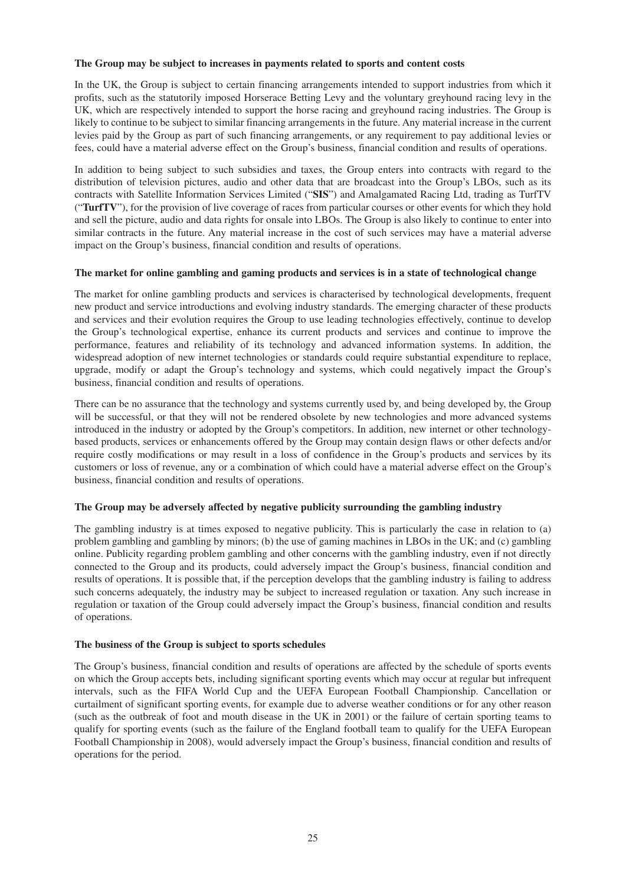#### **The Group may be subject to increases in payments related to sports and content costs**

In the UK, the Group is subject to certain financing arrangements intended to support industries from which it profits, such as the statutorily imposed Horserace Betting Levy and the voluntary greyhound racing levy in the UK, which are respectively intended to support the horse racing and greyhound racing industries. The Group is likely to continue to be subject to similar financing arrangements in the future. Any material increase in the current levies paid by the Group as part of such financing arrangements, or any requirement to pay additional levies or fees, could have a material adverse effect on the Group's business, financial condition and results of operations.

In addition to being subject to such subsidies and taxes, the Group enters into contracts with regard to the distribution of television pictures, audio and other data that are broadcast into the Group's LBOs, such as its contracts with Satellite Information Services Limited ("**SIS**") and Amalgamated Racing Ltd, trading as TurfTV ("**TurfTV**"), for the provision of live coverage of races from particular courses or other events for which they hold and sell the picture, audio and data rights for onsale into LBOs. The Group is also likely to continue to enter into similar contracts in the future. Any material increase in the cost of such services may have a material adverse impact on the Group's business, financial condition and results of operations.

#### **The market for online gambling and gaming products and services is in a state of technological change**

The market for online gambling products and services is characterised by technological developments, frequent new product and service introductions and evolving industry standards. The emerging character of these products and services and their evolution requires the Group to use leading technologies effectively, continue to develop the Group's technological expertise, enhance its current products and services and continue to improve the performance, features and reliability of its technology and advanced information systems. In addition, the widespread adoption of new internet technologies or standards could require substantial expenditure to replace, upgrade, modify or adapt the Group's technology and systems, which could negatively impact the Group's business, financial condition and results of operations.

There can be no assurance that the technology and systems currently used by, and being developed by, the Group will be successful, or that they will not be rendered obsolete by new technologies and more advanced systems introduced in the industry or adopted by the Group's competitors. In addition, new internet or other technologybased products, services or enhancements offered by the Group may contain design flaws or other defects and/or require costly modifications or may result in a loss of confidence in the Group's products and services by its customers or loss of revenue, any or a combination of which could have a material adverse effect on the Group's business, financial condition and results of operations.

#### **The Group may be adversely affected by negative publicity surrounding the gambling industry**

The gambling industry is at times exposed to negative publicity. This is particularly the case in relation to (a) problem gambling and gambling by minors; (b) the use of gaming machines in LBOs in the UK; and (c) gambling online. Publicity regarding problem gambling and other concerns with the gambling industry, even if not directly connected to the Group and its products, could adversely impact the Group's business, financial condition and results of operations. It is possible that, if the perception develops that the gambling industry is failing to address such concerns adequately, the industry may be subject to increased regulation or taxation. Any such increase in regulation or taxation of the Group could adversely impact the Group's business, financial condition and results of operations.

#### **The business of the Group is subject to sports schedules**

The Group's business, financial condition and results of operations are affected by the schedule of sports events on which the Group accepts bets, including significant sporting events which may occur at regular but infrequent intervals, such as the FIFA World Cup and the UEFA European Football Championship. Cancellation or curtailment of significant sporting events, for example due to adverse weather conditions or for any other reason (such as the outbreak of foot and mouth disease in the UK in 2001) or the failure of certain sporting teams to qualify for sporting events (such as the failure of the England football team to qualify for the UEFA European Football Championship in 2008), would adversely impact the Group's business, financial condition and results of operations for the period.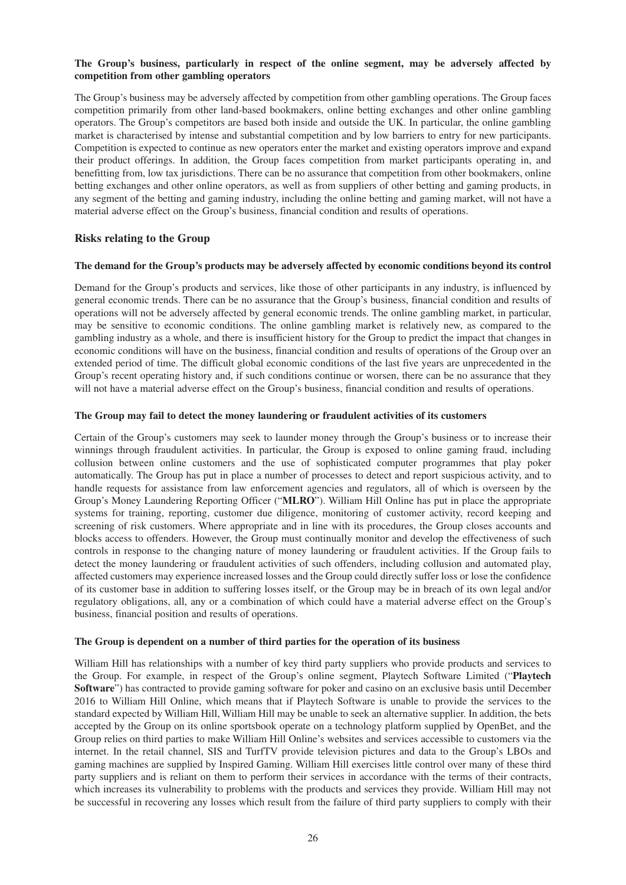#### **The Group's business, particularly in respect of the online segment, may be adversely affected by competition from other gambling operators**

The Group's business may be adversely affected by competition from other gambling operations. The Group faces competition primarily from other land-based bookmakers, online betting exchanges and other online gambling operators. The Group's competitors are based both inside and outside the UK. In particular, the online gambling market is characterised by intense and substantial competition and by low barriers to entry for new participants. Competition is expected to continue as new operators enter the market and existing operators improve and expand their product offerings. In addition, the Group faces competition from market participants operating in, and benefitting from, low tax jurisdictions. There can be no assurance that competition from other bookmakers, online betting exchanges and other online operators, as well as from suppliers of other betting and gaming products, in any segment of the betting and gaming industry, including the online betting and gaming market, will not have a material adverse effect on the Group's business, financial condition and results of operations.

#### **Risks relating to the Group**

#### **The demand for the Group's products may be adversely affected by economic conditions beyond its control**

Demand for the Group's products and services, like those of other participants in any industry, is influenced by general economic trends. There can be no assurance that the Group's business, financial condition and results of operations will not be adversely affected by general economic trends. The online gambling market, in particular, may be sensitive to economic conditions. The online gambling market is relatively new, as compared to the gambling industry as a whole, and there is insufficient history for the Group to predict the impact that changes in economic conditions will have on the business, financial condition and results of operations of the Group over an extended period of time. The difficult global economic conditions of the last five years are unprecedented in the Group's recent operating history and, if such conditions continue or worsen, there can be no assurance that they will not have a material adverse effect on the Group's business, financial condition and results of operations.

#### **The Group may fail to detect the money laundering or fraudulent activities of its customers**

Certain of the Group's customers may seek to launder money through the Group's business or to increase their winnings through fraudulent activities. In particular, the Group is exposed to online gaming fraud, including collusion between online customers and the use of sophisticated computer programmes that play poker automatically. The Group has put in place a number of processes to detect and report suspicious activity, and to handle requests for assistance from law enforcement agencies and regulators, all of which is overseen by the Group's Money Laundering Reporting Officer ("**MLRO**"). William Hill Online has put in place the appropriate systems for training, reporting, customer due diligence, monitoring of customer activity, record keeping and screening of risk customers. Where appropriate and in line with its procedures, the Group closes accounts and blocks access to offenders. However, the Group must continually monitor and develop the effectiveness of such controls in response to the changing nature of money laundering or fraudulent activities. If the Group fails to detect the money laundering or fraudulent activities of such offenders, including collusion and automated play, affected customers may experience increased losses and the Group could directly suffer loss or lose the confidence of its customer base in addition to suffering losses itself, or the Group may be in breach of its own legal and/or regulatory obligations, all, any or a combination of which could have a material adverse effect on the Group's business, financial position and results of operations.

#### **The Group is dependent on a number of third parties for the operation of its business**

William Hill has relationships with a number of key third party suppliers who provide products and services to the Group. For example, in respect of the Group's online segment, Playtech Software Limited ("**Playtech Software**") has contracted to provide gaming software for poker and casino on an exclusive basis until December 2016 to William Hill Online, which means that if Playtech Software is unable to provide the services to the standard expected by William Hill, William Hill may be unable to seek an alternative supplier. In addition, the bets accepted by the Group on its online sportsbook operate on a technology platform supplied by OpenBet, and the Group relies on third parties to make William Hill Online's websites and services accessible to customers via the internet. In the retail channel, SIS and TurfTV provide television pictures and data to the Group's LBOs and gaming machines are supplied by Inspired Gaming. William Hill exercises little control over many of these third party suppliers and is reliant on them to perform their services in accordance with the terms of their contracts, which increases its vulnerability to problems with the products and services they provide. William Hill may not be successful in recovering any losses which result from the failure of third party suppliers to comply with their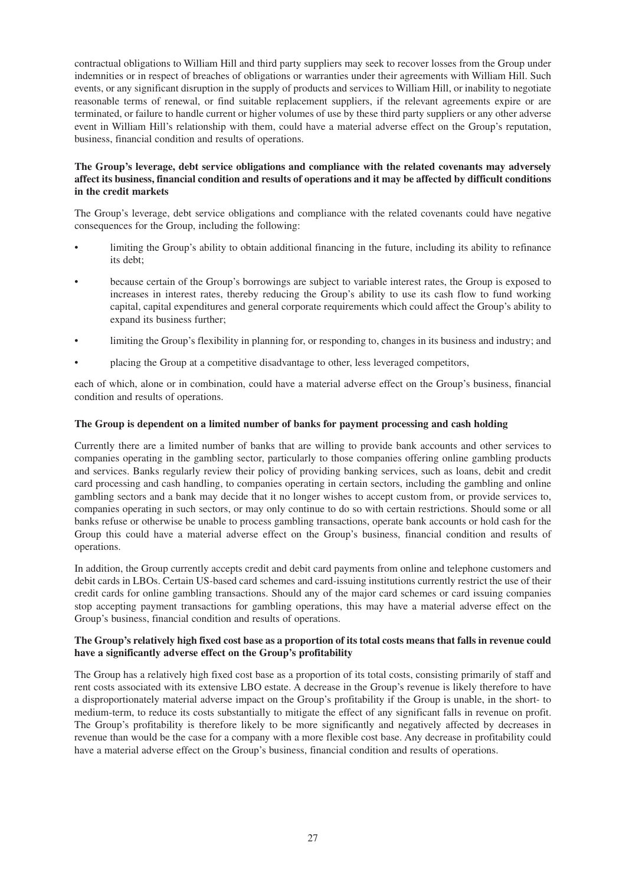contractual obligations to William Hill and third party suppliers may seek to recover losses from the Group under indemnities or in respect of breaches of obligations or warranties under their agreements with William Hill. Such events, or any significant disruption in the supply of products and services to William Hill, or inability to negotiate reasonable terms of renewal, or find suitable replacement suppliers, if the relevant agreements expire or are terminated, or failure to handle current or higher volumes of use by these third party suppliers or any other adverse event in William Hill's relationship with them, could have a material adverse effect on the Group's reputation, business, financial condition and results of operations.

#### **The Group's leverage, debt service obligations and compliance with the related covenants may adversely** affect its business, financial condition and results of operations and it may be affected by difficult conditions **in the credit markets**

The Group's leverage, debt service obligations and compliance with the related covenants could have negative consequences for the Group, including the following:

- limiting the Group's ability to obtain additional financing in the future, including its ability to refinance its debt;
- because certain of the Group's borrowings are subject to variable interest rates, the Group is exposed to increases in interest rates, thereby reducing the Group's ability to use its cash flow to fund working capital, capital expenditures and general corporate requirements which could affect the Group's ability to expand its business further;
- limiting the Group's flexibility in planning for, or responding to, changes in its business and industry; and
- placing the Group at a competitive disadvantage to other, less leveraged competitors,

each of which, alone or in combination, could have a material adverse effect on the Group's business, financial condition and results of operations.

#### **The Group is dependent on a limited number of banks for payment processing and cash holding**

Currently there are a limited number of banks that are willing to provide bank accounts and other services to companies operating in the gambling sector, particularly to those companies offering online gambling products and services. Banks regularly review their policy of providing banking services, such as loans, debit and credit card processing and cash handling, to companies operating in certain sectors, including the gambling and online gambling sectors and a bank may decide that it no longer wishes to accept custom from, or provide services to, companies operating in such sectors, or may only continue to do so with certain restrictions. Should some or all banks refuse or otherwise be unable to process gambling transactions, operate bank accounts or hold cash for the Group this could have a material adverse effect on the Group's business, financial condition and results of operations.

In addition, the Group currently accepts credit and debit card payments from online and telephone customers and debit cards in LBOs. Certain US-based card schemes and card-issuing institutions currently restrict the use of their credit cards for online gambling transactions. Should any of the major card schemes or card issuing companies stop accepting payment transactions for gambling operations, this may have a material adverse effect on the Group's business, financial condition and results of operations.

#### The Group's relatively high fixed cost base as a proportion of its total costs means that falls in revenue could **have a significantly adverse effect on the Group's profitability**

The Group has a relatively high fixed cost base as a proportion of its total costs, consisting primarily of staff and rent costs associated with its extensive LBO estate. A decrease in the Group's revenue is likely therefore to have a disproportionately material adverse impact on the Group's profitability if the Group is unable, in the short- to medium-term, to reduce its costs substantially to mitigate the effect of any significant falls in revenue on profit. The Group's profitability is therefore likely to be more significantly and negatively affected by decreases in revenue than would be the case for a company with a more flexible cost base. Any decrease in profitability could have a material adverse effect on the Group's business, financial condition and results of operations.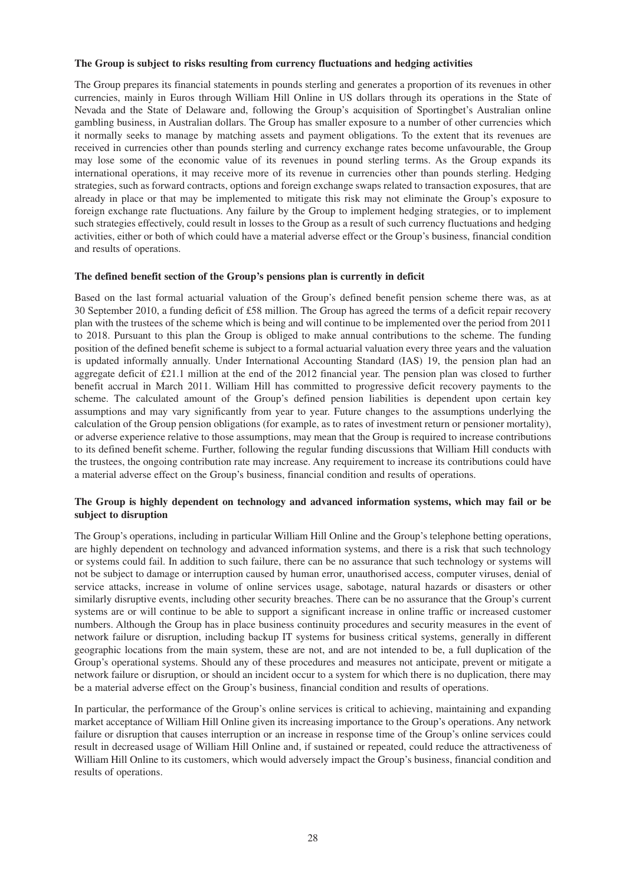#### **The Group is subject to risks resulting from currency fluctuations and hedging activities**

The Group prepares its financial statements in pounds sterling and generates a proportion of its revenues in other currencies, mainly in Euros through William Hill Online in US dollars through its operations in the State of Nevada and the State of Delaware and, following the Group's acquisition of Sportingbet's Australian online gambling business, in Australian dollars. The Group has smaller exposure to a number of other currencies which it normally seeks to manage by matching assets and payment obligations. To the extent that its revenues are received in currencies other than pounds sterling and currency exchange rates become unfavourable, the Group may lose some of the economic value of its revenues in pound sterling terms. As the Group expands its international operations, it may receive more of its revenue in currencies other than pounds sterling. Hedging strategies, such as forward contracts, options and foreign exchange swaps related to transaction exposures, that are already in place or that may be implemented to mitigate this risk may not eliminate the Group's exposure to foreign exchange rate fluctuations. Any failure by the Group to implement hedging strategies, or to implement such strategies effectively, could result in losses to the Group as a result of such currency fluctuations and hedging activities, either or both of which could have a material adverse effect or the Group's business, financial condition and results of operations.

#### **The defined benefit section of the Group's pensions plan is currently in deficit**

Based on the last formal actuarial valuation of the Group's defined benefit pension scheme there was, as at 30 September 2010, a funding deficit of £58 million. The Group has agreed the terms of a deficit repair recovery plan with the trustees of the scheme which is being and will continue to be implemented over the period from 2011 to 2018. Pursuant to this plan the Group is obliged to make annual contributions to the scheme. The funding position of the defined benefit scheme is subject to a formal actuarial valuation every three years and the valuation is updated informally annually. Under International Accounting Standard (IAS) 19, the pension plan had an aggregate deficit of £21.1 million at the end of the 2012 financial year. The pension plan was closed to further benefit accrual in March 2011. William Hill has committed to progressive deficit recovery payments to the scheme. The calculated amount of the Group's defined pension liabilities is dependent upon certain key assumptions and may vary significantly from year to year. Future changes to the assumptions underlying the calculation of the Group pension obligations (for example, as to rates of investment return or pensioner mortality), or adverse experience relative to those assumptions, may mean that the Group is required to increase contributions to its defined benefit scheme. Further, following the regular funding discussions that William Hill conducts with the trustees, the ongoing contribution rate may increase. Any requirement to increase its contributions could have a material adverse effect on the Group's business, financial condition and results of operations.

#### **The Group is highly dependent on technology and advanced information systems, which may fail or be subject to disruption**

The Group's operations, including in particular William Hill Online and the Group's telephone betting operations, are highly dependent on technology and advanced information systems, and there is a risk that such technology or systems could fail. In addition to such failure, there can be no assurance that such technology or systems will not be subject to damage or interruption caused by human error, unauthorised access, computer viruses, denial of service attacks, increase in volume of online services usage, sabotage, natural hazards or disasters or other similarly disruptive events, including other security breaches. There can be no assurance that the Group's current systems are or will continue to be able to support a significant increase in online traffic or increased customer numbers. Although the Group has in place business continuity procedures and security measures in the event of network failure or disruption, including backup IT systems for business critical systems, generally in different geographic locations from the main system, these are not, and are not intended to be, a full duplication of the Group's operational systems. Should any of these procedures and measures not anticipate, prevent or mitigate a network failure or disruption, or should an incident occur to a system for which there is no duplication, there may be a material adverse effect on the Group's business, financial condition and results of operations.

In particular, the performance of the Group's online services is critical to achieving, maintaining and expanding market acceptance of William Hill Online given its increasing importance to the Group's operations. Any network failure or disruption that causes interruption or an increase in response time of the Group's online services could result in decreased usage of William Hill Online and, if sustained or repeated, could reduce the attractiveness of William Hill Online to its customers, which would adversely impact the Group's business, financial condition and results of operations.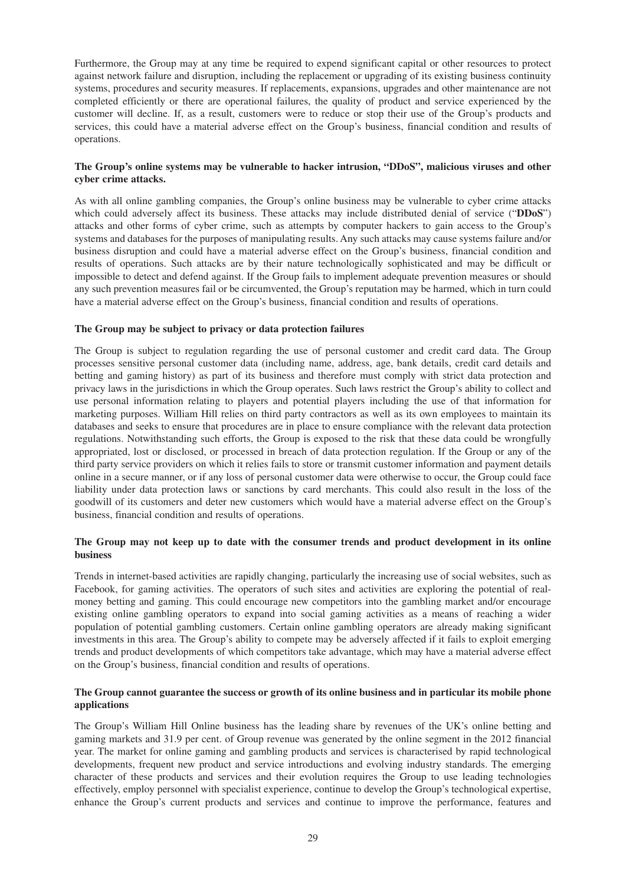Furthermore, the Group may at any time be required to expend significant capital or other resources to protect against network failure and disruption, including the replacement or upgrading of its existing business continuity systems, procedures and security measures. If replacements, expansions, upgrades and other maintenance are not completed efficiently or there are operational failures, the quality of product and service experienced by the customer will decline. If, as a result, customers were to reduce or stop their use of the Group's products and services, this could have a material adverse effect on the Group's business, financial condition and results of operations.

#### **The Group's online systems may be vulnerable to hacker intrusion, "DDoS", malicious viruses and other cyber crime attacks.**

As with all online gambling companies, the Group's online business may be vulnerable to cyber crime attacks which could adversely affect its business. These attacks may include distributed denial of service ("**DDoS**") attacks and other forms of cyber crime, such as attempts by computer hackers to gain access to the Group's systems and databases for the purposes of manipulating results. Any such attacks may cause systems failure and/or business disruption and could have a material adverse effect on the Group's business, financial condition and results of operations. Such attacks are by their nature technologically sophisticated and may be difficult or impossible to detect and defend against. If the Group fails to implement adequate prevention measures or should any such prevention measures fail or be circumvented, the Group's reputation may be harmed, which in turn could have a material adverse effect on the Group's business, financial condition and results of operations.

#### **The Group may be subject to privacy or data protection failures**

The Group is subject to regulation regarding the use of personal customer and credit card data. The Group processes sensitive personal customer data (including name, address, age, bank details, credit card details and betting and gaming history) as part of its business and therefore must comply with strict data protection and privacy laws in the jurisdictions in which the Group operates. Such laws restrict the Group's ability to collect and use personal information relating to players and potential players including the use of that information for marketing purposes. William Hill relies on third party contractors as well as its own employees to maintain its databases and seeks to ensure that procedures are in place to ensure compliance with the relevant data protection regulations. Notwithstanding such efforts, the Group is exposed to the risk that these data could be wrongfully appropriated, lost or disclosed, or processed in breach of data protection regulation. If the Group or any of the third party service providers on which it relies fails to store or transmit customer information and payment details online in a secure manner, or if any loss of personal customer data were otherwise to occur, the Group could face liability under data protection laws or sanctions by card merchants. This could also result in the loss of the goodwill of its customers and deter new customers which would have a material adverse effect on the Group's business, financial condition and results of operations.

#### **The Group may not keep up to date with the consumer trends and product development in its online business**

Trends in internet-based activities are rapidly changing, particularly the increasing use of social websites, such as Facebook, for gaming activities. The operators of such sites and activities are exploring the potential of realmoney betting and gaming. This could encourage new competitors into the gambling market and/or encourage existing online gambling operators to expand into social gaming activities as a means of reaching a wider population of potential gambling customers. Certain online gambling operators are already making significant investments in this area. The Group's ability to compete may be adversely affected if it fails to exploit emerging trends and product developments of which competitors take advantage, which may have a material adverse effect on the Group's business, financial condition and results of operations.

#### The Group cannot guarantee the success or growth of its online business and in particular its mobile phone **applications**

The Group's William Hill Online business has the leading share by revenues of the UK's online betting and gaming markets and 31.9 per cent. of Group revenue was generated by the online segment in the 2012 financial year. The market for online gaming and gambling products and services is characterised by rapid technological developments, frequent new product and service introductions and evolving industry standards. The emerging character of these products and services and their evolution requires the Group to use leading technologies effectively, employ personnel with specialist experience, continue to develop the Group's technological expertise, enhance the Group's current products and services and continue to improve the performance, features and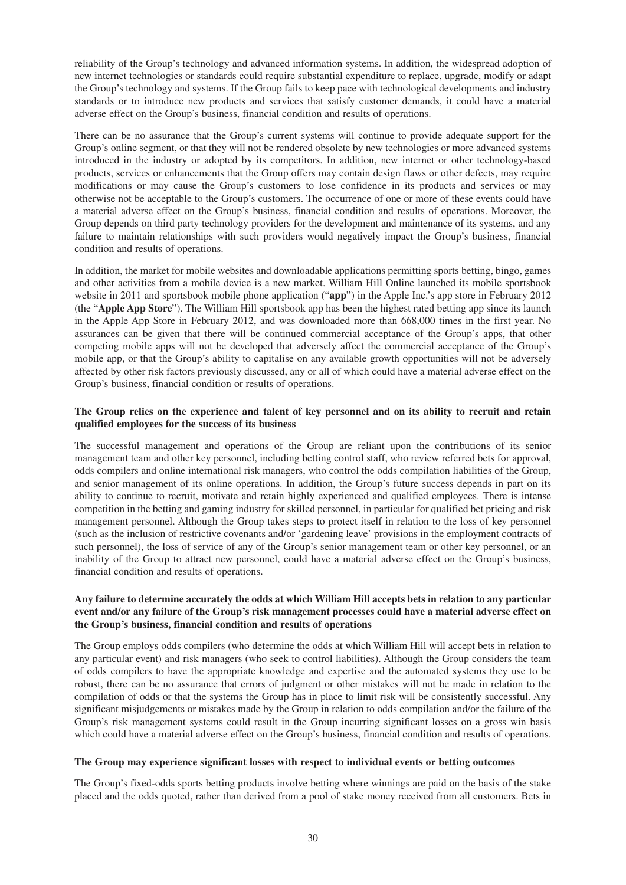reliability of the Group's technology and advanced information systems. In addition, the widespread adoption of new internet technologies or standards could require substantial expenditure to replace, upgrade, modify or adapt the Group's technology and systems. If the Group fails to keep pace with technological developments and industry standards or to introduce new products and services that satisfy customer demands, it could have a material adverse effect on the Group's business, financial condition and results of operations.

There can be no assurance that the Group's current systems will continue to provide adequate support for the Group's online segment, or that they will not be rendered obsolete by new technologies or more advanced systems introduced in the industry or adopted by its competitors. In addition, new internet or other technology-based products, services or enhancements that the Group offers may contain design flaws or other defects, may require modifications or may cause the Group's customers to lose confidence in its products and services or may otherwise not be acceptable to the Group's customers. The occurrence of one or more of these events could have a material adverse effect on the Group's business, financial condition and results of operations. Moreover, the Group depends on third party technology providers for the development and maintenance of its systems, and any failure to maintain relationships with such providers would negatively impact the Group's business, financial condition and results of operations.

In addition, the market for mobile websites and downloadable applications permitting sports betting, bingo, games and other activities from a mobile device is a new market. William Hill Online launched its mobile sportsbook website in 2011 and sportsbook mobile phone application ("**app**") in the Apple Inc.'s app store in February 2012 (the "**Apple App Store**"). The William Hill sportsbook app has been the highest rated betting app since its launch in the Apple App Store in February 2012, and was downloaded more than 668,000 times in the first year. No assurances can be given that there will be continued commercial acceptance of the Group's apps, that other competing mobile apps will not be developed that adversely affect the commercial acceptance of the Group's mobile app, or that the Group's ability to capitalise on any available growth opportunities will not be adversely affected by other risk factors previously discussed, any or all of which could have a material adverse effect on the Group's business, financial condition or results of operations.

#### The Group relies on the experience and talent of key personnel and on its ability to recruit and retain **qualified employees for the success of its business**

The successful management and operations of the Group are reliant upon the contributions of its senior management team and other key personnel, including betting control staff, who review referred bets for approval, odds compilers and online international risk managers, who control the odds compilation liabilities of the Group, and senior management of its online operations. In addition, the Group's future success depends in part on its ability to continue to recruit, motivate and retain highly experienced and qualified employees. There is intense competition in the betting and gaming industry for skilled personnel, in particular for qualified bet pricing and risk management personnel. Although the Group takes steps to protect itself in relation to the loss of key personnel (such as the inclusion of restrictive covenants and/or 'gardening leave' provisions in the employment contracts of such personnel), the loss of service of any of the Group's senior management team or other key personnel, or an inability of the Group to attract new personnel, could have a material adverse effect on the Group's business, financial condition and results of operations.

#### Any failure to determine accurately the odds at which William Hill accepts bets in relation to any particular **event and/or any failure of the Group's risk management processes could have a material adverse effect on the Group's business, financial condition and results of operations**

The Group employs odds compilers (who determine the odds at which William Hill will accept bets in relation to any particular event) and risk managers (who seek to control liabilities). Although the Group considers the team of odds compilers to have the appropriate knowledge and expertise and the automated systems they use to be robust, there can be no assurance that errors of judgment or other mistakes will not be made in relation to the compilation of odds or that the systems the Group has in place to limit risk will be consistently successful. Any significant misjudgements or mistakes made by the Group in relation to odds compilation and/or the failure of the Group's risk management systems could result in the Group incurring significant losses on a gross win basis which could have a material adverse effect on the Group's business, financial condition and results of operations.

#### **The Group may experience significant losses with respect to individual events or betting outcomes**

The Group's fixed-odds sports betting products involve betting where winnings are paid on the basis of the stake placed and the odds quoted, rather than derived from a pool of stake money received from all customers. Bets in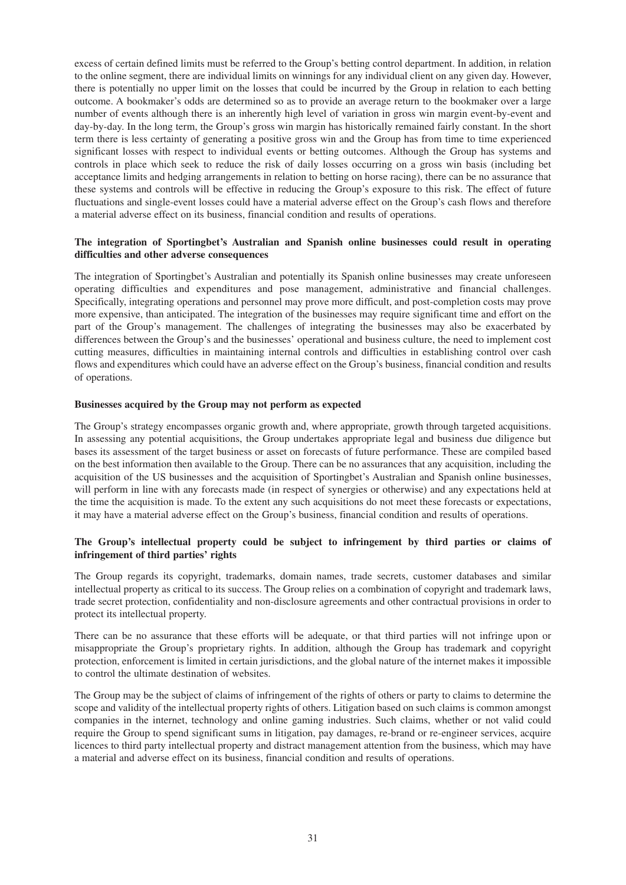excess of certain defined limits must be referred to the Group's betting control department. In addition, in relation to the online segment, there are individual limits on winnings for any individual client on any given day. However, there is potentially no upper limit on the losses that could be incurred by the Group in relation to each betting outcome. A bookmaker's odds are determined so as to provide an average return to the bookmaker over a large number of events although there is an inherently high level of variation in gross win margin event-by-event and day-by-day. In the long term, the Group's gross win margin has historically remained fairly constant. In the short term there is less certainty of generating a positive gross win and the Group has from time to time experienced significant losses with respect to individual events or betting outcomes. Although the Group has systems and controls in place which seek to reduce the risk of daily losses occurring on a gross win basis (including bet acceptance limits and hedging arrangements in relation to betting on horse racing), there can be no assurance that these systems and controls will be effective in reducing the Group's exposure to this risk. The effect of future fluctuations and single-event losses could have a material adverse effect on the Group's cash flows and therefore a material adverse effect on its business, financial condition and results of operations.

#### **The integration of Sportingbet's Australian and Spanish online businesses could result in operating difficulties and other adverse consequences**

The integration of Sportingbet's Australian and potentially its Spanish online businesses may create unforeseen operating difficulties and expenditures and pose management, administrative and financial challenges. Specifically, integrating operations and personnel may prove more difficult, and post-completion costs may prove more expensive, than anticipated. The integration of the businesses may require significant time and effort on the part of the Group's management. The challenges of integrating the businesses may also be exacerbated by differences between the Group's and the businesses' operational and business culture, the need to implement cost cutting measures, difficulties in maintaining internal controls and difficulties in establishing control over cash flows and expenditures which could have an adverse effect on the Group's business, financial condition and results of operations.

#### **Businesses acquired by the Group may not perform as expected**

The Group's strategy encompasses organic growth and, where appropriate, growth through targeted acquisitions. In assessing any potential acquisitions, the Group undertakes appropriate legal and business due diligence but bases its assessment of the target business or asset on forecasts of future performance. These are compiled based on the best information then available to the Group. There can be no assurances that any acquisition, including the acquisition of the US businesses and the acquisition of Sportingbet's Australian and Spanish online businesses, will perform in line with any forecasts made (in respect of synergies or otherwise) and any expectations held at the time the acquisition is made. To the extent any such acquisitions do not meet these forecasts or expectations, it may have a material adverse effect on the Group's business, financial condition and results of operations.

#### **The Group's intellectual property could be subject to infringement by third parties or claims of infringement of third parties' rights**

The Group regards its copyright, trademarks, domain names, trade secrets, customer databases and similar intellectual property as critical to its success. The Group relies on a combination of copyright and trademark laws, trade secret protection, confidentiality and non-disclosure agreements and other contractual provisions in order to protect its intellectual property.

There can be no assurance that these efforts will be adequate, or that third parties will not infringe upon or misappropriate the Group's proprietary rights. In addition, although the Group has trademark and copyright protection, enforcement is limited in certain jurisdictions, and the global nature of the internet makes it impossible to control the ultimate destination of websites.

The Group may be the subject of claims of infringement of the rights of others or party to claims to determine the scope and validity of the intellectual property rights of others. Litigation based on such claims is common amongst companies in the internet, technology and online gaming industries. Such claims, whether or not valid could require the Group to spend significant sums in litigation, pay damages, re-brand or re-engineer services, acquire licences to third party intellectual property and distract management attention from the business, which may have a material and adverse effect on its business, financial condition and results of operations.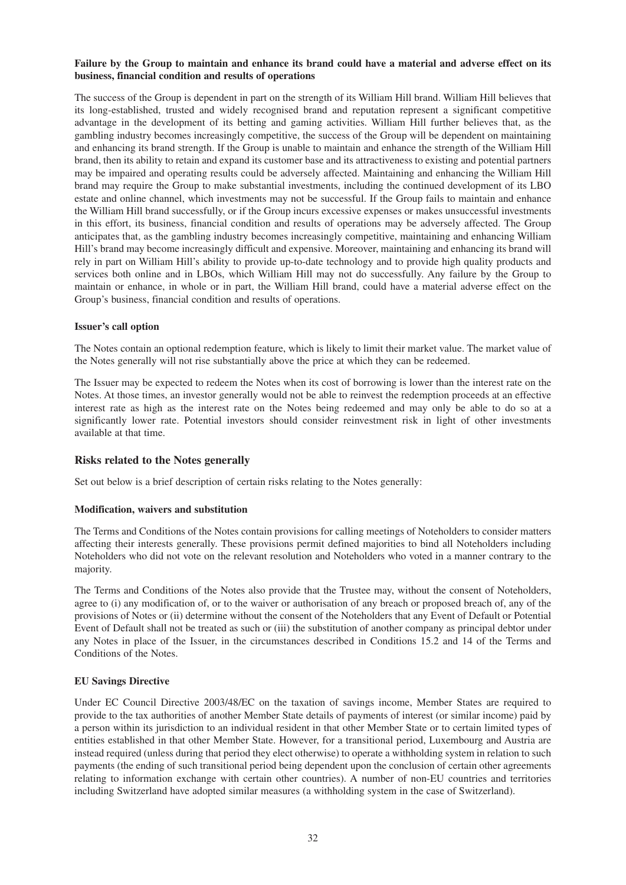#### Failure by the Group to maintain and enhance its brand could have a material and adverse effect on its **business, financial condition and results of operations**

The success of the Group is dependent in part on the strength of its William Hill brand. William Hill believes that its long-established, trusted and widely recognised brand and reputation represent a significant competitive advantage in the development of its betting and gaming activities. William Hill further believes that, as the gambling industry becomes increasingly competitive, the success of the Group will be dependent on maintaining and enhancing its brand strength. If the Group is unable to maintain and enhance the strength of the William Hill brand, then its ability to retain and expand its customer base and its attractiveness to existing and potential partners may be impaired and operating results could be adversely affected. Maintaining and enhancing the William Hill brand may require the Group to make substantial investments, including the continued development of its LBO estate and online channel, which investments may not be successful. If the Group fails to maintain and enhance the William Hill brand successfully, or if the Group incurs excessive expenses or makes unsuccessful investments in this effort, its business, financial condition and results of operations may be adversely affected. The Group anticipates that, as the gambling industry becomes increasingly competitive, maintaining and enhancing William Hill's brand may become increasingly difficult and expensive. Moreover, maintaining and enhancing its brand will rely in part on William Hill's ability to provide up-to-date technology and to provide high quality products and services both online and in LBOs, which William Hill may not do successfully. Any failure by the Group to maintain or enhance, in whole or in part, the William Hill brand, could have a material adverse effect on the Group's business, financial condition and results of operations.

#### **Issuer's call option**

The Notes contain an optional redemption feature, which is likely to limit their market value. The market value of the Notes generally will not rise substantially above the price at which they can be redeemed.

The Issuer may be expected to redeem the Notes when its cost of borrowing is lower than the interest rate on the Notes. At those times, an investor generally would not be able to reinvest the redemption proceeds at an effective interest rate as high as the interest rate on the Notes being redeemed and may only be able to do so at a significantly lower rate. Potential investors should consider reinvestment risk in light of other investments available at that time.

#### **Risks related to the Notes generally**

Set out below is a brief description of certain risks relating to the Notes generally:

#### **Modification, waivers and substitution**

The Terms and Conditions of the Notes contain provisions for calling meetings of Noteholders to consider matters affecting their interests generally. These provisions permit defined majorities to bind all Noteholders including Noteholders who did not vote on the relevant resolution and Noteholders who voted in a manner contrary to the majority.

The Terms and Conditions of the Notes also provide that the Trustee may, without the consent of Noteholders, agree to (i) any modification of, or to the waiver or authorisation of any breach or proposed breach of, any of the provisions of Notes or (ii) determine without the consent of the Noteholders that any Event of Default or Potential Event of Default shall not be treated as such or (iii) the substitution of another company as principal debtor under any Notes in place of the Issuer, in the circumstances described in Conditions 15.2 and 14 of the Terms and Conditions of the Notes.

#### **EU Savings Directive**

Under EC Council Directive 2003/48/EC on the taxation of savings income, Member States are required to provide to the tax authorities of another Member State details of payments of interest (or similar income) paid by a person within its jurisdiction to an individual resident in that other Member State or to certain limited types of entities established in that other Member State. However, for a transitional period, Luxembourg and Austria are instead required (unless during that period they elect otherwise) to operate a withholding system in relation to such payments (the ending of such transitional period being dependent upon the conclusion of certain other agreements relating to information exchange with certain other countries). A number of non-EU countries and territories including Switzerland have adopted similar measures (a withholding system in the case of Switzerland).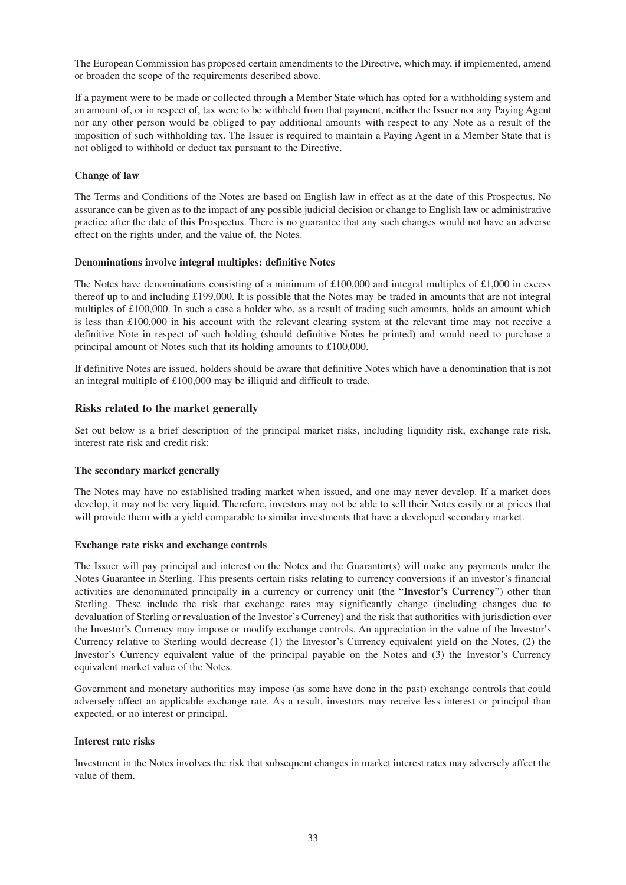The European Commission has proposed certain amendments to the Directive, which may, if implemented, amend or broaden the scope of the requirements described above.

If a payment were to be made or collected through a Member State which has opted for a withholding system and an amount of, or in respect of, tax were to be withheld from that payment, neither the Issuer nor any Paying Agent nor any other person would be obliged to pay additional amounts with respect to any Note as a result of the imposition of such withholding tax. The Issuer is required to maintain a Paying Agent in a Member State that is not obliged to withhold or deduct tax pursuant to the Directive.

#### **Change of law**

The Terms and Conditions of the Notes are based on English law in effect as at the date of this Prospectus. No assurance can be given as to the impact of any possible judicial decision or change to English law or administrative practice after the date of this Prospectus. There is no guarantee that any such changes would not have an adverse effect on the rights under, and the value of, the Notes.

#### **Denominations involve integral multiples: definitive Notes**

The Notes have denominations consisting of a minimum of £100,000 and integral multiples of £1,000 in excess thereof up to and including £199,000. It is possible that the Notes may be traded in amounts that are not integral multiples of £100,000. In such a case a holder who, as a result of trading such amounts, holds an amount which is less than £100,000 in his account with the relevant clearing system at the relevant time may not receive a definitive Note in respect of such holding (should definitive Notes be printed) and would need to purchase a principal amount of Notes such that its holding amounts to £100,000.

If definitive Notes are issued, holders should be aware that definitive Notes which have a denomination that is not an integral multiple of £100,000 may be illiquid and difficult to trade.

#### **Risks related to the market generally**

Set out below is a brief description of the principal market risks, including liquidity risk, exchange rate risk, interest rate risk and credit risk:

#### **The secondary market generally**

The Notes may have no established trading market when issued, and one may never develop. If a market does develop, it may not be very liquid. Therefore, investors may not be able to sell their Notes easily or at prices that will provide them with a yield comparable to similar investments that have a developed secondary market.

#### **Exchange rate risks and exchange controls**

The Issuer will pay principal and interest on the Notes and the Guarantor(s) will make any payments under the Notes Guarantee in Sterling. This presents certain risks relating to currency conversions if an investor's financial activities are denominated principally in a currency or currency unit (the "**Investor's Currency**") other than Sterling. These include the risk that exchange rates may significantly change (including changes due to devaluation of Sterling or revaluation of the Investor's Currency) and the risk that authorities with jurisdiction over the Investor's Currency may impose or modify exchange controls. An appreciation in the value of the Investor's Currency relative to Sterling would decrease (1) the Investor's Currency equivalent yield on the Notes, (2) the Investor's Currency equivalent value of the principal payable on the Notes and (3) the Investor's Currency equivalent market value of the Notes.

Government and monetary authorities may impose (as some have done in the past) exchange controls that could adversely affect an applicable exchange rate. As a result, investors may receive less interest or principal than expected, or no interest or principal.

#### **Interest rate risks**

Investment in the Notes involves the risk that subsequent changes in market interest rates may adversely affect the value of them.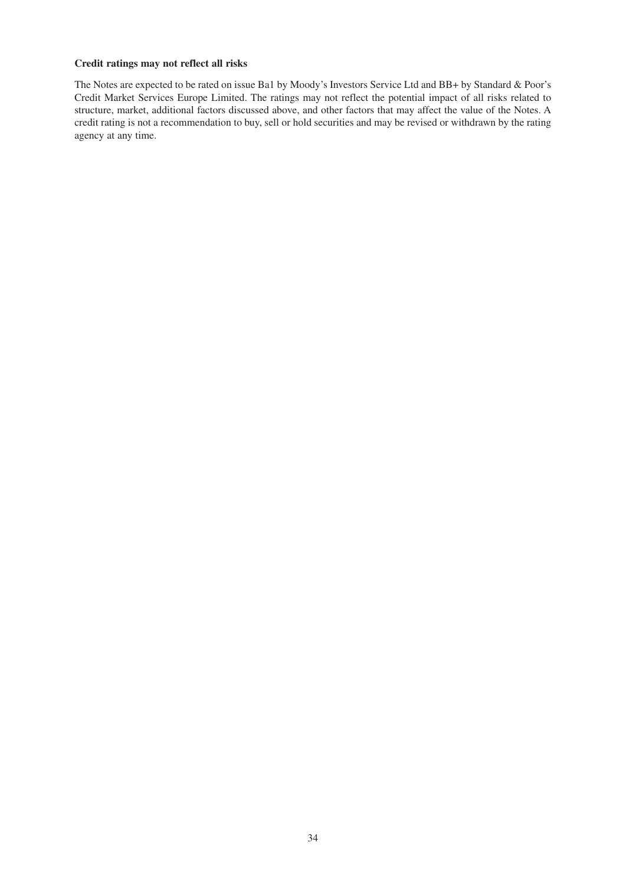## **Credit ratings may not reflect all risks**

The Notes are expected to be rated on issue Ba1 by Moody's Investors Service Ltd and BB+ by Standard & Poor's Credit Market Services Europe Limited. The ratings may not reflect the potential impact of all risks related to structure, market, additional factors discussed above, and other factors that may affect the value of the Notes. A credit rating is not a recommendation to buy, sell or hold securities and may be revised or withdrawn by the rating agency at any time.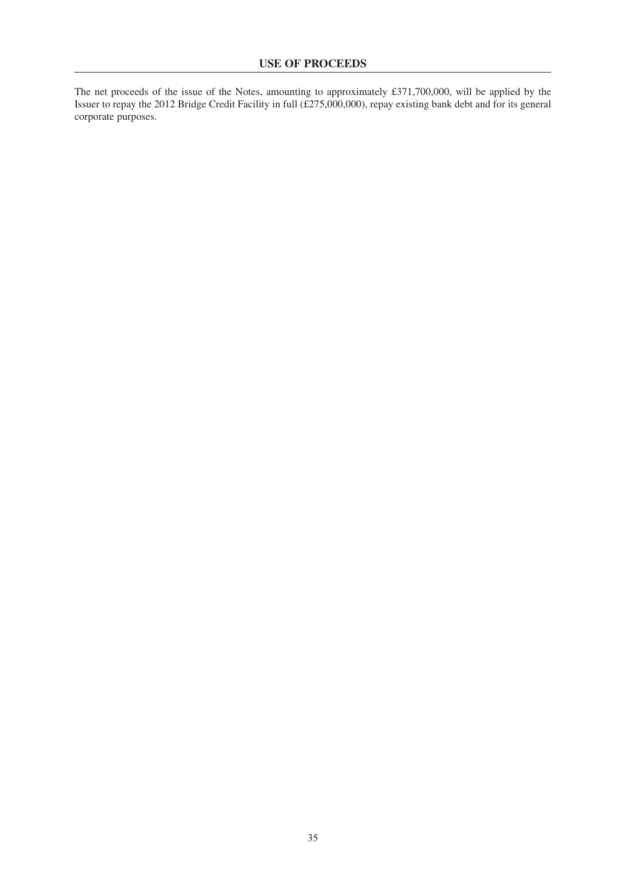The net proceeds of the issue of the Notes, amounting to approximately £371,700,000, will be applied by the Issuer to repay the 2012 Bridge Credit Facility in full (£275,000,000), repay existing bank debt and for its general corporate purposes.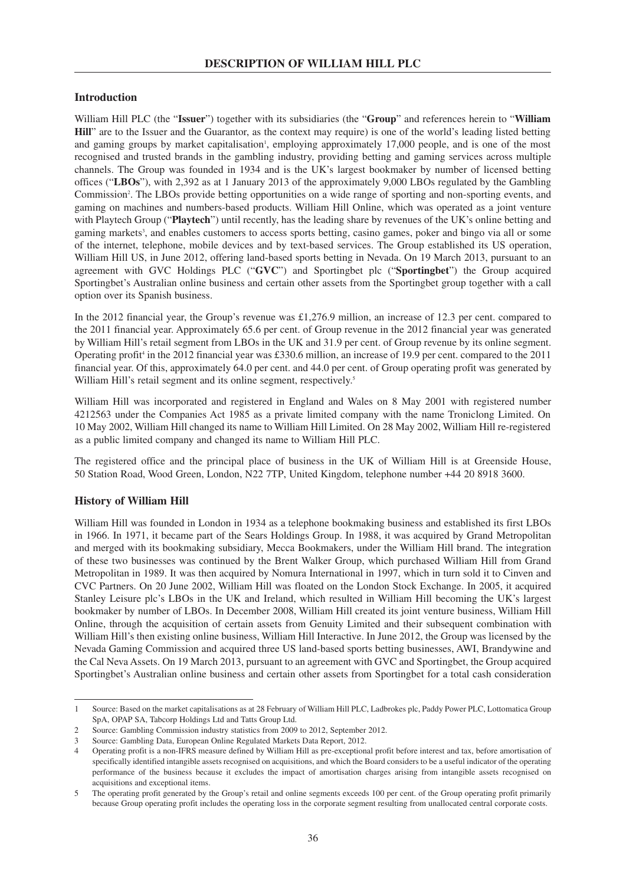### **Introduction**

William Hill PLC (the "**Issuer**") together with its subsidiaries (the "**Group**" and references herein to "**William Hill**" are to the Issuer and the Guarantor, as the context may require) is one of the world's leading listed betting and gaming groups by market capitalisation<sup>1</sup>, employing approximately 17,000 people, and is one of the most recognised and trusted brands in the gambling industry, providing betting and gaming services across multiple channels. The Group was founded in 1934 and is the UK's largest bookmaker by number of licensed betting offices ("**LBOs**"), with 2,392 as at 1 January 2013 of the approximately 9,000 LBOs regulated by the Gambling Commission<sup>2</sup>. The LBOs provide betting opportunities on a wide range of sporting and non-sporting events, and gaming on machines and numbers-based products. William Hill Online, which was operated as a joint venture with Playtech Group ("**Playtech**") until recently, has the leading share by revenues of the UK's online betting and gaming markets<sup>3</sup>, and enables customers to access sports betting, casino games, poker and bingo via all or some of the internet, telephone, mobile devices and by text-based services. The Group established its US operation, William Hill US, in June 2012, offering land-based sports betting in Nevada. On 19 March 2013, pursuant to an agreement with GVC Holdings PLC ("**GVC**") and Sportingbet plc ("**Sportingbet**") the Group acquired Sportingbet's Australian online business and certain other assets from the Sportingbet group together with a call option over its Spanish business.

In the 2012 financial year, the Group's revenue was £1,276.9 million, an increase of 12.3 per cent. compared to the 2011 financial year. Approximately 65.6 per cent. of Group revenue in the 2012 financial year was generated by William Hill's retail segment from LBOs in the UK and 31.9 per cent. of Group revenue by its online segment. Operating profit <sup>4</sup> in the 2012 financial year was £330.6 million, an increase of 19.9 per cent. compared to the 2011 financial year. Of this, approximately 64.0 per cent. and 44.0 per cent. of Group operating profit was generated by William Hill's retail segment and its online segment, respectively.<sup>5</sup>

William Hill was incorporated and registered in England and Wales on 8 May 2001 with registered number 4212563 under the Companies Act 1985 as a private limited company with the name Troniclong Limited. On 10 May 2002, William Hill changed its name to William Hill Limited. On 28 May 2002, William Hill re-registered as a public limited company and changed its name to William Hill PLC.

The registered office and the principal place of business in the UK of William Hill is at Greenside House, 50 Station Road, Wood Green, London, N22 7TP, United Kingdom, telephone number +44 20 8918 3600.

### **History of William Hill**

William Hill was founded in London in 1934 as a telephone bookmaking business and established its first LBOs in 1966. In 1971, it became part of the Sears Holdings Group. In 1988, it was acquired by Grand Metropolitan and merged with its bookmaking subsidiary, Mecca Bookmakers, under the William Hill brand. The integration of these two businesses was continued by the Brent Walker Group, which purchased William Hill from Grand Metropolitan in 1989. It was then acquired by Nomura International in 1997, which in turn sold it to Cinven and CVC Partners. On 20 June 2002, William Hill was floated on the London Stock Exchange. In 2005, it acquired Stanley Leisure plc's LBOs in the UK and Ireland, which resulted in William Hill becoming the UK's largest bookmaker by number of LBOs. In December 2008, William Hill created its joint venture business, William Hill Online, through the acquisition of certain assets from Genuity Limited and their subsequent combination with William Hill's then existing online business, William Hill Interactive. In June 2012, the Group was licensed by the Nevada Gaming Commission and acquired three US land-based sports betting businesses, AWI, Brandywine and the Cal Neva Assets. On 19 March 2013, pursuant to an agreement with GVC and Sportingbet, the Group acquired Sportingbet's Australian online business and certain other assets from Sportingbet for a total cash consideration

<sup>1</sup> Source: Based on the market capitalisations as at 28 February of William Hill PLC, Ladbrokes plc, Paddy Power PLC, Lottomatica Group SpA, OPAP SA, Tabcorp Holdings Ltd and Tatts Group Ltd.

<sup>2</sup> Source: Gambling Commission industry statistics from 2009 to 2012, September 2012.

<sup>3</sup> Source: Gambling Data, European Online Regulated Markets Data Report, 2012.

<sup>4</sup> Operating profit is a non-IFRS measure defined by William Hill as pre-exceptional profit before interest and tax, before amortisation of specifically identified intangible assets recognised on acquisitions, and which the Board considers to be a useful indicator of the operating performance of the business because it excludes the impact of amortisation charges arising from intangible assets recognised on acquisitions and exceptional items.

<sup>5</sup> The operating profit generated by the Group's retail and online segments exceeds 100 per cent. of the Group operating profit primarily because Group operating profit includes the operating loss in the corporate segment resulting from unallocated central corporate costs.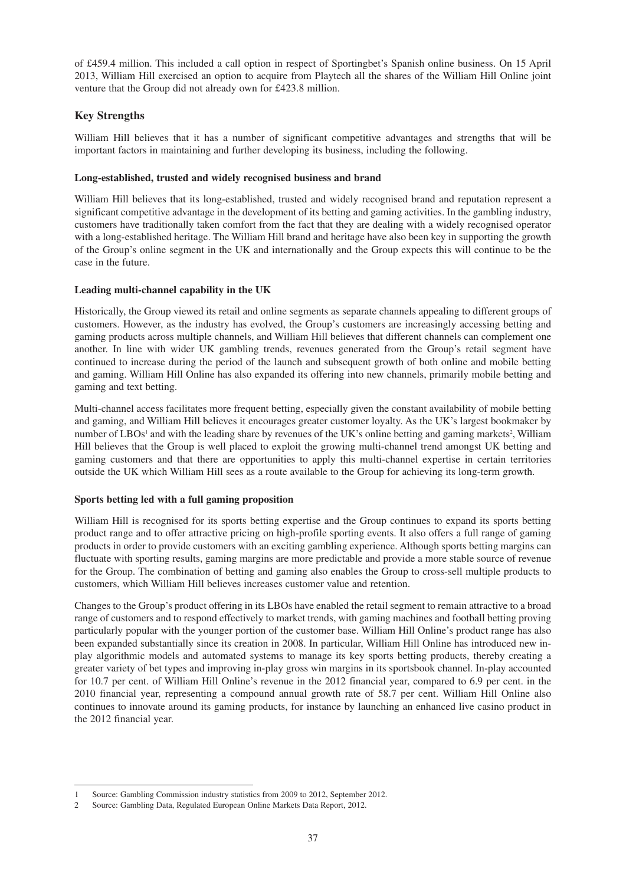of £459.4 million. This included a call option in respect of Sportingbet's Spanish online business. On 15 April 2013, William Hill exercised an option to acquire from Playtech all the shares of the William Hill Online joint venture that the Group did not already own for £423.8 million.

# **Key Strengths**

William Hill believes that it has a number of significant competitive advantages and strengths that will be important factors in maintaining and further developing its business, including the following.

## **Long-established, trusted and widely recognised business and brand**

William Hill believes that its long-established, trusted and widely recognised brand and reputation represent a significant competitive advantage in the development of its betting and gaming activities. In the gambling industry, customers have traditionally taken comfort from the fact that they are dealing with a widely recognised operator with a long-established heritage. The William Hill brand and heritage have also been key in supporting the growth of the Group's online segment in the UK and internationally and the Group expects this will continue to be the case in the future.

## **Leading multi-channel capability in the UK**

Historically, the Group viewed its retail and online segments as separate channels appealing to different groups of customers. However, as the industry has evolved, the Group's customers are increasingly accessing betting and gaming products across multiple channels, and William Hill believes that different channels can complement one another. In line with wider UK gambling trends, revenues generated from the Group's retail segment have continued to increase during the period of the launch and subsequent growth of both online and mobile betting and gaming. William Hill Online has also expanded its offering into new channels, primarily mobile betting and gaming and text betting.

Multi-channel access facilitates more frequent betting, especially given the constant availability of mobile betting and gaming, and William Hill believes it encourages greater customer loyalty. As the UK's largest bookmaker by number of LBOs<sup>1</sup> and with the leading share by revenues of the UK's online betting and gaming markets<sup>2</sup>, William Hill believes that the Group is well placed to exploit the growing multi-channel trend amongst UK betting and gaming customers and that there are opportunities to apply this multi-channel expertise in certain territories outside the UK which William Hill sees as a route available to the Group for achieving its long-term growth.

# **Sports betting led with a full gaming proposition**

William Hill is recognised for its sports betting expertise and the Group continues to expand its sports betting product range and to offer attractive pricing on high-profile sporting events. It also offers a full range of gaming products in order to provide customers with an exciting gambling experience. Although sports betting margins can fluctuate with sporting results, gaming margins are more predictable and provide a more stable source of revenue for the Group. The combination of betting and gaming also enables the Group to cross-sell multiple products to customers, which William Hill believes increases customer value and retention.

Changes to the Group's product offering in its LBOs have enabled the retail segment to remain attractive to a broad range of customers and to respond effectively to market trends, with gaming machines and football betting proving particularly popular with the younger portion of the customer base. William Hill Online's product range has also been expanded substantially since its creation in 2008. In particular, William Hill Online has introduced new inplay algorithmic models and automated systems to manage its key sports betting products, thereby creating a greater variety of bet types and improving in-play gross win margins in its sportsbook channel. In-play accounted for 10.7 per cent. of William Hill Online's revenue in the 2012 financial year, compared to 6.9 per cent. in the 2010 financial year, representing a compound annual growth rate of 58.7 per cent. William Hill Online also continues to innovate around its gaming products, for instance by launching an enhanced live casino product in the 2012 financial year.

<sup>1</sup> Source: Gambling Commission industry statistics from 2009 to 2012, September 2012.

<sup>2</sup> Source: Gambling Data, Regulated European Online Markets Data Report, 2012.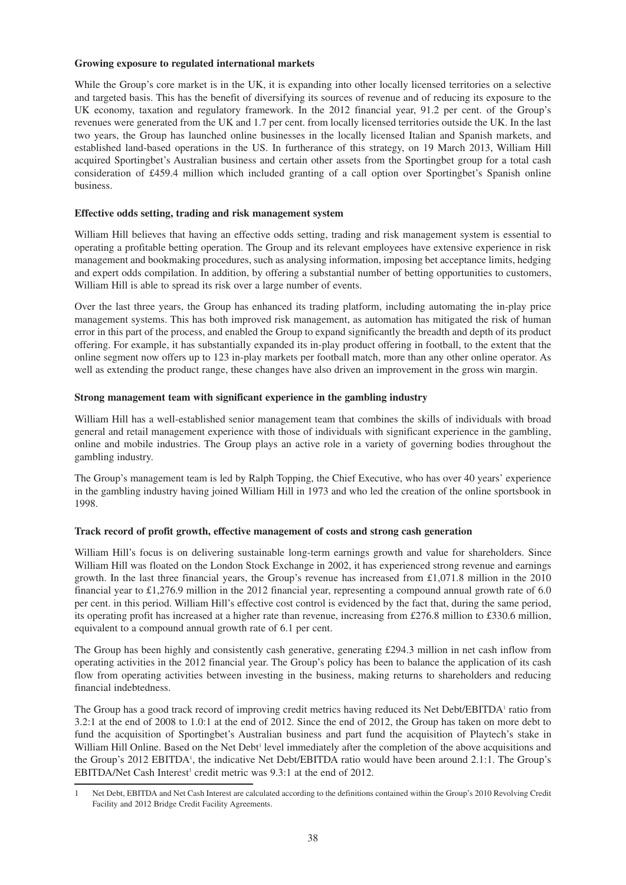#### **Growing exposure to regulated international markets**

While the Group's core market is in the UK, it is expanding into other locally licensed territories on a selective and targeted basis. This has the benefit of diversifying its sources of revenue and of reducing its exposure to the UK economy, taxation and regulatory framework. In the 2012 financial year, 91.2 per cent. of the Group's revenues were generated from the UK and 1.7 per cent. from locally licensed territories outside the UK. In the last two years, the Group has launched online businesses in the locally licensed Italian and Spanish markets, and established land-based operations in the US. In furtherance of this strategy, on 19 March 2013, William Hill acquired Sportingbet's Australian business and certain other assets from the Sportingbet group for a total cash consideration of £459.4 million which included granting of a call option over Sportingbet's Spanish online business.

## **Effective odds setting, trading and risk management system**

William Hill believes that having an effective odds setting, trading and risk management system is essential to operating a profitable betting operation. The Group and its relevant employees have extensive experience in risk management and bookmaking procedures, such as analysing information, imposing bet acceptance limits, hedging and expert odds compilation. In addition, by offering a substantial number of betting opportunities to customers, William Hill is able to spread its risk over a large number of events.

Over the last three years, the Group has enhanced its trading platform, including automating the in-play price management systems. This has both improved risk management, as automation has mitigated the risk of human error in this part of the process, and enabled the Group to expand significantly the breadth and depth of its product offering. For example, it has substantially expanded its in-play product offering in football, to the extent that the online segment now offers up to 123 in-play markets per football match, more than any other online operator. As well as extending the product range, these changes have also driven an improvement in the gross win margin.

## **Strong management team with significant experience in the gambling industry**

William Hill has a well-established senior management team that combines the skills of individuals with broad general and retail management experience with those of individuals with significant experience in the gambling, online and mobile industries. The Group plays an active role in a variety of governing bodies throughout the gambling industry.

The Group's management team is led by Ralph Topping, the Chief Executive, who has over 40 years' experience in the gambling industry having joined William Hill in 1973 and who led the creation of the online sportsbook in 1998.

# **Track record of profit growth, effective management of costs and strong cash generation**

William Hill's focus is on delivering sustainable long-term earnings growth and value for shareholders. Since William Hill was floated on the London Stock Exchange in 2002, it has experienced strong revenue and earnings growth. In the last three financial years, the Group's revenue has increased from  $\text{\pounds}1,071.8$  million in the 2010 financial year to £1,276.9 million in the 2012 financial year, representing a compound annual growth rate of 6.0 per cent. in this period. William Hill's effective cost control is evidenced by the fact that, during the same period, its operating profit has increased at a higher rate than revenue, increasing from £276.8 million to £330.6 million, equivalent to a compound annual growth rate of 6.1 per cent.

The Group has been highly and consistently cash generative, generating £294.3 million in net cash inflow from operating activities in the 2012 financial year. The Group's policy has been to balance the application of its cash flow from operating activities between investing in the business, making returns to shareholders and reducing financial indebtedness.

The Group has a good track record of improving credit metrics having reduced its Net Debt/EBITDA<sup>1</sup> ratio from 3.2:1 at the end of 2008 to 1.0:1 at the end of 2012. Since the end of 2012, the Group has taken on more debt to fund the acquisition of Sportingbet's Australian business and part fund the acquisition of Playtech's stake in William Hill Online. Based on the Net Debt<sup>1</sup> level immediately after the completion of the above acquisitions and the Group's 2012 EBITDA<sup>1</sup>, the indicative Net Debt/EBITDA ratio would have been around 2.1:1. The Group's EBITDA/Net Cash Interest<sup>1</sup> credit metric was 9.3:1 at the end of 2012.

<sup>1</sup> Net Debt, EBITDA and Net Cash Interest are calculated according to the definitions contained within the Group's 2010 Revolving Credit Facility and 2012 Bridge Credit Facility Agreements.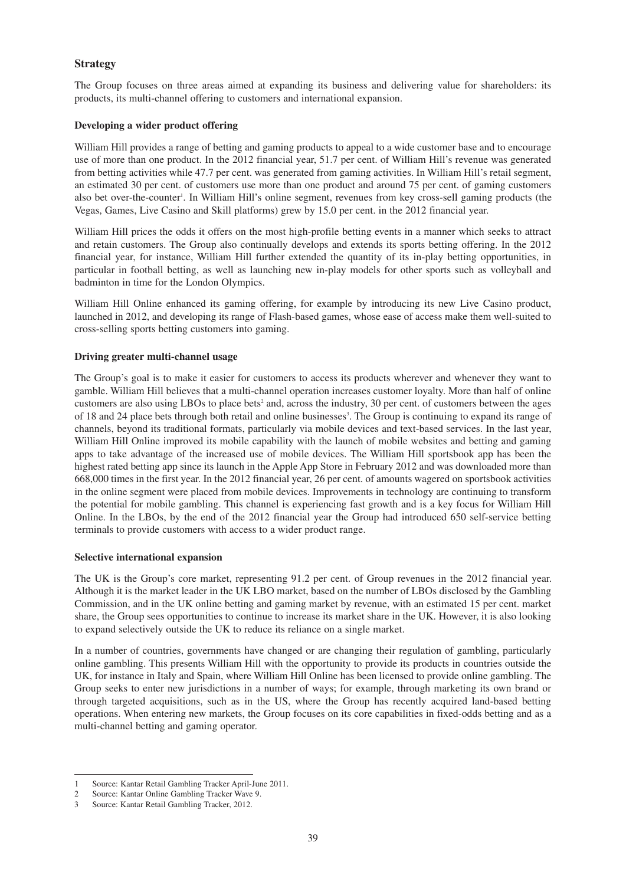## **Strategy**

The Group focuses on three areas aimed at expanding its business and delivering value for shareholders: its products, its multi-channel offering to customers and international expansion.

#### **Developing a wider product offering**

William Hill provides a range of betting and gaming products to appeal to a wide customer base and to encourage use of more than one product. In the 2012 financial year, 51.7 per cent. of William Hill's revenue was generated from betting activities while 47.7 per cent. was generated from gaming activities. In William Hill's retail segment, an estimated 30 per cent. of customers use more than one product and around 75 per cent. of gaming customers also bet over-the-counter 1 . In William Hill's online segment, revenues from key cross-sell gaming products (the Vegas, Games, Live Casino and Skill platforms) grew by 15.0 per cent. in the 2012 financial year.

William Hill prices the odds it offers on the most high-profile betting events in a manner which seeks to attract and retain customers. The Group also continually develops and extends its sports betting offering. In the 2012 financial year, for instance, William Hill further extended the quantity of its in-play betting opportunities, in particular in football betting, as well as launching new in-play models for other sports such as volleyball and badminton in time for the London Olympics.

William Hill Online enhanced its gaming offering, for example by introducing its new Live Casino product, launched in 2012, and developing its range of Flash-based games, whose ease of access make them well-suited to cross-selling sports betting customers into gaming.

### **Driving greater multi-channel usage**

The Group's goal is to make it easier for customers to access its products wherever and whenever they want to gamble. William Hill believes that a multi-channel operation increases customer loyalty. More than half of online customers are also using LBOs to place bets<sup>2</sup> and, across the industry, 30 per cent. of customers between the ages of 18 and 24 place bets through both retail and online businesses<sup>3</sup>. The Group is continuing to expand its range of channels, beyond its traditional formats, particularly via mobile devices and text-based services. In the last year, William Hill Online improved its mobile capability with the launch of mobile websites and betting and gaming apps to take advantage of the increased use of mobile devices. The William Hill sportsbook app has been the highest rated betting app since its launch in the Apple App Store in February 2012 and was downloaded more than 668,000 times in the first year. In the 2012 financial year, 26 per cent. of amounts wagered on sportsbook activities in the online segment were placed from mobile devices. Improvements in technology are continuing to transform the potential for mobile gambling. This channel is experiencing fast growth and is a key focus for William Hill Online. In the LBOs, by the end of the 2012 financial year the Group had introduced 650 self-service betting terminals to provide customers with access to a wider product range.

#### **Selective international expansion**

The UK is the Group's core market, representing 91.2 per cent. of Group revenues in the 2012 financial year. Although it is the market leader in the UK LBO market, based on the number of LBOs disclosed by the Gambling Commission, and in the UK online betting and gaming market by revenue, with an estimated 15 per cent. market share, the Group sees opportunities to continue to increase its market share in the UK. However, it is also looking to expand selectively outside the UK to reduce its reliance on a single market.

In a number of countries, governments have changed or are changing their regulation of gambling, particularly online gambling. This presents William Hill with the opportunity to provide its products in countries outside the UK, for instance in Italy and Spain, where William Hill Online has been licensed to provide online gambling. The Group seeks to enter new jurisdictions in a number of ways; for example, through marketing its own brand or through targeted acquisitions, such as in the US, where the Group has recently acquired land-based betting operations. When entering new markets, the Group focuses on its core capabilities in fixed-odds betting and as a multi-channel betting and gaming operator.

<sup>1</sup> Source: Kantar Retail Gambling Tracker April-June 2011.

<sup>2</sup> Source: Kantar Online Gambling Tracker Wave 9.

<sup>3</sup> Source: Kantar Retail Gambling Tracker, 2012.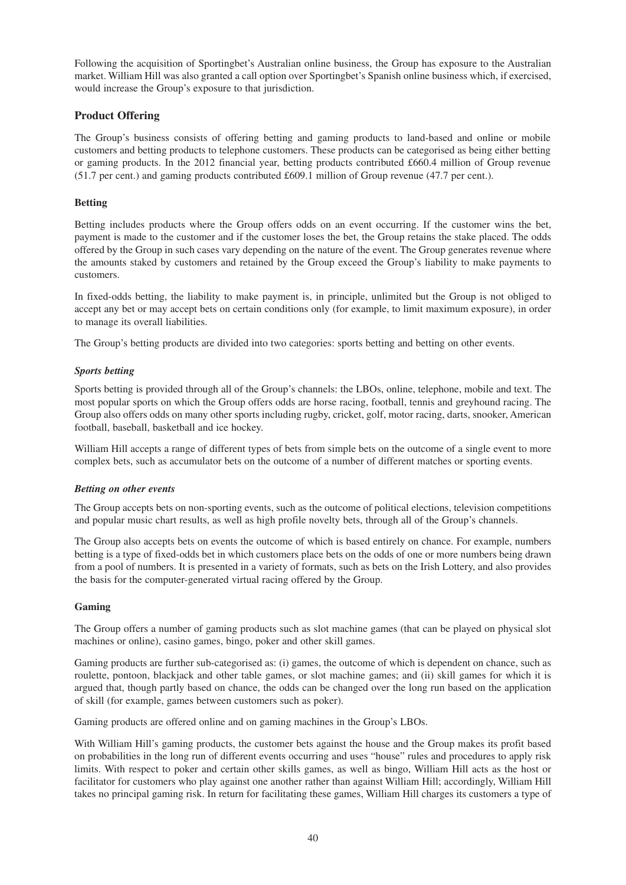Following the acquisition of Sportingbet's Australian online business, the Group has exposure to the Australian market. William Hill was also granted a call option over Sportingbet's Spanish online business which, if exercised, would increase the Group's exposure to that jurisdiction.

# **Product Offering**

The Group's business consists of offering betting and gaming products to land-based and online or mobile customers and betting products to telephone customers. These products can be categorised as being either betting or gaming products. In the 2012 financial year, betting products contributed £660.4 million of Group revenue (51.7 per cent.) and gaming products contributed £609.1 million of Group revenue (47.7 per cent.).

## **Betting**

Betting includes products where the Group offers odds on an event occurring. If the customer wins the bet, payment is made to the customer and if the customer loses the bet, the Group retains the stake placed. The odds offered by the Group in such cases vary depending on the nature of the event. The Group generates revenue where the amounts staked by customers and retained by the Group exceed the Group's liability to make payments to customers.

In fixed-odds betting, the liability to make payment is, in principle, unlimited but the Group is not obliged to accept any bet or may accept bets on certain conditions only (for example, to limit maximum exposure), in order to manage its overall liabilities.

The Group's betting products are divided into two categories: sports betting and betting on other events.

### *Sports betting*

Sports betting is provided through all of the Group's channels: the LBOs, online, telephone, mobile and text. The most popular sports on which the Group offers odds are horse racing, football, tennis and greyhound racing. The Group also offers odds on many other sports including rugby, cricket, golf, motor racing, darts, snooker, American football, baseball, basketball and ice hockey.

William Hill accepts a range of different types of bets from simple bets on the outcome of a single event to more complex bets, such as accumulator bets on the outcome of a number of different matches or sporting events.

### *Betting on other events*

The Group accepts bets on non-sporting events, such as the outcome of political elections, television competitions and popular music chart results, as well as high profile novelty bets, through all of the Group's channels.

The Group also accepts bets on events the outcome of which is based entirely on chance. For example, numbers betting is a type of fixed-odds bet in which customers place bets on the odds of one or more numbers being drawn from a pool of numbers. It is presented in a variety of formats, such as bets on the Irish Lottery, and also provides the basis for the computer-generated virtual racing offered by the Group.

### **Gaming**

The Group offers a number of gaming products such as slot machine games (that can be played on physical slot machines or online), casino games, bingo, poker and other skill games.

Gaming products are further sub-categorised as: (i) games, the outcome of which is dependent on chance, such as roulette, pontoon, blackjack and other table games, or slot machine games; and (ii) skill games for which it is argued that, though partly based on chance, the odds can be changed over the long run based on the application of skill (for example, games between customers such as poker).

Gaming products are offered online and on gaming machines in the Group's LBOs.

With William Hill's gaming products, the customer bets against the house and the Group makes its profit based on probabilities in the long run of different events occurring and uses "house" rules and procedures to apply risk limits. With respect to poker and certain other skills games, as well as bingo, William Hill acts as the host or facilitator for customers who play against one another rather than against William Hill; accordingly, William Hill takes no principal gaming risk. In return for facilitating these games, William Hill charges its customers a type of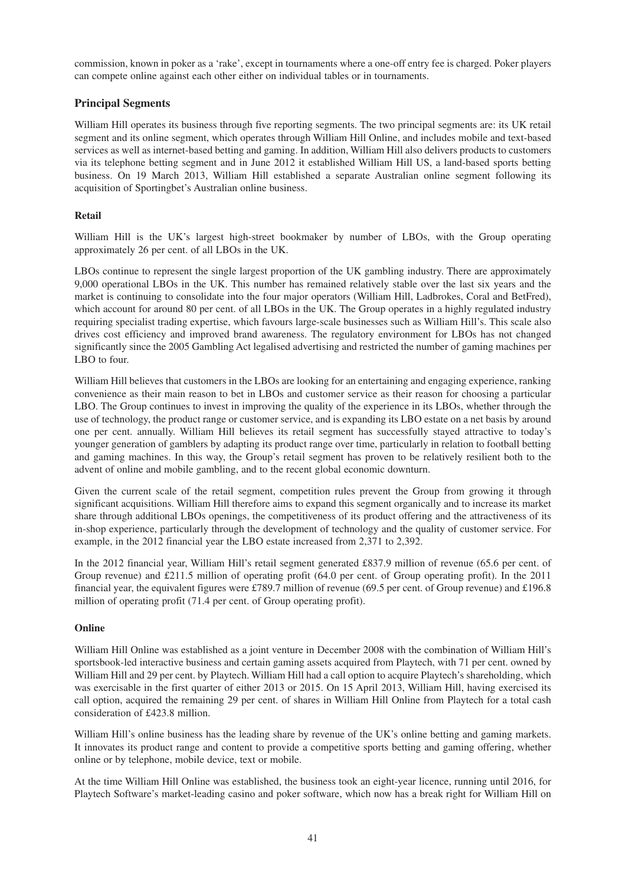commission, known in poker as a 'rake', except in tournaments where a one-off entry fee is charged. Poker players can compete online against each other either on individual tables or in tournaments.

# **Principal Segments**

William Hill operates its business through five reporting segments. The two principal segments are: its UK retail segment and its online segment, which operates through William Hill Online, and includes mobile and text-based services as well as internet-based betting and gaming. In addition, William Hill also delivers products to customers via its telephone betting segment and in June 2012 it established William Hill US, a land-based sports betting business. On 19 March 2013, William Hill established a separate Australian online segment following its acquisition of Sportingbet's Australian online business.

## **Retail**

William Hill is the UK's largest high-street bookmaker by number of LBOs, with the Group operating approximately 26 per cent. of all LBOs in the UK.

LBOs continue to represent the single largest proportion of the UK gambling industry. There are approximately 9,000 operational LBOs in the UK. This number has remained relatively stable over the last six years and the market is continuing to consolidate into the four major operators (William Hill, Ladbrokes, Coral and BetFred), which account for around 80 per cent. of all LBOs in the UK. The Group operates in a highly regulated industry requiring specialist trading expertise, which favours large-scale businesses such as William Hill's. This scale also drives cost efficiency and improved brand awareness. The regulatory environment for LBOs has not changed significantly since the 2005 Gambling Act legalised advertising and restricted the number of gaming machines per LBO to four.

William Hill believes that customers in the LBOs are looking for an entertaining and engaging experience, ranking convenience as their main reason to bet in LBOs and customer service as their reason for choosing a particular LBO. The Group continues to invest in improving the quality of the experience in its LBOs, whether through the use of technology, the product range or customer service, and is expanding its LBO estate on a net basis by around one per cent. annually. William Hill believes its retail segment has successfully stayed attractive to today's younger generation of gamblers by adapting its product range over time, particularly in relation to football betting and gaming machines. In this way, the Group's retail segment has proven to be relatively resilient both to the advent of online and mobile gambling, and to the recent global economic downturn.

Given the current scale of the retail segment, competition rules prevent the Group from growing it through significant acquisitions. William Hill therefore aims to expand this segment organically and to increase its market share through additional LBOs openings, the competitiveness of its product offering and the attractiveness of its in-shop experience, particularly through the development of technology and the quality of customer service. For example, in the 2012 financial year the LBO estate increased from 2,371 to 2,392.

In the 2012 financial year, William Hill's retail segment generated £837.9 million of revenue (65.6 per cent. of Group revenue) and £211.5 million of operating profit (64.0 per cent. of Group operating profit). In the 2011 financial year, the equivalent figures were £789.7 million of revenue (69.5 per cent. of Group revenue) and £196.8 million of operating profit (71.4 per cent. of Group operating profit).

### **Online**

William Hill Online was established as a joint venture in December 2008 with the combination of William Hill's sportsbook-led interactive business and certain gaming assets acquired from Playtech, with 71 per cent. owned by William Hill and 29 per cent. by Playtech. William Hill had a call option to acquire Playtech's shareholding, which was exercisable in the first quarter of either 2013 or 2015. On 15 April 2013, William Hill, having exercised its call option, acquired the remaining 29 per cent. of shares in William Hill Online from Playtech for a total cash consideration of £423.8 million.

William Hill's online business has the leading share by revenue of the UK's online betting and gaming markets. It innovates its product range and content to provide a competitive sports betting and gaming offering, whether online or by telephone, mobile device, text or mobile.

At the time William Hill Online was established, the business took an eight-year licence, running until 2016, for Playtech Software's market-leading casino and poker software, which now has a break right for William Hill on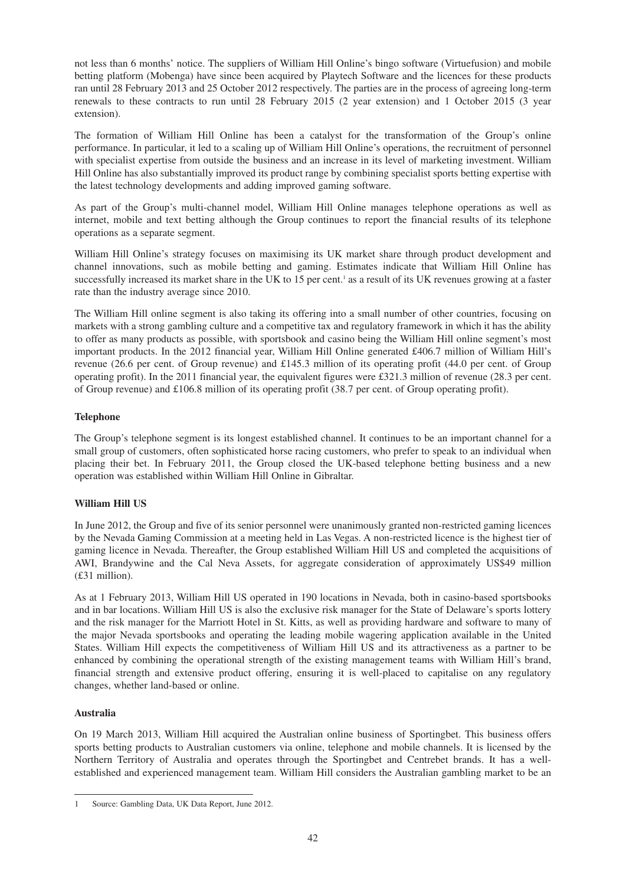not less than 6 months' notice. The suppliers of William Hill Online's bingo software (Virtuefusion) and mobile betting platform (Mobenga) have since been acquired by Playtech Software and the licences for these products ran until 28 February 2013 and 25 October 2012 respectively. The parties are in the process of agreeing long-term renewals to these contracts to run until 28 February 2015 (2 year extension) and 1 October 2015 (3 year extension).

The formation of William Hill Online has been a catalyst for the transformation of the Group's online performance. In particular, it led to a scaling up of William Hill Online's operations, the recruitment of personnel with specialist expertise from outside the business and an increase in its level of marketing investment. William Hill Online has also substantially improved its product range by combining specialist sports betting expertise with the latest technology developments and adding improved gaming software.

As part of the Group's multi-channel model, William Hill Online manages telephone operations as well as internet, mobile and text betting although the Group continues to report the financial results of its telephone operations as a separate segment.

William Hill Online's strategy focuses on maximising its UK market share through product development and channel innovations, such as mobile betting and gaming. Estimates indicate that William Hill Online has successfully increased its market share in the UK to 15 per cent.<sup>1</sup> as a result of its UK revenues growing at a faster rate than the industry average since 2010.

The William Hill online segment is also taking its offering into a small number of other countries, focusing on markets with a strong gambling culture and a competitive tax and regulatory framework in which it has the ability to offer as many products as possible, with sportsbook and casino being the William Hill online segment's most important products. In the 2012 financial year, William Hill Online generated £406.7 million of William Hill's revenue (26.6 per cent. of Group revenue) and £145.3 million of its operating profit (44.0 per cent. of Group operating profit). In the 2011 financial year, the equivalent figures were £321.3 million of revenue (28.3 per cent. of Group revenue) and £106.8 million of its operating profit (38.7 per cent. of Group operating profit).

# **Telephone**

The Group's telephone segment is its longest established channel. It continues to be an important channel for a small group of customers, often sophisticated horse racing customers, who prefer to speak to an individual when placing their bet. In February 2011, the Group closed the UK-based telephone betting business and a new operation was established within William Hill Online in Gibraltar.

# **William Hill US**

In June 2012, the Group and five of its senior personnel were unanimously granted non-restricted gaming licences by the Nevada Gaming Commission at a meeting held in Las Vegas. A non-restricted licence is the highest tier of gaming licence in Nevada. Thereafter, the Group established William Hill US and completed the acquisitions of AWI, Brandywine and the Cal Neva Assets, for aggregate consideration of approximately US\$49 million (£31 million).

As at 1 February 2013, William Hill US operated in 190 locations in Nevada, both in casino-based sportsbooks and in bar locations. William Hill US is also the exclusive risk manager for the State of Delaware's sports lottery and the risk manager for the Marriott Hotel in St. Kitts, as well as providing hardware and software to many of the major Nevada sportsbooks and operating the leading mobile wagering application available in the United States. William Hill expects the competitiveness of William Hill US and its attractiveness as a partner to be enhanced by combining the operational strength of the existing management teams with William Hill's brand, financial strength and extensive product offering, ensuring it is well-placed to capitalise on any regulatory changes, whether land-based or online.

# **Australia**

On 19 March 2013, William Hill acquired the Australian online business of Sportingbet. This business offers sports betting products to Australian customers via online, telephone and mobile channels. It is licensed by the Northern Territory of Australia and operates through the Sportingbet and Centrebet brands. It has a wellestablished and experienced management team. William Hill considers the Australian gambling market to be an

<sup>1</sup> Source: Gambling Data, UK Data Report, June 2012.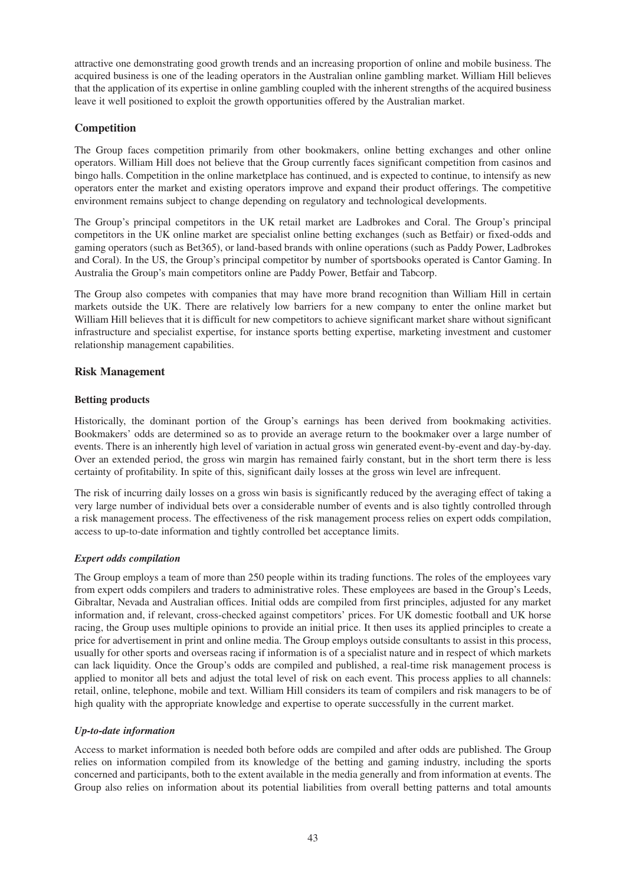attractive one demonstrating good growth trends and an increasing proportion of online and mobile business. The acquired business is one of the leading operators in the Australian online gambling market. William Hill believes that the application of its expertise in online gambling coupled with the inherent strengths of the acquired business leave it well positioned to exploit the growth opportunities offered by the Australian market.

# **Competition**

The Group faces competition primarily from other bookmakers, online betting exchanges and other online operators. William Hill does not believe that the Group currently faces significant competition from casinos and bingo halls. Competition in the online marketplace has continued, and is expected to continue, to intensify as new operators enter the market and existing operators improve and expand their product offerings. The competitive environment remains subject to change depending on regulatory and technological developments.

The Group's principal competitors in the UK retail market are Ladbrokes and Coral. The Group's principal competitors in the UK online market are specialist online betting exchanges (such as Betfair) or fixed-odds and gaming operators (such as Bet365), or land-based brands with online operations (such as Paddy Power, Ladbrokes and Coral). In the US, the Group's principal competitor by number of sportsbooks operated is Cantor Gaming. In Australia the Group's main competitors online are Paddy Power, Betfair and Tabcorp.

The Group also competes with companies that may have more brand recognition than William Hill in certain markets outside the UK. There are relatively low barriers for a new company to enter the online market but William Hill believes that it is difficult for new competitors to achieve significant market share without significant infrastructure and specialist expertise, for instance sports betting expertise, marketing investment and customer relationship management capabilities.

## **Risk Management**

## **Betting products**

Historically, the dominant portion of the Group's earnings has been derived from bookmaking activities. Bookmakers' odds are determined so as to provide an average return to the bookmaker over a large number of events. There is an inherently high level of variation in actual gross win generated event-by-event and day-by-day. Over an extended period, the gross win margin has remained fairly constant, but in the short term there is less certainty of profitability. In spite of this, significant daily losses at the gross win level are infrequent.

The risk of incurring daily losses on a gross win basis is significantly reduced by the averaging effect of taking a very large number of individual bets over a considerable number of events and is also tightly controlled through a risk management process. The effectiveness of the risk management process relies on expert odds compilation, access to up-to-date information and tightly controlled bet acceptance limits.

# *Expert odds compilation*

The Group employs a team of more than 250 people within its trading functions. The roles of the employees vary from expert odds compilers and traders to administrative roles. These employees are based in the Group's Leeds, Gibraltar, Nevada and Australian offices. Initial odds are compiled from first principles, adjusted for any market information and, if relevant, cross-checked against competitors' prices. For UK domestic football and UK horse racing, the Group uses multiple opinions to provide an initial price. It then uses its applied principles to create a price for advertisement in print and online media. The Group employs outside consultants to assist in this process, usually for other sports and overseas racing if information is of a specialist nature and in respect of which markets can lack liquidity. Once the Group's odds are compiled and published, a real-time risk management process is applied to monitor all bets and adjust the total level of risk on each event. This process applies to all channels: retail, online, telephone, mobile and text. William Hill considers its team of compilers and risk managers to be of high quality with the appropriate knowledge and expertise to operate successfully in the current market.

# *Up-to-date information*

Access to market information is needed both before odds are compiled and after odds are published. The Group relies on information compiled from its knowledge of the betting and gaming industry, including the sports concerned and participants, both to the extent available in the media generally and from information at events. The Group also relies on information about its potential liabilities from overall betting patterns and total amounts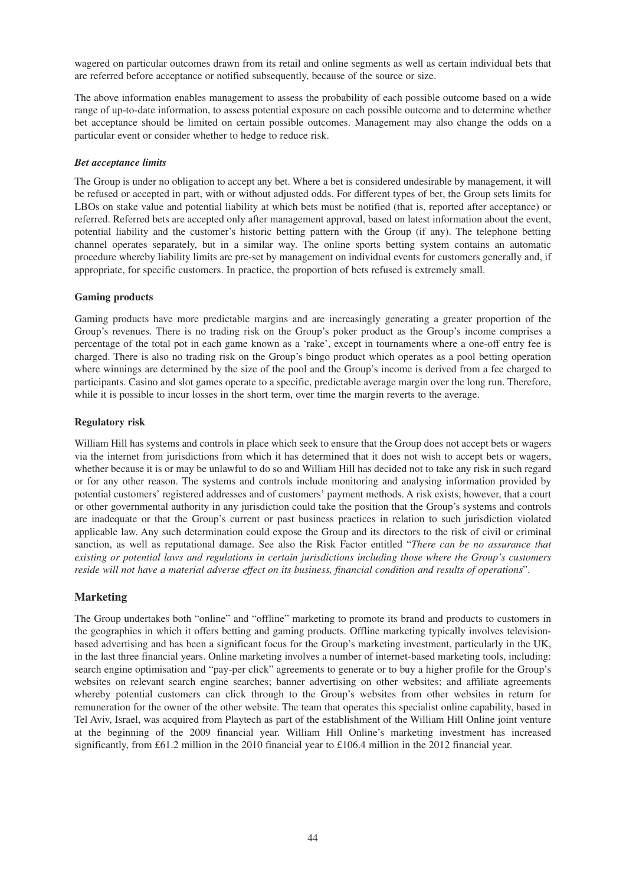wagered on particular outcomes drawn from its retail and online segments as well as certain individual bets that are referred before acceptance or notified subsequently, because of the source or size.

The above information enables management to assess the probability of each possible outcome based on a wide range of up-to-date information, to assess potential exposure on each possible outcome and to determine whether bet acceptance should be limited on certain possible outcomes. Management may also change the odds on a particular event or consider whether to hedge to reduce risk.

#### *Bet acceptance limits*

The Group is under no obligation to accept any bet. Where a bet is considered undesirable by management, it will be refused or accepted in part, with or without adjusted odds. For different types of bet, the Group sets limits for LBOs on stake value and potential liability at which bets must be notified (that is, reported after acceptance) or referred. Referred bets are accepted only after management approval, based on latest information about the event, potential liability and the customer's historic betting pattern with the Group (if any). The telephone betting channel operates separately, but in a similar way. The online sports betting system contains an automatic procedure whereby liability limits are pre-set by management on individual events for customers generally and, if appropriate, for specific customers. In practice, the proportion of bets refused is extremely small.

#### **Gaming products**

Gaming products have more predictable margins and are increasingly generating a greater proportion of the Group's revenues. There is no trading risk on the Group's poker product as the Group's income comprises a percentage of the total pot in each game known as a 'rake', except in tournaments where a one-off entry fee is charged. There is also no trading risk on the Group's bingo product which operates as a pool betting operation where winnings are determined by the size of the pool and the Group's income is derived from a fee charged to participants. Casino and slot games operate to a specific, predictable average margin over the long run. Therefore, while it is possible to incur losses in the short term, over time the margin reverts to the average.

#### **Regulatory risk**

William Hill has systems and controls in place which seek to ensure that the Group does not accept bets or wagers via the internet from jurisdictions from which it has determined that it does not wish to accept bets or wagers, whether because it is or may be unlawful to do so and William Hill has decided not to take any risk in such regard or for any other reason. The systems and controls include monitoring and analysing information provided by potential customers' registered addresses and of customers' payment methods. A risk exists, however, that a court or other governmental authority in any jurisdiction could take the position that the Group's systems and controls are inadequate or that the Group's current or past business practices in relation to such jurisdiction violated applicable law. Any such determination could expose the Group and its directors to the risk of civil or criminal sanction, as well as reputational damage. See also the Risk Factor entitled "*There can be no assurance that existing or potential laws and regulations in certain jurisdictions including those where the Group's customers* reside will not have a material adverse effect on its business, financial condition and results of operations".

### **Marketing**

The Group undertakes both "online" and "offline" marketing to promote its brand and products to customers in the geographies in which it offers betting and gaming products. Offline marketing typically involves televisionbased advertising and has been a significant focus for the Group's marketing investment, particularly in the UK, in the last three financial years. Online marketing involves a number of internet-based marketing tools, including: search engine optimisation and "pay-per click" agreements to generate or to buy a higher profile for the Group's websites on relevant search engine searches; banner advertising on other websites; and affiliate agreements whereby potential customers can click through to the Group's websites from other websites in return for remuneration for the owner of the other website. The team that operates this specialist online capability, based in Tel Aviv, Israel, was acquired from Playtech as part of the establishment of the William Hill Online joint venture at the beginning of the 2009 financial year. William Hill Online's marketing investment has increased significantly, from £61.2 million in the 2010 financial year to £106.4 million in the 2012 financial year.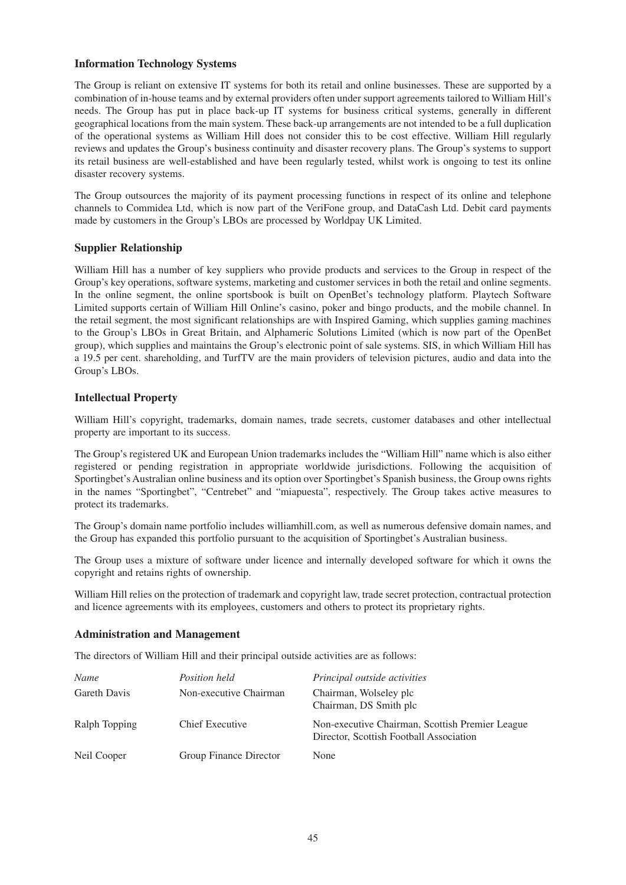## **Information Technology Systems**

The Group is reliant on extensive IT systems for both its retail and online businesses. These are supported by a combination of in-house teams and by external providers often under support agreements tailored to William Hill's needs. The Group has put in place back-up IT systems for business critical systems, generally in different geographical locations from the main system. These back-up arrangements are not intended to be a full duplication of the operational systems as William Hill does not consider this to be cost effective. William Hill regularly reviews and updates the Group's business continuity and disaster recovery plans. The Group's systems to support its retail business are well-established and have been regularly tested, whilst work is ongoing to test its online disaster recovery systems.

The Group outsources the majority of its payment processing functions in respect of its online and telephone channels to Commidea Ltd, which is now part of the VeriFone group, and DataCash Ltd. Debit card payments made by customers in the Group's LBOs are processed by Worldpay UK Limited.

## **Supplier Relationship**

William Hill has a number of key suppliers who provide products and services to the Group in respect of the Group's key operations, software systems, marketing and customer services in both the retail and online segments. In the online segment, the online sportsbook is built on OpenBet's technology platform. Playtech Software Limited supports certain of William Hill Online's casino, poker and bingo products, and the mobile channel. In the retail segment, the most significant relationships are with Inspired Gaming, which supplies gaming machines to the Group's LBOs in Great Britain, and Alphameric Solutions Limited (which is now part of the OpenBet group), which supplies and maintains the Group's electronic point of sale systems. SIS, in which William Hill has a 19.5 per cent. shareholding, and TurfTV are the main providers of television pictures, audio and data into the Group's LBOs.

## **Intellectual Property**

William Hill's copyright, trademarks, domain names, trade secrets, customer databases and other intellectual property are important to its success.

The Group's registered UK and European Union trademarks includes the "William Hill" name which is also either registered or pending registration in appropriate worldwide jurisdictions. Following the acquisition of Sportingbet's Australian online business and its option over Sportingbet's Spanish business, the Group owns rights in the names "Sportingbet", "Centrebet" and "miapuesta", respectively. The Group takes active measures to protect its trademarks.

The Group's domain name portfolio includes williamhill.com, as well as numerous defensive domain names, and the Group has expanded this portfolio pursuant to the acquisition of Sportingbet's Australian business.

The Group uses a mixture of software under licence and internally developed software for which it owns the copyright and retains rights of ownership.

William Hill relies on the protection of trademark and copyright law, trade secret protection, contractual protection and licence agreements with its employees, customers and others to protect its proprietary rights.

### **Administration and Management**

The directors of William Hill and their principal outside activities are as follows:

| Name          | <i>Position held</i>   | Principal outside activities                                                               |
|---------------|------------------------|--------------------------------------------------------------------------------------------|
| Gareth Davis  | Non-executive Chairman | Chairman, Wolseley plc<br>Chairman, DS Smith plc                                           |
| Ralph Topping | Chief Executive        | Non-executive Chairman, Scottish Premier League<br>Director, Scottish Football Association |
| Neil Cooper   | Group Finance Director | None                                                                                       |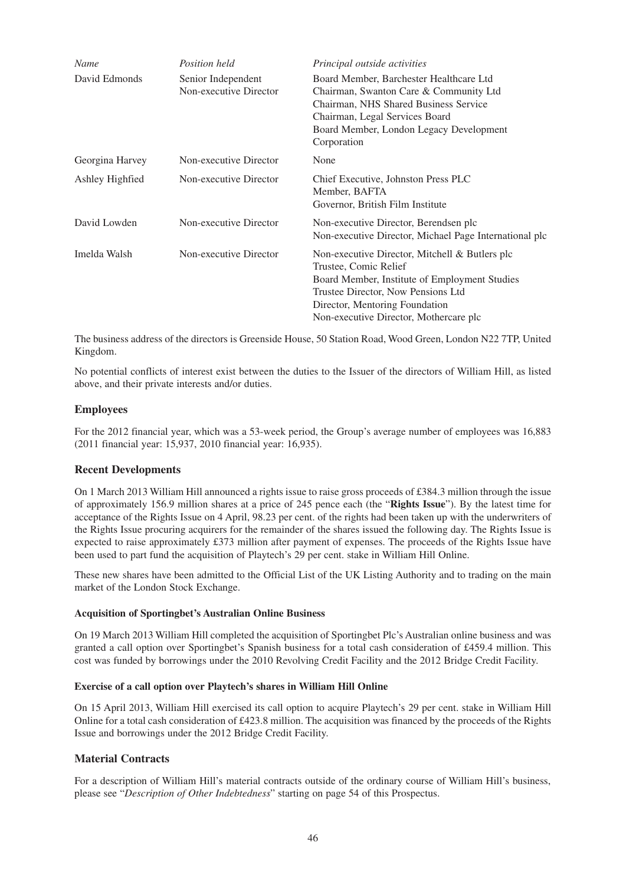| Name            | Position held                                | Principal outside activities                                                                                                                                                                                                               |
|-----------------|----------------------------------------------|--------------------------------------------------------------------------------------------------------------------------------------------------------------------------------------------------------------------------------------------|
| David Edmonds   | Senior Independent<br>Non-executive Director | Board Member, Barchester Healthcare Ltd<br>Chairman, Swanton Care & Community Ltd<br>Chairman, NHS Shared Business Service<br>Chairman, Legal Services Board<br>Board Member, London Legacy Development<br>Corporation                     |
| Georgina Harvey | Non-executive Director                       | None                                                                                                                                                                                                                                       |
| Ashley Highfied | Non-executive Director                       | Chief Executive, Johnston Press PLC<br>Member, BAFTA<br>Governor, British Film Institute                                                                                                                                                   |
| David Lowden    | Non-executive Director                       | Non-executive Director, Berendsen plc<br>Non-executive Director, Michael Page International plc                                                                                                                                            |
| Imelda Walsh    | Non-executive Director                       | Non-executive Director, Mitchell & Butlers plc<br>Trustee, Comic Relief<br>Board Member, Institute of Employment Studies<br>Trustee Director, Now Pensions Ltd<br>Director, Mentoring Foundation<br>Non-executive Director, Mothercare plc |

The business address of the directors is Greenside House, 50 Station Road, Wood Green, London N22 7TP, United Kingdom.

No potential conflicts of interest exist between the duties to the Issuer of the directors of William Hill, as listed above, and their private interests and/or duties.

## **Employees**

For the 2012 financial year, which was a 53-week period, the Group's average number of employees was 16,883 (2011 financial year: 15,937, 2010 financial year: 16,935).

### **Recent Developments**

On 1 March 2013 William Hill announced a rights issue to raise gross proceeds of £384.3 million through the issue of approximately 156.9 million shares at a price of 245 pence each (the "**Rights Issue**"). By the latest time for acceptance of the Rights Issue on 4 April, 98.23 per cent. of the rights had been taken up with the underwriters of the Rights Issue procuring acquirers for the remainder of the shares issued the following day. The Rights Issue is expected to raise approximately £373 million after payment of expenses. The proceeds of the Rights Issue have been used to part fund the acquisition of Playtech's 29 per cent. stake in William Hill Online.

These new shares have been admitted to the Official List of the UK Listing Authority and to trading on the main market of the London Stock Exchange.

### **Acquisition of Sportingbet's Australian Online Business**

On 19 March 2013 William Hill completed the acquisition of Sportingbet Plc's Australian online business and was granted a call option over Sportingbet's Spanish business for a total cash consideration of £459.4 million. This cost was funded by borrowings under the 2010 Revolving Credit Facility and the 2012 Bridge Credit Facility.

#### **Exercise of a call option over Playtech's shares in William Hill Online**

On 15 April 2013, William Hill exercised its call option to acquire Playtech's 29 per cent. stake in William Hill Online for a total cash consideration of £423.8 million. The acquisition was financed by the proceeds of the Rights Issue and borrowings under the 2012 Bridge Credit Facility.

### **Material Contracts**

For a description of William Hill's material contracts outside of the ordinary course of William Hill's business, please see "*Description of Other Indebtedness*" starting on page 54 of this Prospectus.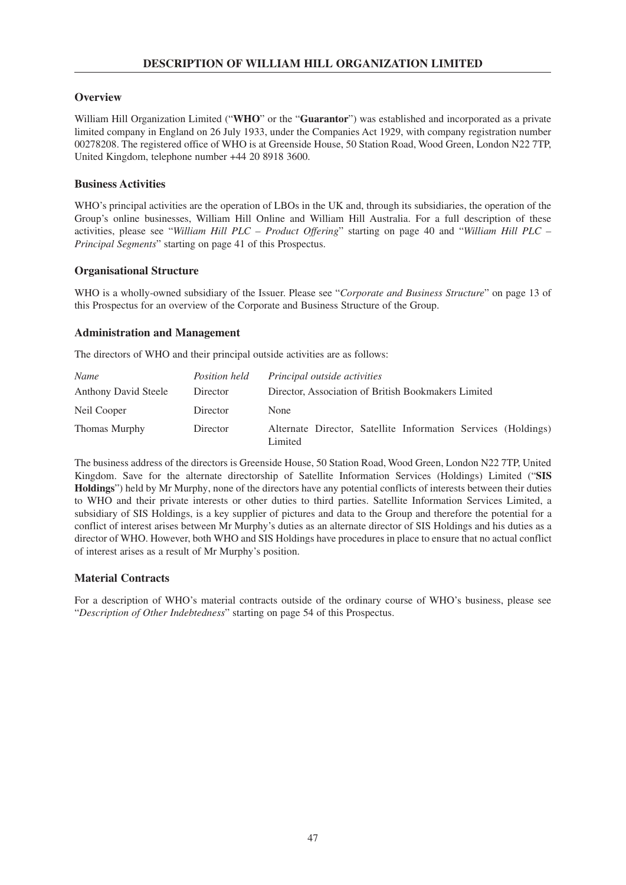# **Overview**

William Hill Organization Limited ("**WHO**" or the "**Guarantor**") was established and incorporated as a private limited company in England on 26 July 1933, under the Companies Act 1929, with company registration number 00278208. The registered office of WHO is at Greenside House, 50 Station Road, Wood Green, London N22 7TP, United Kingdom, telephone number +44 20 8918 3600.

## **Business Activities**

WHO's principal activities are the operation of LBOs in the UK and, through its subsidiaries, the operation of the Group's online businesses, William Hill Online and William Hill Australia. For a full description of these activities, please see "*William Hill PLC – Product Offering*" starting on page 40 and "*William Hill PLC – Principal Segments*" starting on page 41 of this Prospectus.

## **Organisational Structure**

WHO is a wholly-owned subsidiary of the Issuer. Please see "*Corporate and Business Structure*" on page 13 of this Prospectus for an overview of the Corporate and Business Structure of the Group.

## **Administration and Management**

The directors of WHO and their principal outside activities are as follows:

| Name                        | <i>Position held</i> | Principal outside activities                                             |
|-----------------------------|----------------------|--------------------------------------------------------------------------|
| <b>Anthony David Steele</b> | Director             | Director, Association of British Bookmakers Limited                      |
| Neil Cooper                 | Director             | None                                                                     |
| Thomas Murphy               | Director             | Alternate Director, Satellite Information Services (Holdings)<br>Limited |

The business address of the directors is Greenside House, 50 Station Road, Wood Green, London N22 7TP, United Kingdom. Save for the alternate directorship of Satellite Information Services (Holdings) Limited ("**SIS Holdings**") held by Mr Murphy, none of the directors have any potential conflicts of interests between their duties to WHO and their private interests or other duties to third parties. Satellite Information Services Limited, a subsidiary of SIS Holdings, is a key supplier of pictures and data to the Group and therefore the potential for a conflict of interest arises between Mr Murphy's duties as an alternate director of SIS Holdings and his duties as a director of WHO. However, both WHO and SIS Holdings have procedures in place to ensure that no actual conflict of interest arises as a result of Mr Murphy's position.

# **Material Contracts**

For a description of WHO's material contracts outside of the ordinary course of WHO's business, please see "*Description of Other Indebtedness*" starting on page 54 of this Prospectus.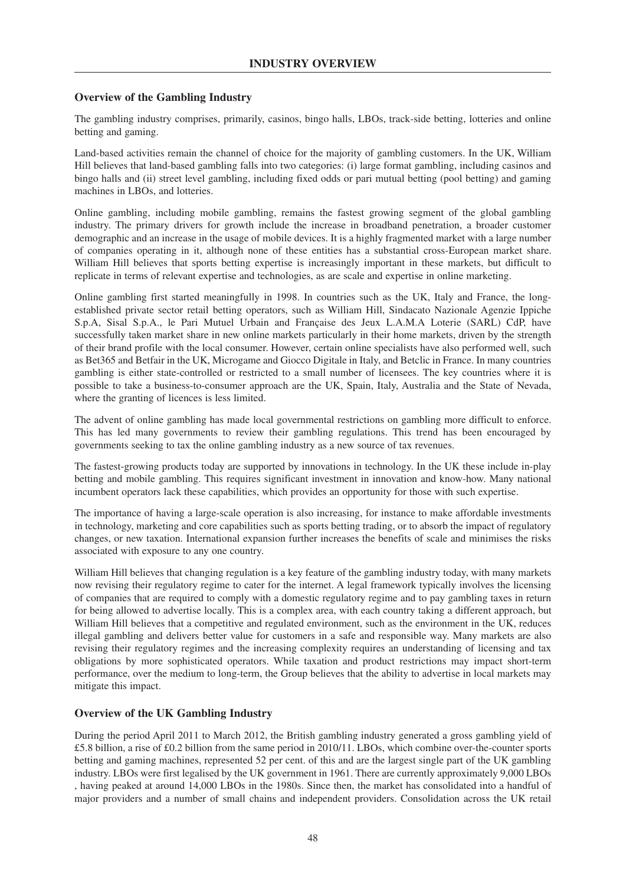# **Overview of the Gambling Industry**

The gambling industry comprises, primarily, casinos, bingo halls, LBOs, track-side betting, lotteries and online betting and gaming.

Land-based activities remain the channel of choice for the majority of gambling customers. In the UK, William Hill believes that land-based gambling falls into two categories: (i) large format gambling, including casinos and bingo halls and (ii) street level gambling, including fixed odds or pari mutual betting (pool betting) and gaming machines in LBOs, and lotteries.

Online gambling, including mobile gambling, remains the fastest growing segment of the global gambling industry. The primary drivers for growth include the increase in broadband penetration, a broader customer demographic and an increase in the usage of mobile devices. It is a highly fragmented market with a large number of companies operating in it, although none of these entities has a substantial cross-European market share. William Hill believes that sports betting expertise is increasingly important in these markets, but difficult to replicate in terms of relevant expertise and technologies, as are scale and expertise in online marketing.

Online gambling first started meaningfully in 1998. In countries such as the UK, Italy and France, the longestablished private sector retail betting operators, such as William Hill, Sindacato Nazionale Agenzie Ippiche S.p.A, Sisal S.p.A., le Pari Mutuel Urbain and Française des Jeux L.A.M.A Loterie (SARL) CdP, have successfully taken market share in new online markets particularly in their home markets, driven by the strength of their brand profile with the local consumer. However, certain online specialists have also performed well, such as Bet365 and Betfair in the UK, Microgame and Giocco Digitale in Italy, and Betclic in France. In many countries gambling is either state-controlled or restricted to a small number of licensees. The key countries where it is possible to take a business-to-consumer approach are the UK, Spain, Italy, Australia and the State of Nevada, where the granting of licences is less limited.

The advent of online gambling has made local governmental restrictions on gambling more difficult to enforce. This has led many governments to review their gambling regulations. This trend has been encouraged by governments seeking to tax the online gambling industry as a new source of tax revenues.

The fastest-growing products today are supported by innovations in technology. In the UK these include in-play betting and mobile gambling. This requires significant investment in innovation and know-how. Many national incumbent operators lack these capabilities, which provides an opportunity for those with such expertise.

The importance of having a large-scale operation is also increasing, for instance to make affordable investments in technology, marketing and core capabilities such as sports betting trading, or to absorb the impact of regulatory changes, or new taxation. International expansion further increases the benefits of scale and minimises the risks associated with exposure to any one country.

William Hill believes that changing regulation is a key feature of the gambling industry today, with many markets now revising their regulatory regime to cater for the internet. A legal framework typically involves the licensing of companies that are required to comply with a domestic regulatory regime and to pay gambling taxes in return for being allowed to advertise locally. This is a complex area, with each country taking a different approach, but William Hill believes that a competitive and regulated environment, such as the environment in the UK, reduces illegal gambling and delivers better value for customers in a safe and responsible way. Many markets are also revising their regulatory regimes and the increasing complexity requires an understanding of licensing and tax obligations by more sophisticated operators. While taxation and product restrictions may impact short-term performance, over the medium to long-term, the Group believes that the ability to advertise in local markets may mitigate this impact.

# **Overview of the UK Gambling Industry**

During the period April 2011 to March 2012, the British gambling industry generated a gross gambling yield of £5.8 billion, a rise of £0.2 billion from the same period in 2010/11. LBOs, which combine over-the-counter sports betting and gaming machines, represented 52 per cent. of this and are the largest single part of the UK gambling industry. LBOs were first legalised by the UK government in 1961. There are currently approximately 9,000 LBOs , having peaked at around 14,000 LBOs in the 1980s. Since then, the market has consolidated into a handful of major providers and a number of small chains and independent providers. Consolidation across the UK retail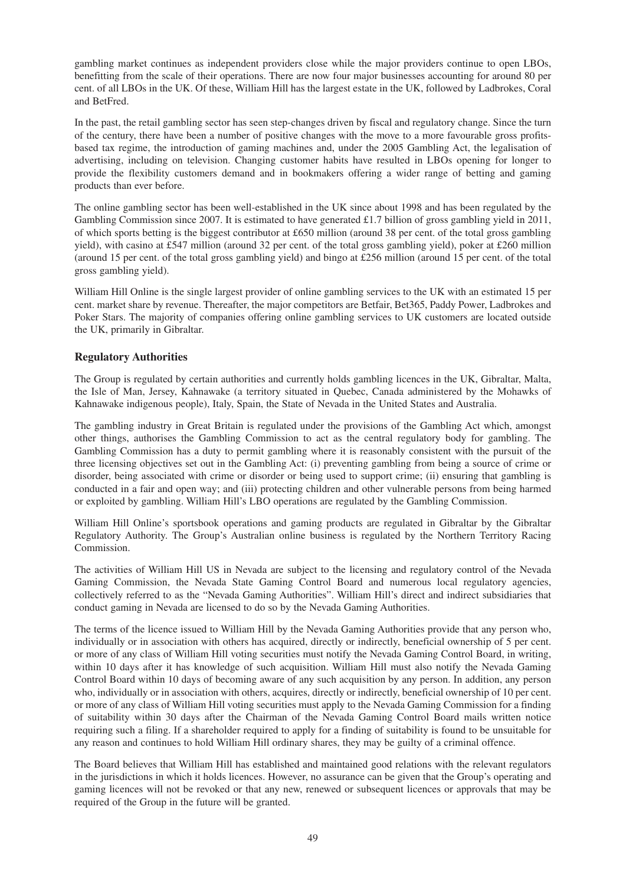gambling market continues as independent providers close while the major providers continue to open LBOs, benefitting from the scale of their operations. There are now four major businesses accounting for around 80 per cent. of all LBOs in the UK. Of these, William Hill has the largest estate in the UK, followed by Ladbrokes, Coral and BetFred.

In the past, the retail gambling sector has seen step-changes driven by fiscal and regulatory change. Since the turn of the century, there have been a number of positive changes with the move to a more favourable gross profitsbased tax regime, the introduction of gaming machines and, under the 2005 Gambling Act, the legalisation of advertising, including on television. Changing customer habits have resulted in LBOs opening for longer to provide the flexibility customers demand and in bookmakers offering a wider range of betting and gaming products than ever before.

The online gambling sector has been well-established in the UK since about 1998 and has been regulated by the Gambling Commission since 2007. It is estimated to have generated £1.7 billion of gross gambling yield in 2011, of which sports betting is the biggest contributor at £650 million (around 38 per cent. of the total gross gambling yield), with casino at £547 million (around 32 per cent. of the total gross gambling yield), poker at £260 million (around 15 per cent. of the total gross gambling yield) and bingo at £256 million (around 15 per cent. of the total gross gambling yield).

William Hill Online is the single largest provider of online gambling services to the UK with an estimated 15 per cent. market share by revenue. Thereafter, the major competitors are Betfair, Bet365, Paddy Power, Ladbrokes and Poker Stars. The majority of companies offering online gambling services to UK customers are located outside the UK, primarily in Gibraltar.

# **Regulatory Authorities**

The Group is regulated by certain authorities and currently holds gambling licences in the UK, Gibraltar, Malta, the Isle of Man, Jersey, Kahnawake (a territory situated in Quebec, Canada administered by the Mohawks of Kahnawake indigenous people), Italy, Spain, the State of Nevada in the United States and Australia.

The gambling industry in Great Britain is regulated under the provisions of the Gambling Act which, amongst other things, authorises the Gambling Commission to act as the central regulatory body for gambling. The Gambling Commission has a duty to permit gambling where it is reasonably consistent with the pursuit of the three licensing objectives set out in the Gambling Act: (i) preventing gambling from being a source of crime or disorder, being associated with crime or disorder or being used to support crime; (ii) ensuring that gambling is conducted in a fair and open way; and (iii) protecting children and other vulnerable persons from being harmed or exploited by gambling. William Hill's LBO operations are regulated by the Gambling Commission.

William Hill Online's sportsbook operations and gaming products are regulated in Gibraltar by the Gibraltar Regulatory Authority. The Group's Australian online business is regulated by the Northern Territory Racing Commission.

The activities of William Hill US in Nevada are subject to the licensing and regulatory control of the Nevada Gaming Commission, the Nevada State Gaming Control Board and numerous local regulatory agencies, collectively referred to as the "Nevada Gaming Authorities". William Hill's direct and indirect subsidiaries that conduct gaming in Nevada are licensed to do so by the Nevada Gaming Authorities.

The terms of the licence issued to William Hill by the Nevada Gaming Authorities provide that any person who, individually or in association with others has acquired, directly or indirectly, beneficial ownership of 5 per cent. or more of any class of William Hill voting securities must notify the Nevada Gaming Control Board, in writing, within 10 days after it has knowledge of such acquisition. William Hill must also notify the Nevada Gaming Control Board within 10 days of becoming aware of any such acquisition by any person. In addition, any person who, individually or in association with others, acquires, directly or indirectly, beneficial ownership of 10 per cent. or more of any class of William Hill voting securities must apply to the Nevada Gaming Commission for a finding of suitability within 30 days after the Chairman of the Nevada Gaming Control Board mails written notice requiring such a filing. If a shareholder required to apply for a finding of suitability is found to be unsuitable for any reason and continues to hold William Hill ordinary shares, they may be guilty of a criminal offence.

The Board believes that William Hill has established and maintained good relations with the relevant regulators in the jurisdictions in which it holds licences. However, no assurance can be given that the Group's operating and gaming licences will not be revoked or that any new, renewed or subsequent licences or approvals that may be required of the Group in the future will be granted.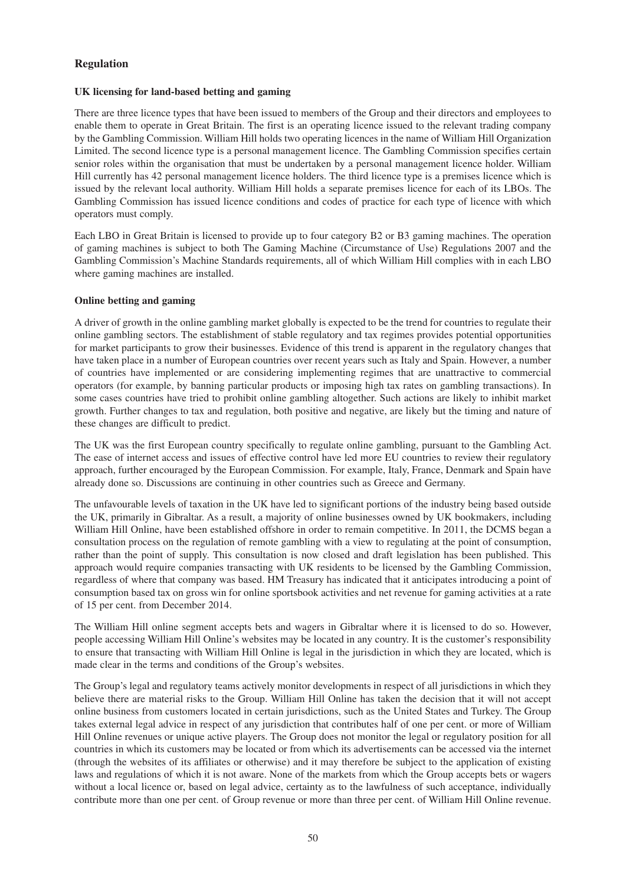# **Regulation**

### **UK licensing for land-based betting and gaming**

There are three licence types that have been issued to members of the Group and their directors and employees to enable them to operate in Great Britain. The first is an operating licence issued to the relevant trading company by the Gambling Commission. William Hill holds two operating licences in the name of William Hill Organization Limited. The second licence type is a personal management licence. The Gambling Commission specifies certain senior roles within the organisation that must be undertaken by a personal management licence holder. William Hill currently has 42 personal management licence holders. The third licence type is a premises licence which is issued by the relevant local authority. William Hill holds a separate premises licence for each of its LBOs. The Gambling Commission has issued licence conditions and codes of practice for each type of licence with which operators must comply.

Each LBO in Great Britain is licensed to provide up to four category B2 or B3 gaming machines. The operation of gaming machines is subject to both The Gaming Machine (Circumstance of Use) Regulations 2007 and the Gambling Commission's Machine Standards requirements, all of which William Hill complies with in each LBO where gaming machines are installed.

### **Online betting and gaming**

A driver of growth in the online gambling market globally is expected to be the trend for countries to regulate their online gambling sectors. The establishment of stable regulatory and tax regimes provides potential opportunities for market participants to grow their businesses. Evidence of this trend is apparent in the regulatory changes that have taken place in a number of European countries over recent years such as Italy and Spain. However, a number of countries have implemented or are considering implementing regimes that are unattractive to commercial operators (for example, by banning particular products or imposing high tax rates on gambling transactions). In some cases countries have tried to prohibit online gambling altogether. Such actions are likely to inhibit market growth. Further changes to tax and regulation, both positive and negative, are likely but the timing and nature of these changes are difficult to predict.

The UK was the first European country specifically to regulate online gambling, pursuant to the Gambling Act. The ease of internet access and issues of effective control have led more EU countries to review their regulatory approach, further encouraged by the European Commission. For example, Italy, France, Denmark and Spain have already done so. Discussions are continuing in other countries such as Greece and Germany.

The unfavourable levels of taxation in the UK have led to significant portions of the industry being based outside the UK, primarily in Gibraltar. As a result, a majority of online businesses owned by UK bookmakers, including William Hill Online, have been established offshore in order to remain competitive. In 2011, the DCMS began a consultation process on the regulation of remote gambling with a view to regulating at the point of consumption, rather than the point of supply. This consultation is now closed and draft legislation has been published. This approach would require companies transacting with UK residents to be licensed by the Gambling Commission, regardless of where that company was based. HM Treasury has indicated that it anticipates introducing a point of consumption based tax on gross win for online sportsbook activities and net revenue for gaming activities at a rate of 15 per cent. from December 2014.

The William Hill online segment accepts bets and wagers in Gibraltar where it is licensed to do so. However, people accessing William Hill Online's websites may be located in any country. It is the customer's responsibility to ensure that transacting with William Hill Online is legal in the jurisdiction in which they are located, which is made clear in the terms and conditions of the Group's websites.

The Group's legal and regulatory teams actively monitor developments in respect of all jurisdictions in which they believe there are material risks to the Group. William Hill Online has taken the decision that it will not accept online business from customers located in certain jurisdictions, such as the United States and Turkey. The Group takes external legal advice in respect of any jurisdiction that contributes half of one per cent. or more of William Hill Online revenues or unique active players. The Group does not monitor the legal or regulatory position for all countries in which its customers may be located or from which its advertisements can be accessed via the internet (through the websites of its affiliates or otherwise) and it may therefore be subject to the application of existing laws and regulations of which it is not aware. None of the markets from which the Group accepts bets or wagers without a local licence or, based on legal advice, certainty as to the lawfulness of such acceptance, individually contribute more than one per cent. of Group revenue or more than three per cent. of William Hill Online revenue.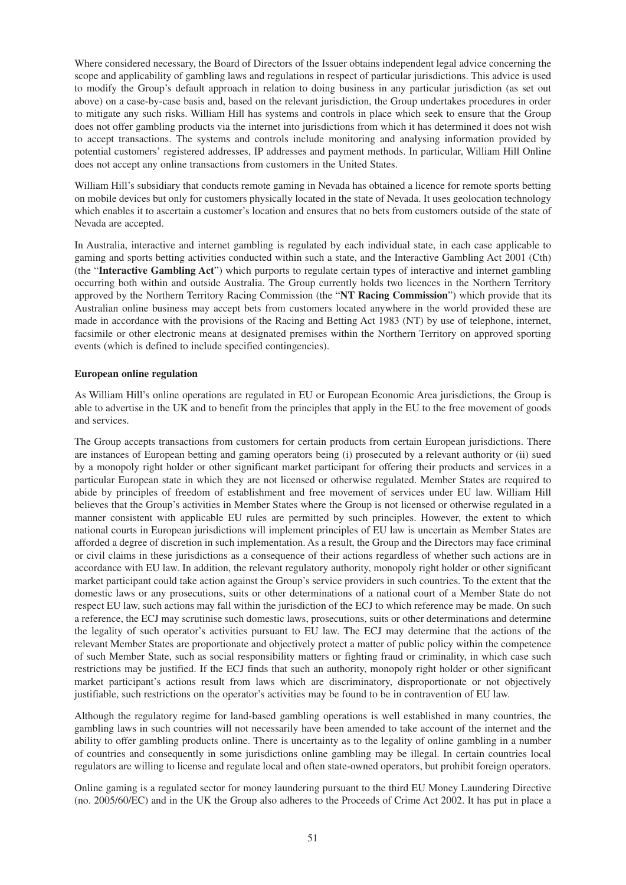Where considered necessary, the Board of Directors of the Issuer obtains independent legal advice concerning the scope and applicability of gambling laws and regulations in respect of particular jurisdictions. This advice is used to modify the Group's default approach in relation to doing business in any particular jurisdiction (as set out above) on a case-by-case basis and, based on the relevant jurisdiction, the Group undertakes procedures in order to mitigate any such risks. William Hill has systems and controls in place which seek to ensure that the Group does not offer gambling products via the internet into jurisdictions from which it has determined it does not wish to accept transactions. The systems and controls include monitoring and analysing information provided by potential customers' registered addresses, IP addresses and payment methods. In particular, William Hill Online does not accept any online transactions from customers in the United States.

William Hill's subsidiary that conducts remote gaming in Nevada has obtained a licence for remote sports betting on mobile devices but only for customers physically located in the state of Nevada. It uses geolocation technology which enables it to ascertain a customer's location and ensures that no bets from customers outside of the state of Nevada are accepted.

In Australia, interactive and internet gambling is regulated by each individual state, in each case applicable to gaming and sports betting activities conducted within such a state, and the Interactive Gambling Act 2001 (Cth) (the "**Interactive Gambling Act**") which purports to regulate certain types of interactive and internet gambling occurring both within and outside Australia. The Group currently holds two licences in the Northern Territory approved by the Northern Territory Racing Commission (the "**NT Racing Commission**") which provide that its Australian online business may accept bets from customers located anywhere in the world provided these are made in accordance with the provisions of the Racing and Betting Act 1983 (NT) by use of telephone, internet, facsimile or other electronic means at designated premises within the Northern Territory on approved sporting events (which is defined to include specified contingencies).

#### **European online regulation**

As William Hill's online operations are regulated in EU or European Economic Area jurisdictions, the Group is able to advertise in the UK and to benefit from the principles that apply in the EU to the free movement of goods and services.

The Group accepts transactions from customers for certain products from certain European jurisdictions. There are instances of European betting and gaming operators being (i) prosecuted by a relevant authority or (ii) sued by a monopoly right holder or other significant market participant for offering their products and services in a particular European state in which they are not licensed or otherwise regulated. Member States are required to abide by principles of freedom of establishment and free movement of services under EU law. William Hill believes that the Group's activities in Member States where the Group is not licensed or otherwise regulated in a manner consistent with applicable EU rules are permitted by such principles. However, the extent to which national courts in European jurisdictions will implement principles of EU law is uncertain as Member States are afforded a degree of discretion in such implementation. As a result, the Group and the Directors may face criminal or civil claims in these jurisdictions as a consequence of their actions regardless of whether such actions are in accordance with EU law. In addition, the relevant regulatory authority, monopoly right holder or other significant market participant could take action against the Group's service providers in such countries. To the extent that the domestic laws or any prosecutions, suits or other determinations of a national court of a Member State do not respect EU law, such actions may fall within the jurisdiction of the ECJ to which reference may be made. On such a reference, the ECJ may scrutinise such domestic laws, prosecutions, suits or other determinations and determine the legality of such operator's activities pursuant to EU law. The ECJ may determine that the actions of the relevant Member States are proportionate and objectively protect a matter of public policy within the competence of such Member State, such as social responsibility matters or fighting fraud or criminality, in which case such restrictions may be justified. If the ECJ finds that such an authority, monopoly right holder or other significant market participant's actions result from laws which are discriminatory, disproportionate or not objectively justifiable, such restrictions on the operator's activities may be found to be in contravention of EU law.

Although the regulatory regime for land-based gambling operations is well established in many countries, the gambling laws in such countries will not necessarily have been amended to take account of the internet and the ability to offer gambling products online. There is uncertainty as to the legality of online gambling in a number of countries and consequently in some jurisdictions online gambling may be illegal. In certain countries local regulators are willing to license and regulate local and often state-owned operators, but prohibit foreign operators.

Online gaming is a regulated sector for money laundering pursuant to the third EU Money Laundering Directive (no. 2005/60/EC) and in the UK the Group also adheres to the Proceeds of Crime Act 2002. It has put in place a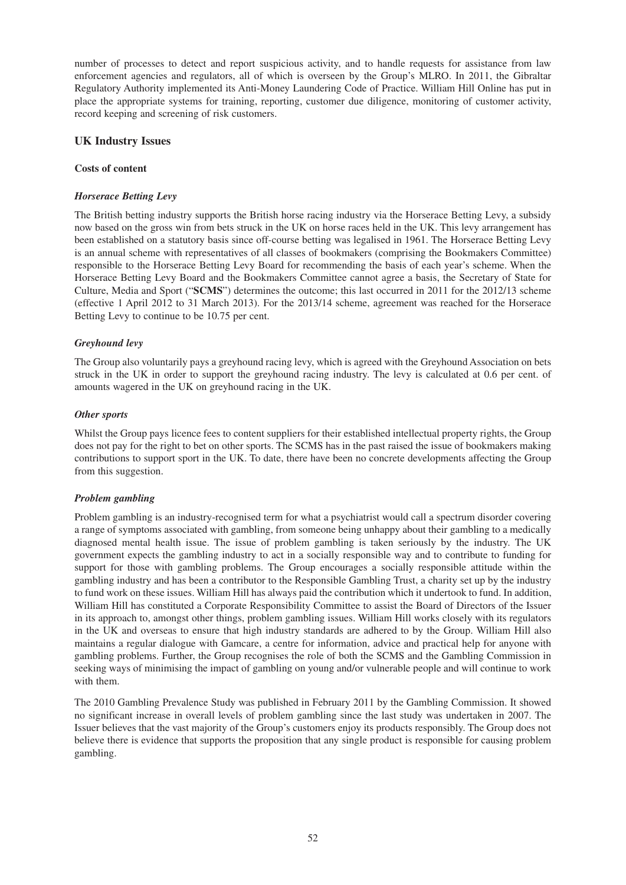number of processes to detect and report suspicious activity, and to handle requests for assistance from law enforcement agencies and regulators, all of which is overseen by the Group's MLRO. In 2011, the Gibraltar Regulatory Authority implemented its Anti-Money Laundering Code of Practice. William Hill Online has put in place the appropriate systems for training, reporting, customer due diligence, monitoring of customer activity, record keeping and screening of risk customers.

## **UK Industry Issues**

#### **Costs of content**

#### *Horserace Betting Levy*

The British betting industry supports the British horse racing industry via the Horserace Betting Levy, a subsidy now based on the gross win from bets struck in the UK on horse races held in the UK. This levy arrangement has been established on a statutory basis since off-course betting was legalised in 1961. The Horserace Betting Levy is an annual scheme with representatives of all classes of bookmakers (comprising the Bookmakers Committee) responsible to the Horserace Betting Levy Board for recommending the basis of each year's scheme. When the Horserace Betting Levy Board and the Bookmakers Committee cannot agree a basis, the Secretary of State for Culture, Media and Sport ("**SCMS**") determines the outcome; this last occurred in 2011 for the 2012/13 scheme (effective 1 April 2012 to 31 March 2013). For the 2013/14 scheme, agreement was reached for the Horserace Betting Levy to continue to be 10.75 per cent.

### *Greyhound levy*

The Group also voluntarily pays a greyhound racing levy, which is agreed with the Greyhound Association on bets struck in the UK in order to support the greyhound racing industry. The levy is calculated at 0.6 per cent. of amounts wagered in the UK on greyhound racing in the UK.

### *Other sports*

Whilst the Group pays licence fees to content suppliers for their established intellectual property rights, the Group does not pay for the right to bet on other sports. The SCMS has in the past raised the issue of bookmakers making contributions to support sport in the UK. To date, there have been no concrete developments affecting the Group from this suggestion.

### *Problem gambling*

Problem gambling is an industry-recognised term for what a psychiatrist would call a spectrum disorder covering a range of symptoms associated with gambling, from someone being unhappy about their gambling to a medically diagnosed mental health issue. The issue of problem gambling is taken seriously by the industry. The UK government expects the gambling industry to act in a socially responsible way and to contribute to funding for support for those with gambling problems. The Group encourages a socially responsible attitude within the gambling industry and has been a contributor to the Responsible Gambling Trust, a charity set up by the industry to fund work on these issues. William Hill has always paid the contribution which it undertook to fund. In addition, William Hill has constituted a Corporate Responsibility Committee to assist the Board of Directors of the Issuer in its approach to, amongst other things, problem gambling issues. William Hill works closely with its regulators in the UK and overseas to ensure that high industry standards are adhered to by the Group. William Hill also maintains a regular dialogue with Gamcare, a centre for information, advice and practical help for anyone with gambling problems. Further, the Group recognises the role of both the SCMS and the Gambling Commission in seeking ways of minimising the impact of gambling on young and/or vulnerable people and will continue to work with them.

The 2010 Gambling Prevalence Study was published in February 2011 by the Gambling Commission. It showed no significant increase in overall levels of problem gambling since the last study was undertaken in 2007. The Issuer believes that the vast majority of the Group's customers enjoy its products responsibly. The Group does not believe there is evidence that supports the proposition that any single product is responsible for causing problem gambling.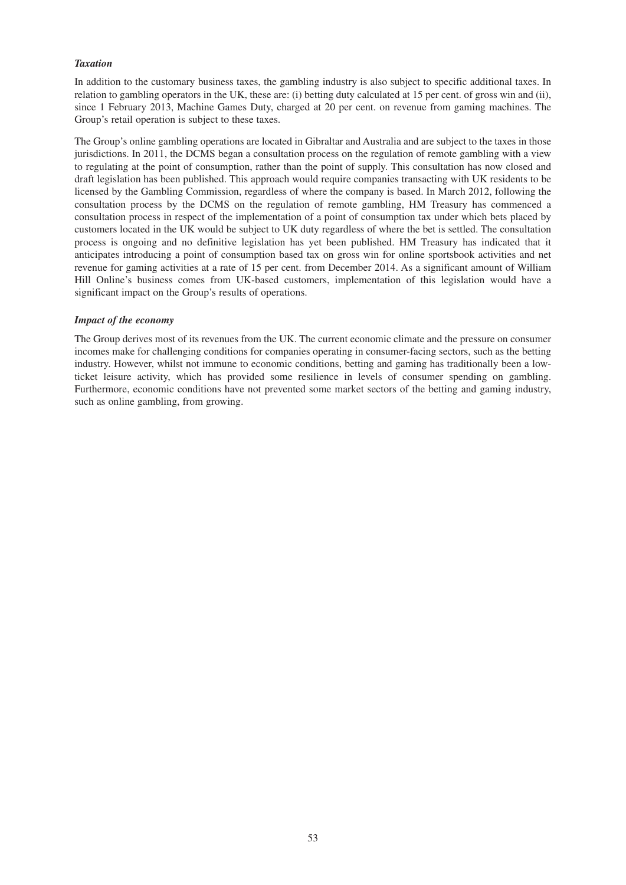#### *Taxation*

In addition to the customary business taxes, the gambling industry is also subject to specific additional taxes. In relation to gambling operators in the UK, these are: (i) betting duty calculated at 15 per cent. of gross win and (ii), since 1 February 2013, Machine Games Duty, charged at 20 per cent. on revenue from gaming machines. The Group's retail operation is subject to these taxes.

The Group's online gambling operations are located in Gibraltar and Australia and are subject to the taxes in those jurisdictions. In 2011, the DCMS began a consultation process on the regulation of remote gambling with a view to regulating at the point of consumption, rather than the point of supply. This consultation has now closed and draft legislation has been published. This approach would require companies transacting with UK residents to be licensed by the Gambling Commission, regardless of where the company is based. In March 2012, following the consultation process by the DCMS on the regulation of remote gambling, HM Treasury has commenced a consultation process in respect of the implementation of a point of consumption tax under which bets placed by customers located in the UK would be subject to UK duty regardless of where the bet is settled. The consultation process is ongoing and no definitive legislation has yet been published. HM Treasury has indicated that it anticipates introducing a point of consumption based tax on gross win for online sportsbook activities and net revenue for gaming activities at a rate of 15 per cent. from December 2014. As a significant amount of William Hill Online's business comes from UK-based customers, implementation of this legislation would have a significant impact on the Group's results of operations.

#### *Impact of the economy*

The Group derives most of its revenues from the UK. The current economic climate and the pressure on consumer incomes make for challenging conditions for companies operating in consumer-facing sectors, such as the betting industry. However, whilst not immune to economic conditions, betting and gaming has traditionally been a lowticket leisure activity, which has provided some resilience in levels of consumer spending on gambling. Furthermore, economic conditions have not prevented some market sectors of the betting and gaming industry, such as online gambling, from growing.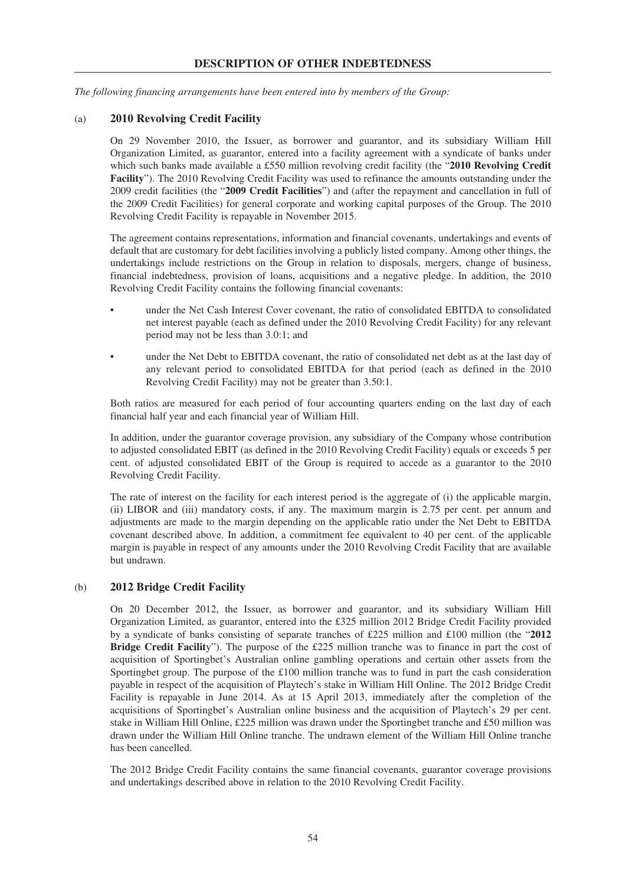*The following financing arrangements have been entered into by members of the Group:*

## (a) **2010 Revolving Credit Facility**

On 29 November 2010, the Issuer, as borrower and guarantor, and its subsidiary William Hill Organization Limited, as guarantor, entered into a facility agreement with a syndicate of banks under which such banks made available a £550 million revolving credit facility (the "**2010 Revolving Credit Facility**"). The 2010 Revolving Credit Facility was used to refinance the amounts outstanding under the 2009 credit facilities (the "**2009 Credit Facilities**") and (after the repayment and cancellation in full of the 2009 Credit Facilities) for general corporate and working capital purposes of the Group. The 2010 Revolving Credit Facility is repayable in November 2015.

The agreement contains representations, information and financial covenants, undertakings and events of default that are customary for debt facilities involving a publicly listed company. Among other things, the undertakings include restrictions on the Group in relation to disposals, mergers, change of business, financial indebtedness, provision of loans, acquisitions and a negative pledge. In addition, the 2010 Revolving Credit Facility contains the following financial covenants:

- under the Net Cash Interest Cover covenant, the ratio of consolidated EBITDA to consolidated net interest payable (each as defined under the 2010 Revolving Credit Facility) for any relevant period may not be less than 3.0:1; and
- under the Net Debt to EBITDA covenant, the ratio of consolidated net debt as at the last day of any relevant period to consolidated EBITDA for that period (each as defined in the 2010 Revolving Credit Facility) may not be greater than 3.50:1.

Both ratios are measured for each period of four accounting quarters ending on the last day of each financial half year and each financial year of William Hill.

In addition, under the guarantor coverage provision, any subsidiary of the Company whose contribution to adjusted consolidated EBIT (as defined in the 2010 Revolving Credit Facility) equals or exceeds 5 per cent. of adjusted consolidated EBIT of the Group is required to accede as a guarantor to the 2010 Revolving Credit Facility.

The rate of interest on the facility for each interest period is the aggregate of (i) the applicable margin, (ii) LIBOR and (iii) mandatory costs, if any. The maximum margin is 2.75 per cent. per annum and adjustments are made to the margin depending on the applicable ratio under the Net Debt to EBITDA covenant described above. In addition, a commitment fee equivalent to 40 per cent. of the applicable margin is payable in respect of any amounts under the 2010 Revolving Credit Facility that are available but undrawn.

### (b) **2012 Bridge Credit Facility**

On 20 December 2012, the Issuer, as borrower and guarantor, and its subsidiary William Hill Organization Limited, as guarantor, entered into the £325 million 2012 Bridge Credit Facility provided by a syndicate of banks consisting of separate tranches of £225 million and £100 million (the "**2012 Bridge Credit Facilit**y"). The purpose of the £225 million tranche was to finance in part the cost of acquisition of Sportingbet's Australian online gambling operations and certain other assets from the Sportingbet group. The purpose of the £100 million tranche was to fund in part the cash consideration payable in respect of the acquisition of Playtech's stake in William Hill Online. The 2012 Bridge Credit Facility is repayable in June 2014. As at 15 April 2013, immediately after the completion of the acquisitions of Sportingbet's Australian online business and the acquisition of Playtech's 29 per cent. stake in William Hill Online, £225 million was drawn under the Sportingbet tranche and £50 million was drawn under the William Hill Online tranche. The undrawn element of the William Hill Online tranche has been cancelled.

The 2012 Bridge Credit Facility contains the same financial covenants, guarantor coverage provisions and undertakings described above in relation to the 2010 Revolving Credit Facility.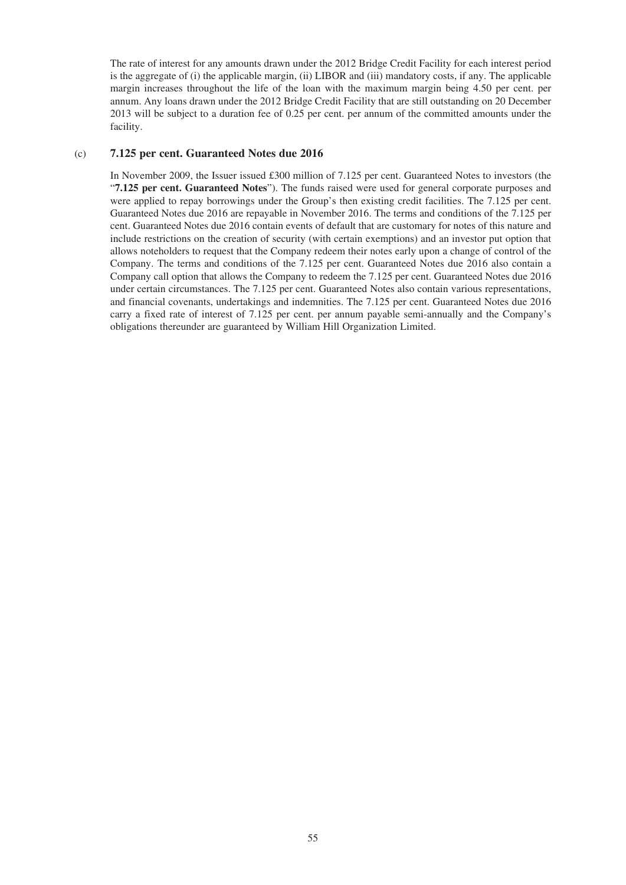The rate of interest for any amounts drawn under the 2012 Bridge Credit Facility for each interest period is the aggregate of (i) the applicable margin, (ii) LIBOR and (iii) mandatory costs, if any. The applicable margin increases throughout the life of the loan with the maximum margin being 4.50 per cent. per annum. Any loans drawn under the 2012 Bridge Credit Facility that are still outstanding on 20 December 2013 will be subject to a duration fee of 0.25 per cent. per annum of the committed amounts under the facility.

#### (c) **7.125 per cent. Guaranteed Notes due 2016**

In November 2009, the Issuer issued £300 million of 7.125 per cent. Guaranteed Notes to investors (the "**7.125 per cent. Guaranteed Notes**"). The funds raised were used for general corporate purposes and were applied to repay borrowings under the Group's then existing credit facilities. The 7.125 per cent. Guaranteed Notes due 2016 are repayable in November 2016. The terms and conditions of the 7.125 per cent. Guaranteed Notes due 2016 contain events of default that are customary for notes of this nature and include restrictions on the creation of security (with certain exemptions) and an investor put option that allows noteholders to request that the Company redeem their notes early upon a change of control of the Company. The terms and conditions of the 7.125 per cent. Guaranteed Notes due 2016 also contain a Company call option that allows the Company to redeem the 7.125 per cent. Guaranteed Notes due 2016 under certain circumstances. The 7.125 per cent. Guaranteed Notes also contain various representations, and financial covenants, undertakings and indemnities. The 7.125 per cent. Guaranteed Notes due 2016 carry a fixed rate of interest of 7.125 per cent. per annum payable semi-annually and the Company's obligations thereunder are guaranteed by William Hill Organization Limited.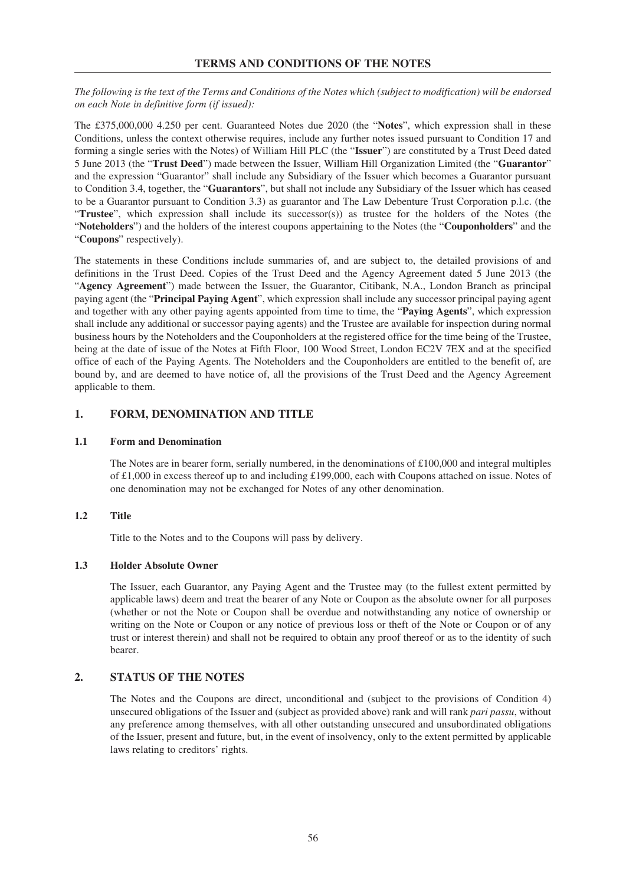The following is the text of the Terms and Conditions of the Notes which (subject to modification) will be endorsed *on each Note in definitive form (if issued):*

The £375,000,000 4.250 per cent. Guaranteed Notes due 2020 (the "**Notes**", which expression shall in these Conditions, unless the context otherwise requires, include any further notes issued pursuant to Condition 17 and forming a single series with the Notes) of William Hill PLC (the "**Issuer**") are constituted by a Trust Deed dated 5 June 2013 (the "**Trust Deed**") made between the Issuer, William Hill Organization Limited (the "**Guarantor**" and the expression "Guarantor" shall include any Subsidiary of the Issuer which becomes a Guarantor pursuant to Condition 3.4, together, the "**Guarantors**", but shall not include any Subsidiary of the Issuer which has ceased to be a Guarantor pursuant to Condition 3.3) as guarantor and The Law Debenture Trust Corporation p.l.c. (the "**Trustee**", which expression shall include its successor(s)) as trustee for the holders of the Notes (the "**Noteholders**") and the holders of the interest coupons appertaining to the Notes (the "**Couponholders**" and the "**Coupons**" respectively).

The statements in these Conditions include summaries of, and are subject to, the detailed provisions of and definitions in the Trust Deed. Copies of the Trust Deed and the Agency Agreement dated 5 June 2013 (the "**Agency Agreement**") made between the Issuer, the Guarantor, Citibank, N.A., London Branch as principal paying agent (the "**Principal Paying Agent**", which expression shall include any successor principal paying agent and together with any other paying agents appointed from time to time, the "**Paying Agents**", which expression shall include any additional or successor paying agents) and the Trustee are available for inspection during normal business hours by the Noteholders and the Couponholders at the registered office for the time being of the Trustee, being at the date of issue of the Notes at Fifth Floor, 100 Wood Street, London EC2V 7EX and at the specified office of each of the Paying Agents. The Noteholders and the Couponholders are entitled to the benefit of, are bound by, and are deemed to have notice of, all the provisions of the Trust Deed and the Agency Agreement applicable to them.

# **1. FORM, DENOMINATION AND TITLE**

#### **1.1 Form and Denomination**

The Notes are in bearer form, serially numbered, in the denominations of £100,000 and integral multiples of £1,000 in excess thereof up to and including £199,000, each with Coupons attached on issue. Notes of one denomination may not be exchanged for Notes of any other denomination.

### **1.2 Title**

Title to the Notes and to the Coupons will pass by delivery.

### **1.3 Holder Absolute Owner**

The Issuer, each Guarantor, any Paying Agent and the Trustee may (to the fullest extent permitted by applicable laws) deem and treat the bearer of any Note or Coupon as the absolute owner for all purposes (whether or not the Note or Coupon shall be overdue and notwithstanding any notice of ownership or writing on the Note or Coupon or any notice of previous loss or theft of the Note or Coupon or of any trust or interest therein) and shall not be required to obtain any proof thereof or as to the identity of such bearer.

## **2. STATUS OF THE NOTES**

The Notes and the Coupons are direct, unconditional and (subject to the provisions of Condition 4) unsecured obligations of the Issuer and (subject as provided above) rank and will rank *pari passu*, without any preference among themselves, with all other outstanding unsecured and unsubordinated obligations of the Issuer, present and future, but, in the event of insolvency, only to the extent permitted by applicable laws relating to creditors' rights.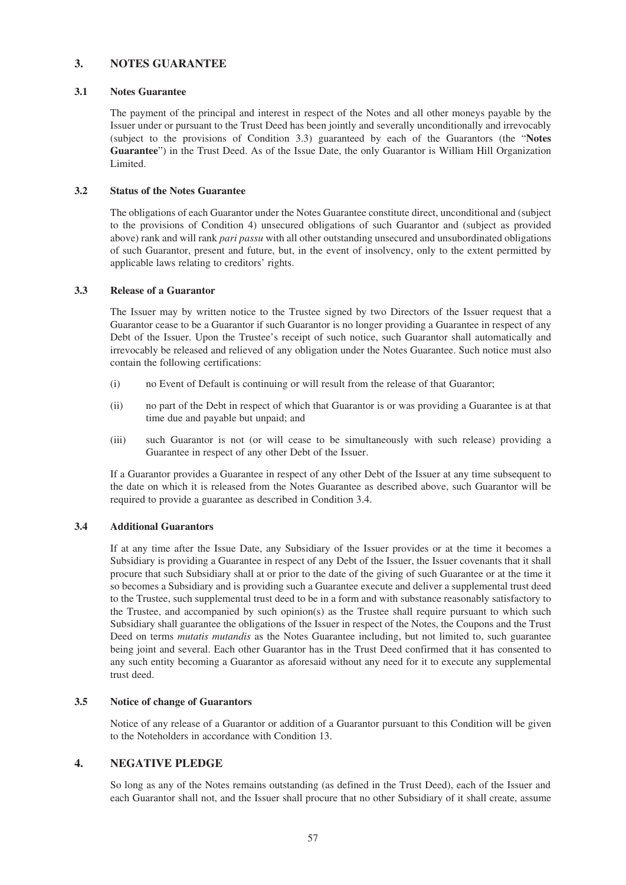# **3. NOTES GUARANTEE**

#### **3.1 Notes Guarantee**

The payment of the principal and interest in respect of the Notes and all other moneys payable by the Issuer under or pursuant to the Trust Deed has been jointly and severally unconditionally and irrevocably (subject to the provisions of Condition 3.3) guaranteed by each of the Guarantors (the "**Notes Guarantee**") in the Trust Deed. As of the Issue Date, the only Guarantor is William Hill Organization Limited.

#### **3.2 Status of the Notes Guarantee**

The obligations of each Guarantor under the Notes Guarantee constitute direct, unconditional and (subject to the provisions of Condition 4) unsecured obligations of such Guarantor and (subject as provided above) rank and will rank *pari passu* with all other outstanding unsecured and unsubordinated obligations of such Guarantor, present and future, but, in the event of insolvency, only to the extent permitted by applicable laws relating to creditors' rights.

#### **3.3 Release of a Guarantor**

The Issuer may by written notice to the Trustee signed by two Directors of the Issuer request that a Guarantor cease to be a Guarantor if such Guarantor is no longer providing a Guarantee in respect of any Debt of the Issuer. Upon the Trustee's receipt of such notice, such Guarantor shall automatically and irrevocably be released and relieved of any obligation under the Notes Guarantee. Such notice must also contain the following certifications:

- (i) no Event of Default is continuing or will result from the release of that Guarantor;
- (ii) no part of the Debt in respect of which that Guarantor is or was providing a Guarantee is at that time due and payable but unpaid; and
- (iii) such Guarantor is not (or will cease to be simultaneously with such release) providing a Guarantee in respect of any other Debt of the Issuer.

If a Guarantor provides a Guarantee in respect of any other Debt of the Issuer at any time subsequent to the date on which it is released from the Notes Guarantee as described above, such Guarantor will be required to provide a guarantee as described in Condition 3.4.

## **3.4 Additional Guarantors**

If at any time after the Issue Date, any Subsidiary of the Issuer provides or at the time it becomes a Subsidiary is providing a Guarantee in respect of any Debt of the Issuer, the Issuer covenants that it shall procure that such Subsidiary shall at or prior to the date of the giving of such Guarantee or at the time it so becomes a Subsidiary and is providing such a Guarantee execute and deliver a supplemental trust deed to the Trustee, such supplemental trust deed to be in a form and with substance reasonably satisfactory to the Trustee, and accompanied by such opinion(s) as the Trustee shall require pursuant to which such Subsidiary shall guarantee the obligations of the Issuer in respect of the Notes, the Coupons and the Trust Deed on terms *mutatis mutandis* as the Notes Guarantee including, but not limited to, such guarantee being joint and several. Each other Guarantor has in the Trust Deed confirmed that it has consented to any such entity becoming a Guarantor as aforesaid without any need for it to execute any supplemental trust deed.

#### **3.5 Notice of change of Guarantors**

Notice of any release of a Guarantor or addition of a Guarantor pursuant to this Condition will be given to the Noteholders in accordance with Condition 13.

## **4. NEGATIVE PLEDGE**

So long as any of the Notes remains outstanding (as defined in the Trust Deed), each of the Issuer and each Guarantor shall not, and the Issuer shall procure that no other Subsidiary of it shall create, assume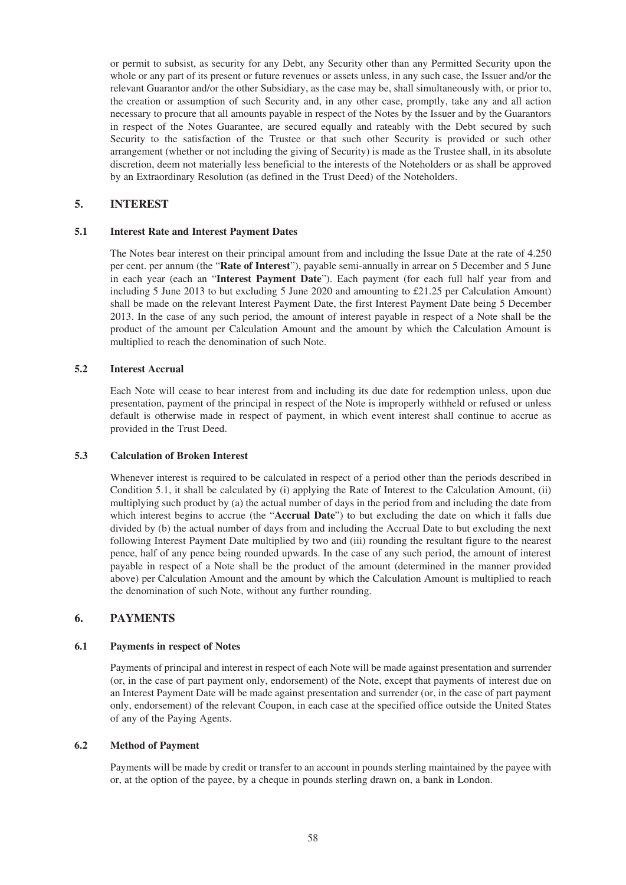or permit to subsist, as security for any Debt, any Security other than any Permitted Security upon the whole or any part of its present or future revenues or assets unless, in any such case, the Issuer and/or the relevant Guarantor and/or the other Subsidiary, as the case may be, shall simultaneously with, or prior to, the creation or assumption of such Security and, in any other case, promptly, take any and all action necessary to procure that all amounts payable in respect of the Notes by the Issuer and by the Guarantors in respect of the Notes Guarantee, are secured equally and rateably with the Debt secured by such Security to the satisfaction of the Trustee or that such other Security is provided or such other arrangement (whether or not including the giving of Security) is made as the Trustee shall, in its absolute discretion, deem not materially less beneficial to the interests of the Noteholders or as shall be approved by an Extraordinary Resolution (as defined in the Trust Deed) of the Noteholders.

## **5. INTEREST**

### **5.1 Interest Rate and Interest Payment Dates**

The Notes bear interest on their principal amount from and including the Issue Date at the rate of 4.250 per cent. per annum (the "**Rate of Interest**"), payable semi-annually in arrear on 5 December and 5 June in each year (each an "**Interest Payment Date**"). Each payment (for each full half year from and including 5 June 2013 to but excluding 5 June 2020 and amounting to £21.25 per Calculation Amount) shall be made on the relevant Interest Payment Date, the first Interest Payment Date being 5 December 2013. In the case of any such period, the amount of interest payable in respect of a Note shall be the product of the amount per Calculation Amount and the amount by which the Calculation Amount is multiplied to reach the denomination of such Note.

#### **5.2 Interest Accrual**

Each Note will cease to bear interest from and including its due date for redemption unless, upon due presentation, payment of the principal in respect of the Note is improperly withheld or refused or unless default is otherwise made in respect of payment, in which event interest shall continue to accrue as provided in the Trust Deed.

#### **5.3 Calculation of Broken Interest**

Whenever interest is required to be calculated in respect of a period other than the periods described in Condition 5.1, it shall be calculated by (i) applying the Rate of Interest to the Calculation Amount, (ii) multiplying such product by (a) the actual number of days in the period from and including the date from which interest begins to accrue (the "**Accrual Date**") to but excluding the date on which it falls due divided by (b) the actual number of days from and including the Accrual Date to but excluding the next following Interest Payment Date multiplied by two and (iii) rounding the resultant figure to the nearest pence, half of any pence being rounded upwards. In the case of any such period, the amount of interest payable in respect of a Note shall be the product of the amount (determined in the manner provided above) per Calculation Amount and the amount by which the Calculation Amount is multiplied to reach the denomination of such Note, without any further rounding.

## **6. PAYMENTS**

### **6.1 Payments in respect of Notes**

Payments of principal and interest in respect of each Note will be made against presentation and surrender (or, in the case of part payment only, endorsement) of the Note, except that payments of interest due on an Interest Payment Date will be made against presentation and surrender (or, in the case of part payment only, endorsement) of the relevant Coupon, in each case at the specified office outside the United States of any of the Paying Agents.

### **6.2 Method of Payment**

Payments will be made by credit or transfer to an account in pounds sterling maintained by the payee with or, at the option of the payee, by a cheque in pounds sterling drawn on, a bank in London.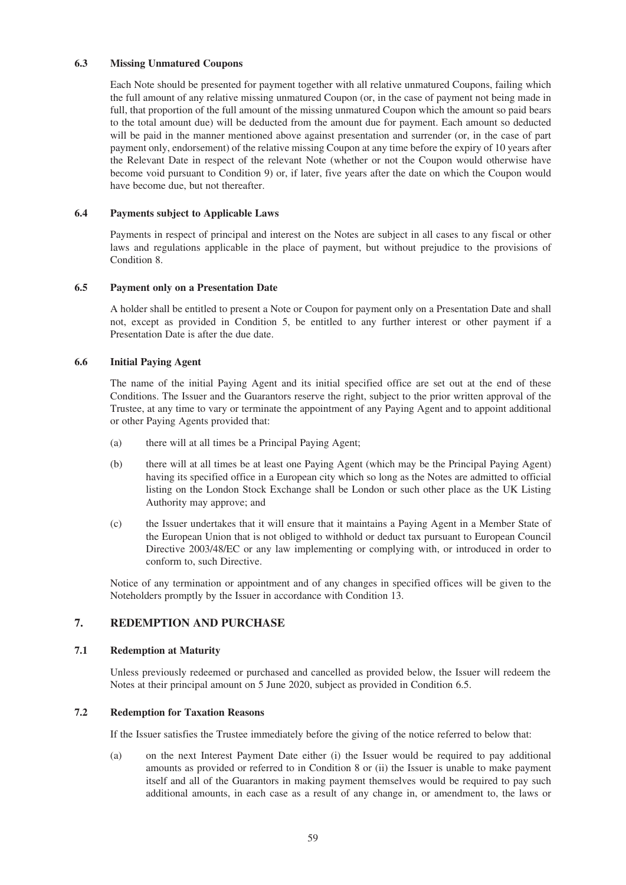## **6.3 Missing Unmatured Coupons**

Each Note should be presented for payment together with all relative unmatured Coupons, failing which the full amount of any relative missing unmatured Coupon (or, in the case of payment not being made in full, that proportion of the full amount of the missing unmatured Coupon which the amount so paid bears to the total amount due) will be deducted from the amount due for payment. Each amount so deducted will be paid in the manner mentioned above against presentation and surrender (or, in the case of part payment only, endorsement) of the relative missing Coupon at any time before the expiry of 10 years after the Relevant Date in respect of the relevant Note (whether or not the Coupon would otherwise have become void pursuant to Condition 9) or, if later, five years after the date on which the Coupon would have become due, but not thereafter.

#### **6.4 Payments subject to Applicable Laws**

Payments in respect of principal and interest on the Notes are subject in all cases to any fiscal or other laws and regulations applicable in the place of payment, but without prejudice to the provisions of Condition 8.

#### **6.5 Payment only on a Presentation Date**

A holder shall be entitled to present a Note or Coupon for payment only on a Presentation Date and shall not, except as provided in Condition 5, be entitled to any further interest or other payment if a Presentation Date is after the due date.

#### **6.6 Initial Paying Agent**

The name of the initial Paying Agent and its initial specified office are set out at the end of these Conditions. The Issuer and the Guarantors reserve the right, subject to the prior written approval of the Trustee, at any time to vary or terminate the appointment of any Paying Agent and to appoint additional or other Paying Agents provided that:

- (a) there will at all times be a Principal Paying Agent;
- (b) there will at all times be at least one Paying Agent (which may be the Principal Paying Agent) having its specified office in a European city which so long as the Notes are admitted to official listing on the London Stock Exchange shall be London or such other place as the UK Listing Authority may approve; and
- (c) the Issuer undertakes that it will ensure that it maintains a Paying Agent in a Member State of the European Union that is not obliged to withhold or deduct tax pursuant to European Council Directive 2003/48/EC or any law implementing or complying with, or introduced in order to conform to, such Directive.

Notice of any termination or appointment and of any changes in specified offices will be given to the Noteholders promptly by the Issuer in accordance with Condition 13.

# **7. REDEMPTION AND PURCHASE**

### **7.1 Redemption at Maturity**

Unless previously redeemed or purchased and cancelled as provided below, the Issuer will redeem the Notes at their principal amount on 5 June 2020, subject as provided in Condition 6.5.

# **7.2 Redemption for Taxation Reasons**

If the Issuer satisfies the Trustee immediately before the giving of the notice referred to below that:

(a) on the next Interest Payment Date either (i) the Issuer would be required to pay additional amounts as provided or referred to in Condition 8 or (ii) the Issuer is unable to make payment itself and all of the Guarantors in making payment themselves would be required to pay such additional amounts, in each case as a result of any change in, or amendment to, the laws or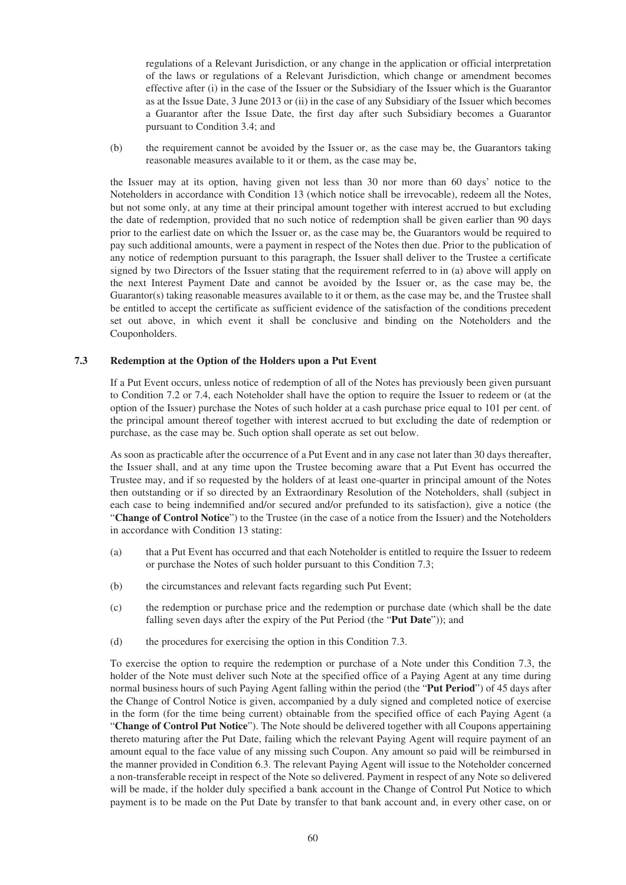regulations of a Relevant Jurisdiction, or any change in the application or official interpretation of the laws or regulations of a Relevant Jurisdiction, which change or amendment becomes effective after (i) in the case of the Issuer or the Subsidiary of the Issuer which is the Guarantor as at the Issue Date, 3 June 2013 or (ii) in the case of any Subsidiary of the Issuer which becomes a Guarantor after the Issue Date, the first day after such Subsidiary becomes a Guarantor pursuant to Condition 3.4; and

(b) the requirement cannot be avoided by the Issuer or, as the case may be, the Guarantors taking reasonable measures available to it or them, as the case may be,

the Issuer may at its option, having given not less than 30 nor more than 60 days' notice to the Noteholders in accordance with Condition 13 (which notice shall be irrevocable), redeem all the Notes, but not some only, at any time at their principal amount together with interest accrued to but excluding the date of redemption, provided that no such notice of redemption shall be given earlier than 90 days prior to the earliest date on which the Issuer or, as the case may be, the Guarantors would be required to pay such additional amounts, were a payment in respect of the Notes then due. Prior to the publication of any notice of redemption pursuant to this paragraph, the Issuer shall deliver to the Trustee a certificate signed by two Directors of the Issuer stating that the requirement referred to in (a) above will apply on the next Interest Payment Date and cannot be avoided by the Issuer or, as the case may be, the Guarantor(s) taking reasonable measures available to it or them, as the case may be, and the Trustee shall be entitled to accept the certificate as sufficient evidence of the satisfaction of the conditions precedent set out above, in which event it shall be conclusive and binding on the Noteholders and the Couponholders.

#### **7.3 Redemption at the Option of the Holders upon a Put Event**

If a Put Event occurs, unless notice of redemption of all of the Notes has previously been given pursuant to Condition 7.2 or 7.4, each Noteholder shall have the option to require the Issuer to redeem or (at the option of the Issuer) purchase the Notes of such holder at a cash purchase price equal to 101 per cent. of the principal amount thereof together with interest accrued to but excluding the date of redemption or purchase, as the case may be. Such option shall operate as set out below.

As soon as practicable after the occurrence of a Put Event and in any case not later than 30 days thereafter, the Issuer shall, and at any time upon the Trustee becoming aware that a Put Event has occurred the Trustee may, and if so requested by the holders of at least one-quarter in principal amount of the Notes then outstanding or if so directed by an Extraordinary Resolution of the Noteholders, shall (subject in each case to being indemnified and/or secured and/or prefunded to its satisfaction), give a notice (the "**Change of Control Notice**") to the Trustee (in the case of a notice from the Issuer) and the Noteholders in accordance with Condition 13 stating:

- (a) that a Put Event has occurred and that each Noteholder is entitled to require the Issuer to redeem or purchase the Notes of such holder pursuant to this Condition 7.3;
- (b) the circumstances and relevant facts regarding such Put Event;
- (c) the redemption or purchase price and the redemption or purchase date (which shall be the date falling seven days after the expiry of the Put Period (the "**Put Date**")); and
- (d) the procedures for exercising the option in this Condition 7.3.

To exercise the option to require the redemption or purchase of a Note under this Condition 7.3, the holder of the Note must deliver such Note at the specified office of a Paying Agent at any time during normal business hours of such Paying Agent falling within the period (the "**Put Period**") of 45 days after the Change of Control Notice is given, accompanied by a duly signed and completed notice of exercise in the form (for the time being current) obtainable from the specified office of each Paying Agent (a "**Change of Control Put Notice**"). The Note should be delivered together with all Coupons appertaining thereto maturing after the Put Date, failing which the relevant Paying Agent will require payment of an amount equal to the face value of any missing such Coupon. Any amount so paid will be reimbursed in the manner provided in Condition 6.3. The relevant Paying Agent will issue to the Noteholder concerned a non-transferable receipt in respect of the Note so delivered. Payment in respect of any Note so delivered will be made, if the holder duly specified a bank account in the Change of Control Put Notice to which payment is to be made on the Put Date by transfer to that bank account and, in every other case, on or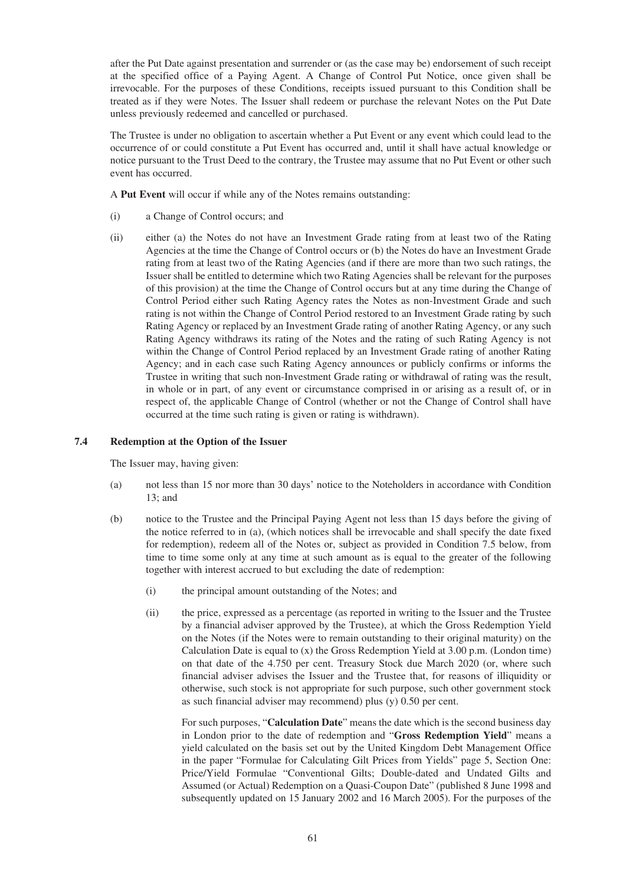after the Put Date against presentation and surrender or (as the case may be) endorsement of such receipt at the specified office of a Paying Agent. A Change of Control Put Notice, once given shall be irrevocable. For the purposes of these Conditions, receipts issued pursuant to this Condition shall be treated as if they were Notes. The Issuer shall redeem or purchase the relevant Notes on the Put Date unless previously redeemed and cancelled or purchased.

The Trustee is under no obligation to ascertain whether a Put Event or any event which could lead to the occurrence of or could constitute a Put Event has occurred and, until it shall have actual knowledge or notice pursuant to the Trust Deed to the contrary, the Trustee may assume that no Put Event or other such event has occurred.

A **Put Event** will occur if while any of the Notes remains outstanding:

- (i) a Change of Control occurs; and
- (ii) either (a) the Notes do not have an Investment Grade rating from at least two of the Rating Agencies at the time the Change of Control occurs or (b) the Notes do have an Investment Grade rating from at least two of the Rating Agencies (and if there are more than two such ratings, the Issuer shall be entitled to determine which two Rating Agencies shall be relevant for the purposes of this provision) at the time the Change of Control occurs but at any time during the Change of Control Period either such Rating Agency rates the Notes as non-Investment Grade and such rating is not within the Change of Control Period restored to an Investment Grade rating by such Rating Agency or replaced by an Investment Grade rating of another Rating Agency, or any such Rating Agency withdraws its rating of the Notes and the rating of such Rating Agency is not within the Change of Control Period replaced by an Investment Grade rating of another Rating Agency; and in each case such Rating Agency announces or publicly confirms or informs the Trustee in writing that such non-Investment Grade rating or withdrawal of rating was the result, in whole or in part, of any event or circumstance comprised in or arising as a result of, or in respect of, the applicable Change of Control (whether or not the Change of Control shall have occurred at the time such rating is given or rating is withdrawn).

### **7.4 Redemption at the Option of the Issuer**

The Issuer may, having given:

- (a) not less than 15 nor more than 30 days' notice to the Noteholders in accordance with Condition 13; and
- (b) notice to the Trustee and the Principal Paying Agent not less than 15 days before the giving of the notice referred to in (a), (which notices shall be irrevocable and shall specify the date fixed for redemption), redeem all of the Notes or, subject as provided in Condition 7.5 below, from time to time some only at any time at such amount as is equal to the greater of the following together with interest accrued to but excluding the date of redemption:
	- (i) the principal amount outstanding of the Notes; and
	- (ii) the price, expressed as a percentage (as reported in writing to the Issuer and the Trustee by a financial adviser approved by the Trustee), at which the Gross Redemption Yield on the Notes (if the Notes were to remain outstanding to their original maturity) on the Calculation Date is equal to  $(x)$  the Gross Redemption Yield at 3.00 p.m. (London time) on that date of the 4.750 per cent. Treasury Stock due March 2020 (or, where such financial adviser advises the Issuer and the Trustee that, for reasons of illiquidity or otherwise, such stock is not appropriate for such purpose, such other government stock as such financial adviser may recommend) plus (y) 0.50 per cent.

For such purposes, "**Calculation Date**" means the date which is the second business day in London prior to the date of redemption and "**Gross Redemption Yield**" means a yield calculated on the basis set out by the United Kingdom Debt Management Office in the paper "Formulae for Calculating Gilt Prices from Yields" page 5, Section One: Price/Yield Formulae "Conventional Gilts; Double-dated and Undated Gilts and Assumed (or Actual) Redemption on a Quasi-Coupon Date" (published 8 June 1998 and subsequently updated on 15 January 2002 and 16 March 2005). For the purposes of the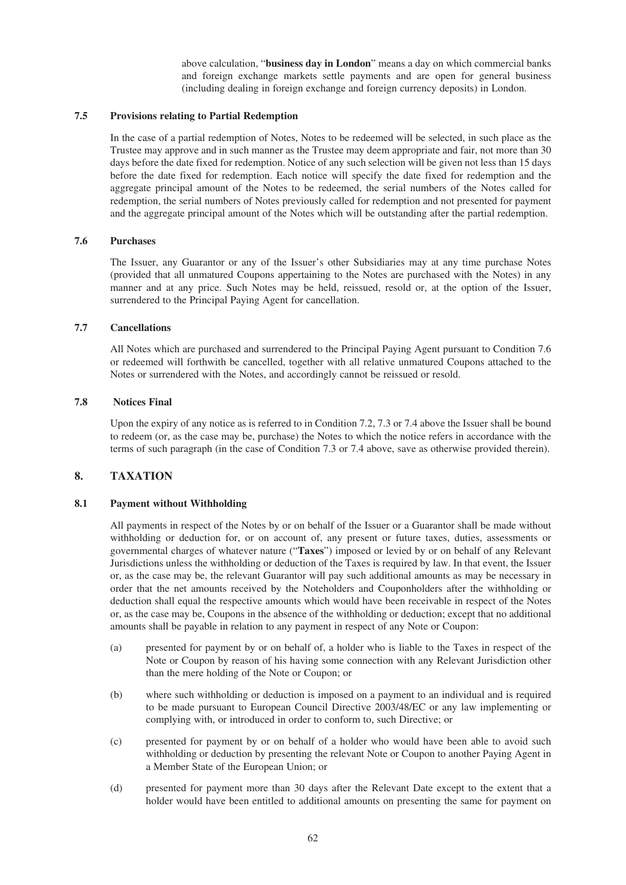above calculation, "**business day in London**" means a day on which commercial banks and foreign exchange markets settle payments and are open for general business (including dealing in foreign exchange and foreign currency deposits) in London.

### **7.5 Provisions relating to Partial Redemption**

In the case of a partial redemption of Notes, Notes to be redeemed will be selected, in such place as the Trustee may approve and in such manner as the Trustee may deem appropriate and fair, not more than 30 days before the date fixed for redemption. Notice of any such selection will be given not less than 15 days before the date fixed for redemption. Each notice will specify the date fixed for redemption and the aggregate principal amount of the Notes to be redeemed, the serial numbers of the Notes called for redemption, the serial numbers of Notes previously called for redemption and not presented for payment and the aggregate principal amount of the Notes which will be outstanding after the partial redemption.

### **7.6 Purchases**

The Issuer, any Guarantor or any of the Issuer's other Subsidiaries may at any time purchase Notes (provided that all unmatured Coupons appertaining to the Notes are purchased with the Notes) in any manner and at any price. Such Notes may be held, reissued, resold or, at the option of the Issuer, surrendered to the Principal Paying Agent for cancellation.

#### **7.7 Cancellations**

All Notes which are purchased and surrendered to the Principal Paying Agent pursuant to Condition 7.6 or redeemed will forthwith be cancelled, together with all relative unmatured Coupons attached to the Notes or surrendered with the Notes, and accordingly cannot be reissued or resold.

#### **7.8 Notices Final**

Upon the expiry of any notice as is referred to in Condition 7.2, 7.3 or 7.4 above the Issuer shall be bound to redeem (or, as the case may be, purchase) the Notes to which the notice refers in accordance with the terms of such paragraph (in the case of Condition 7.3 or 7.4 above, save as otherwise provided therein).

### **8. TAXATION**

### **8.1 Payment without Withholding**

All payments in respect of the Notes by or on behalf of the Issuer or a Guarantor shall be made without withholding or deduction for, or on account of, any present or future taxes, duties, assessments or governmental charges of whatever nature ("**Taxes**") imposed or levied by or on behalf of any Relevant Jurisdictions unless the withholding or deduction of the Taxes is required by law. In that event, the Issuer or, as the case may be, the relevant Guarantor will pay such additional amounts as may be necessary in order that the net amounts received by the Noteholders and Couponholders after the withholding or deduction shall equal the respective amounts which would have been receivable in respect of the Notes or, as the case may be, Coupons in the absence of the withholding or deduction; except that no additional amounts shall be payable in relation to any payment in respect of any Note or Coupon:

- (a) presented for payment by or on behalf of, a holder who is liable to the Taxes in respect of the Note or Coupon by reason of his having some connection with any Relevant Jurisdiction other than the mere holding of the Note or Coupon; or
- (b) where such withholding or deduction is imposed on a payment to an individual and is required to be made pursuant to European Council Directive 2003/48/EC or any law implementing or complying with, or introduced in order to conform to, such Directive; or
- (c) presented for payment by or on behalf of a holder who would have been able to avoid such withholding or deduction by presenting the relevant Note or Coupon to another Paying Agent in a Member State of the European Union; or
- (d) presented for payment more than 30 days after the Relevant Date except to the extent that a holder would have been entitled to additional amounts on presenting the same for payment on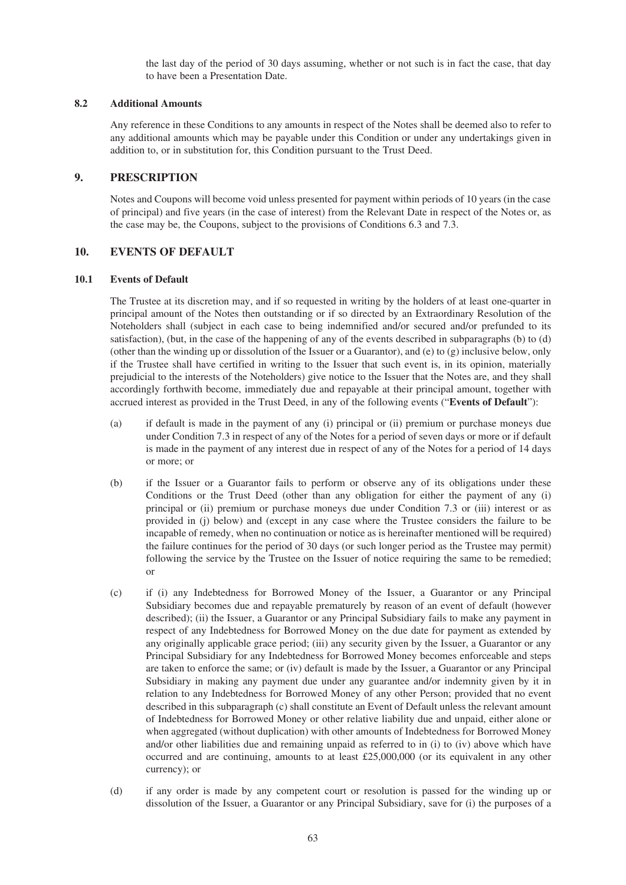the last day of the period of 30 days assuming, whether or not such is in fact the case, that day to have been a Presentation Date.

#### **8.2 Additional Amounts**

Any reference in these Conditions to any amounts in respect of the Notes shall be deemed also to refer to any additional amounts which may be payable under this Condition or under any undertakings given in addition to, or in substitution for, this Condition pursuant to the Trust Deed.

## **9. PRESCRIPTION**

Notes and Coupons will become void unless presented for payment within periods of 10 years (in the case of principal) and five years (in the case of interest) from the Relevant Date in respect of the Notes or, as the case may be, the Coupons, subject to the provisions of Conditions 6.3 and 7.3.

## **10. EVENTS OF DEFAULT**

#### **10.1 Events of Default**

The Trustee at its discretion may, and if so requested in writing by the holders of at least one-quarter in principal amount of the Notes then outstanding or if so directed by an Extraordinary Resolution of the Noteholders shall (subject in each case to being indemnified and/or secured and/or prefunded to its satisfaction), (but, in the case of the happening of any of the events described in subparagraphs (b) to (d) (other than the winding up or dissolution of the Issuer or a Guarantor), and (e) to (g) inclusive below, only if the Trustee shall have certified in writing to the Issuer that such event is, in its opinion, materially prejudicial to the interests of the Noteholders) give notice to the Issuer that the Notes are, and they shall accordingly forthwith become, immediately due and repayable at their principal amount, together with accrued interest as provided in the Trust Deed, in any of the following events ("**Events of Default**"):

- (a) if default is made in the payment of any (i) principal or (ii) premium or purchase moneys due under Condition 7.3 in respect of any of the Notes for a period of seven days or more or if default is made in the payment of any interest due in respect of any of the Notes for a period of 14 days or more; or
- (b) if the Issuer or a Guarantor fails to perform or observe any of its obligations under these Conditions or the Trust Deed (other than any obligation for either the payment of any (i) principal or (ii) premium or purchase moneys due under Condition 7.3 or (iii) interest or as provided in (j) below) and (except in any case where the Trustee considers the failure to be incapable of remedy, when no continuation or notice as is hereinafter mentioned will be required) the failure continues for the period of 30 days (or such longer period as the Trustee may permit) following the service by the Trustee on the Issuer of notice requiring the same to be remedied; or
- (c) if (i) any Indebtedness for Borrowed Money of the Issuer, a Guarantor or any Principal Subsidiary becomes due and repayable prematurely by reason of an event of default (however described); (ii) the Issuer, a Guarantor or any Principal Subsidiary fails to make any payment in respect of any Indebtedness for Borrowed Money on the due date for payment as extended by any originally applicable grace period; (iii) any security given by the Issuer, a Guarantor or any Principal Subsidiary for any Indebtedness for Borrowed Money becomes enforceable and steps are taken to enforce the same; or (iv) default is made by the Issuer, a Guarantor or any Principal Subsidiary in making any payment due under any guarantee and/or indemnity given by it in relation to any Indebtedness for Borrowed Money of any other Person; provided that no event described in this subparagraph (c) shall constitute an Event of Default unless the relevant amount of Indebtedness for Borrowed Money or other relative liability due and unpaid, either alone or when aggregated (without duplication) with other amounts of Indebtedness for Borrowed Money and/or other liabilities due and remaining unpaid as referred to in (i) to (iv) above which have occurred and are continuing, amounts to at least  $£25,000,000$  (or its equivalent in any other currency); or
- (d) if any order is made by any competent court or resolution is passed for the winding up or dissolution of the Issuer, a Guarantor or any Principal Subsidiary, save for (i) the purposes of a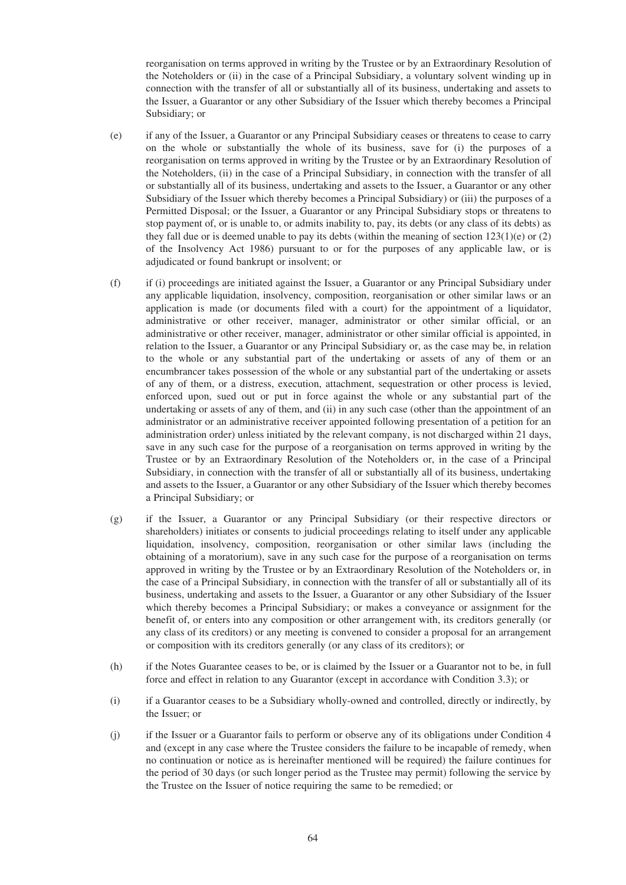reorganisation on terms approved in writing by the Trustee or by an Extraordinary Resolution of the Noteholders or (ii) in the case of a Principal Subsidiary, a voluntary solvent winding up in connection with the transfer of all or substantially all of its business, undertaking and assets to the Issuer, a Guarantor or any other Subsidiary of the Issuer which thereby becomes a Principal Subsidiary; or

- (e) if any of the Issuer, a Guarantor or any Principal Subsidiary ceases or threatens to cease to carry on the whole or substantially the whole of its business, save for (i) the purposes of a reorganisation on terms approved in writing by the Trustee or by an Extraordinary Resolution of the Noteholders, (ii) in the case of a Principal Subsidiary, in connection with the transfer of all or substantially all of its business, undertaking and assets to the Issuer, a Guarantor or any other Subsidiary of the Issuer which thereby becomes a Principal Subsidiary) or (iii) the purposes of a Permitted Disposal; or the Issuer, a Guarantor or any Principal Subsidiary stops or threatens to stop payment of, or is unable to, or admits inability to, pay, its debts (or any class of its debts) as they fall due or is deemed unable to pay its debts (within the meaning of section  $123(1)(e)$  or (2) of the Insolvency Act 1986) pursuant to or for the purposes of any applicable law, or is adjudicated or found bankrupt or insolvent; or
- (f) if (i) proceedings are initiated against the Issuer, a Guarantor or any Principal Subsidiary under any applicable liquidation, insolvency, composition, reorganisation or other similar laws or an application is made (or documents filed with a court) for the appointment of a liquidator, administrative or other receiver, manager, administrator or other similar official, or an administrative or other receiver, manager, administrator or other similar official is appointed, in relation to the Issuer, a Guarantor or any Principal Subsidiary or, as the case may be, in relation to the whole or any substantial part of the undertaking or assets of any of them or an encumbrancer takes possession of the whole or any substantial part of the undertaking or assets of any of them, or a distress, execution, attachment, sequestration or other process is levied, enforced upon, sued out or put in force against the whole or any substantial part of the undertaking or assets of any of them, and (ii) in any such case (other than the appointment of an administrator or an administrative receiver appointed following presentation of a petition for an administration order) unless initiated by the relevant company, is not discharged within 21 days, save in any such case for the purpose of a reorganisation on terms approved in writing by the Trustee or by an Extraordinary Resolution of the Noteholders or, in the case of a Principal Subsidiary, in connection with the transfer of all or substantially all of its business, undertaking and assets to the Issuer, a Guarantor or any other Subsidiary of the Issuer which thereby becomes a Principal Subsidiary; or
- (g) if the Issuer, a Guarantor or any Principal Subsidiary (or their respective directors or shareholders) initiates or consents to judicial proceedings relating to itself under any applicable liquidation, insolvency, composition, reorganisation or other similar laws (including the obtaining of a moratorium), save in any such case for the purpose of a reorganisation on terms approved in writing by the Trustee or by an Extraordinary Resolution of the Noteholders or, in the case of a Principal Subsidiary, in connection with the transfer of all or substantially all of its business, undertaking and assets to the Issuer, a Guarantor or any other Subsidiary of the Issuer which thereby becomes a Principal Subsidiary; or makes a conveyance or assignment for the benefit of, or enters into any composition or other arrangement with, its creditors generally (or any class of its creditors) or any meeting is convened to consider a proposal for an arrangement or composition with its creditors generally (or any class of its creditors); or
- (h) if the Notes Guarantee ceases to be, or is claimed by the Issuer or a Guarantor not to be, in full force and effect in relation to any Guarantor (except in accordance with Condition 3.3); or
- (i) if a Guarantor ceases to be a Subsidiary wholly-owned and controlled, directly or indirectly, by the Issuer; or
- (j) if the Issuer or a Guarantor fails to perform or observe any of its obligations under Condition 4 and (except in any case where the Trustee considers the failure to be incapable of remedy, when no continuation or notice as is hereinafter mentioned will be required) the failure continues for the period of 30 days (or such longer period as the Trustee may permit) following the service by the Trustee on the Issuer of notice requiring the same to be remedied; or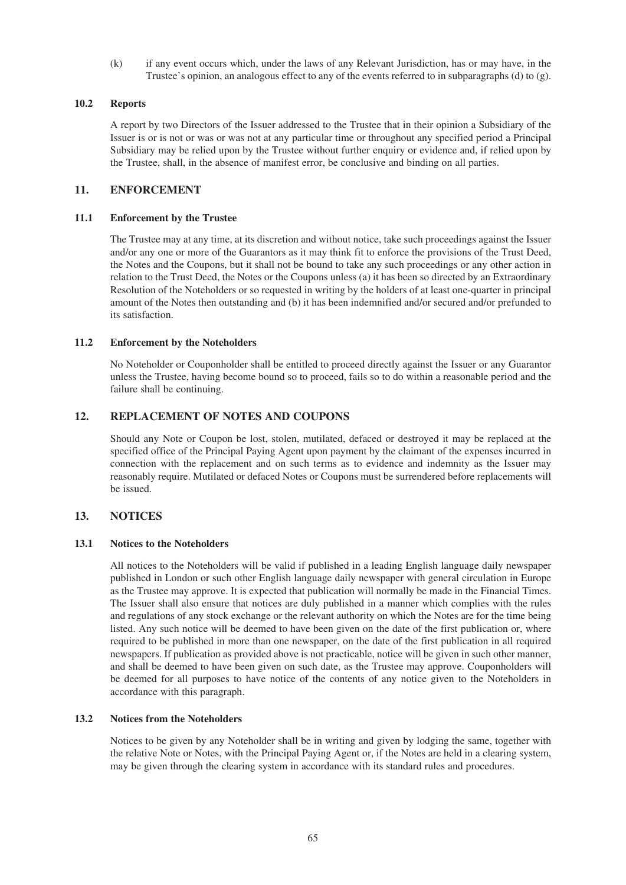(k) if any event occurs which, under the laws of any Relevant Jurisdiction, has or may have, in the Trustee's opinion, an analogous effect to any of the events referred to in subparagraphs (d) to (g).

### **10.2 Reports**

A report by two Directors of the Issuer addressed to the Trustee that in their opinion a Subsidiary of the Issuer is or is not or was or was not at any particular time or throughout any specified period a Principal Subsidiary may be relied upon by the Trustee without further enquiry or evidence and, if relied upon by the Trustee, shall, in the absence of manifest error, be conclusive and binding on all parties.

# **11. ENFORCEMENT**

### **11.1 Enforcement by the Trustee**

The Trustee may at any time, at its discretion and without notice, take such proceedings against the Issuer and/or any one or more of the Guarantors as it may think fit to enforce the provisions of the Trust Deed, the Notes and the Coupons, but it shall not be bound to take any such proceedings or any other action in relation to the Trust Deed, the Notes or the Coupons unless (a) it has been so directed by an Extraordinary Resolution of the Noteholders or so requested in writing by the holders of at least one-quarter in principal amount of the Notes then outstanding and (b) it has been indemnified and/or secured and/or prefunded to its satisfaction.

### **11.2 Enforcement by the Noteholders**

No Noteholder or Couponholder shall be entitled to proceed directly against the Issuer or any Guarantor unless the Trustee, having become bound so to proceed, fails so to do within a reasonable period and the failure shall be continuing.

# **12. REPLACEMENT OF NOTES AND COUPONS**

Should any Note or Coupon be lost, stolen, mutilated, defaced or destroyed it may be replaced at the specified office of the Principal Paying Agent upon payment by the claimant of the expenses incurred in connection with the replacement and on such terms as to evidence and indemnity as the Issuer may reasonably require. Mutilated or defaced Notes or Coupons must be surrendered before replacements will be issued.

# **13. NOTICES**

### **13.1 Notices to the Noteholders**

All notices to the Noteholders will be valid if published in a leading English language daily newspaper published in London or such other English language daily newspaper with general circulation in Europe as the Trustee may approve. It is expected that publication will normally be made in the Financial Times. The Issuer shall also ensure that notices are duly published in a manner which complies with the rules and regulations of any stock exchange or the relevant authority on which the Notes are for the time being listed. Any such notice will be deemed to have been given on the date of the first publication or, where required to be published in more than one newspaper, on the date of the first publication in all required newspapers. If publication as provided above is not practicable, notice will be given in such other manner, and shall be deemed to have been given on such date, as the Trustee may approve. Couponholders will be deemed for all purposes to have notice of the contents of any notice given to the Noteholders in accordance with this paragraph.

### **13.2 Notices from the Noteholders**

Notices to be given by any Noteholder shall be in writing and given by lodging the same, together with the relative Note or Notes, with the Principal Paying Agent or, if the Notes are held in a clearing system, may be given through the clearing system in accordance with its standard rules and procedures.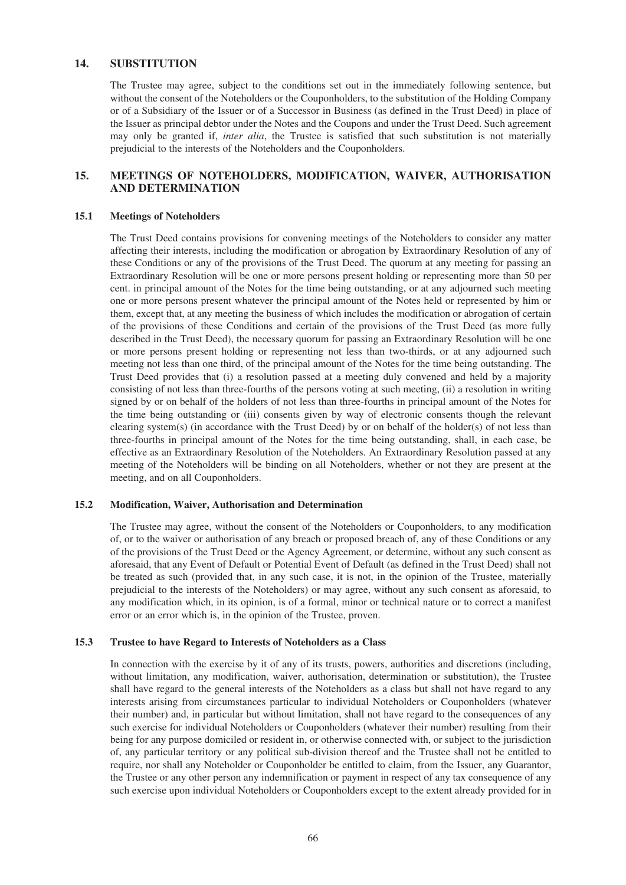# **14. SUBSTITUTION**

The Trustee may agree, subject to the conditions set out in the immediately following sentence, but without the consent of the Noteholders or the Couponholders, to the substitution of the Holding Company or of a Subsidiary of the Issuer or of a Successor in Business (as defined in the Trust Deed) in place of the Issuer as principal debtor under the Notes and the Coupons and under the Trust Deed. Such agreement may only be granted if, *inter alia*, the Trustee is satisfied that such substitution is not materially prejudicial to the interests of the Noteholders and the Couponholders.

# **15. MEETINGS OF NOTEHOLDERS, MODIFICATION, WAIVER, AUTHORISATION AND DETERMINATION**

#### **15.1 Meetings of Noteholders**

The Trust Deed contains provisions for convening meetings of the Noteholders to consider any matter affecting their interests, including the modification or abrogation by Extraordinary Resolution of any of these Conditions or any of the provisions of the Trust Deed. The quorum at any meeting for passing an Extraordinary Resolution will be one or more persons present holding or representing more than 50 per cent. in principal amount of the Notes for the time being outstanding, or at any adjourned such meeting one or more persons present whatever the principal amount of the Notes held or represented by him or them, except that, at any meeting the business of which includes the modification or abrogation of certain of the provisions of these Conditions and certain of the provisions of the Trust Deed (as more fully described in the Trust Deed), the necessary quorum for passing an Extraordinary Resolution will be one or more persons present holding or representing not less than two-thirds, or at any adjourned such meeting not less than one third, of the principal amount of the Notes for the time being outstanding. The Trust Deed provides that (i) a resolution passed at a meeting duly convened and held by a majority consisting of not less than three-fourths of the persons voting at such meeting, (ii) a resolution in writing signed by or on behalf of the holders of not less than three-fourths in principal amount of the Notes for the time being outstanding or (iii) consents given by way of electronic consents though the relevant clearing system(s) (in accordance with the Trust Deed) by or on behalf of the holder(s) of not less than three-fourths in principal amount of the Notes for the time being outstanding, shall, in each case, be effective as an Extraordinary Resolution of the Noteholders. An Extraordinary Resolution passed at any meeting of the Noteholders will be binding on all Noteholders, whether or not they are present at the meeting, and on all Couponholders.

#### **15.2 Modification, Waiver, Authorisation and Determination**

The Trustee may agree, without the consent of the Noteholders or Couponholders, to any modification of, or to the waiver or authorisation of any breach or proposed breach of, any of these Conditions or any of the provisions of the Trust Deed or the Agency Agreement, or determine, without any such consent as aforesaid, that any Event of Default or Potential Event of Default (as defined in the Trust Deed) shall not be treated as such (provided that, in any such case, it is not, in the opinion of the Trustee, materially prejudicial to the interests of the Noteholders) or may agree, without any such consent as aforesaid, to any modification which, in its opinion, is of a formal, minor or technical nature or to correct a manifest error or an error which is, in the opinion of the Trustee, proven.

#### **15.3 Trustee to have Regard to Interests of Noteholders as a Class**

In connection with the exercise by it of any of its trusts, powers, authorities and discretions (including, without limitation, any modification, waiver, authorisation, determination or substitution), the Trustee shall have regard to the general interests of the Noteholders as a class but shall not have regard to any interests arising from circumstances particular to individual Noteholders or Couponholders (whatever their number) and, in particular but without limitation, shall not have regard to the consequences of any such exercise for individual Noteholders or Couponholders (whatever their number) resulting from their being for any purpose domiciled or resident in, or otherwise connected with, or subject to the jurisdiction of, any particular territory or any political sub-division thereof and the Trustee shall not be entitled to require, nor shall any Noteholder or Couponholder be entitled to claim, from the Issuer, any Guarantor, the Trustee or any other person any indemnification or payment in respect of any tax consequence of any such exercise upon individual Noteholders or Couponholders except to the extent already provided for in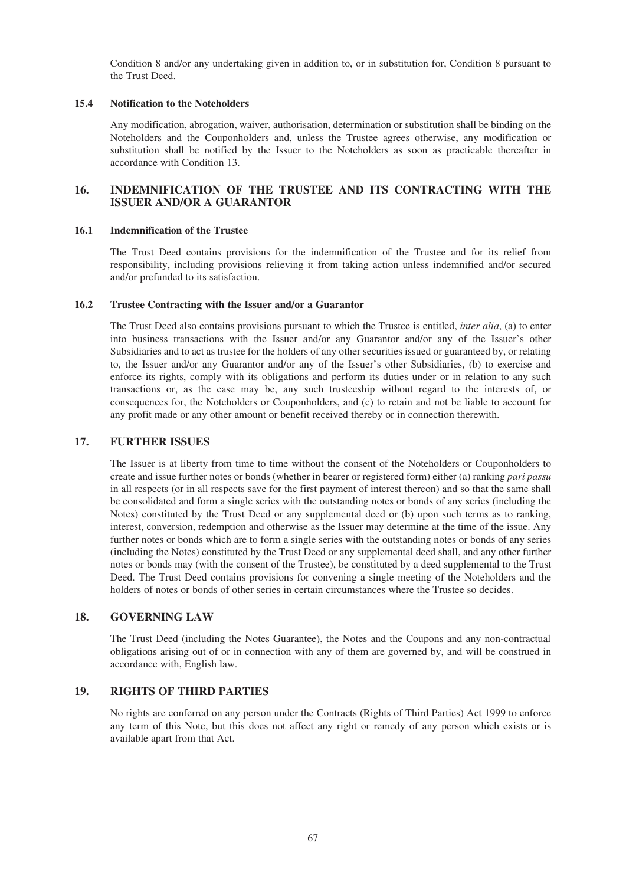Condition 8 and/or any undertaking given in addition to, or in substitution for, Condition 8 pursuant to the Trust Deed.

#### **15.4 Notification to the Noteholders**

Any modification, abrogation, waiver, authorisation, determination or substitution shall be binding on the Noteholders and the Couponholders and, unless the Trustee agrees otherwise, any modification or substitution shall be notified by the Issuer to the Noteholders as soon as practicable thereafter in accordance with Condition 13.

# **16. INDEMNIFICATION OF THE TRUSTEE AND ITS CONTRACTING WITH THE ISSUER AND/OR A GUARANTOR**

#### **16.1 Indemnification of the Trustee**

The Trust Deed contains provisions for the indemnification of the Trustee and for its relief from responsibility, including provisions relieving it from taking action unless indemnified and/or secured and/or prefunded to its satisfaction.

#### **16.2 Trustee Contracting with the Issuer and/or a Guarantor**

The Trust Deed also contains provisions pursuant to which the Trustee is entitled, *inter alia*, (a) to enter into business transactions with the Issuer and/or any Guarantor and/or any of the Issuer's other Subsidiaries and to act as trustee for the holders of any other securities issued or guaranteed by, or relating to, the Issuer and/or any Guarantor and/or any of the Issuer's other Subsidiaries, (b) to exercise and enforce its rights, comply with its obligations and perform its duties under or in relation to any such transactions or, as the case may be, any such trusteeship without regard to the interests of, or consequences for, the Noteholders or Couponholders, and (c) to retain and not be liable to account for any profit made or any other amount or benefit received thereby or in connection therewith.

### **17. FURTHER ISSUES**

The Issuer is at liberty from time to time without the consent of the Noteholders or Couponholders to create and issue further notes or bonds (whether in bearer or registered form) either (a) ranking *pari passu* in all respects (or in all respects save for the first payment of interest thereon) and so that the same shall be consolidated and form a single series with the outstanding notes or bonds of any series (including the Notes) constituted by the Trust Deed or any supplemental deed or (b) upon such terms as to ranking, interest, conversion, redemption and otherwise as the Issuer may determine at the time of the issue. Any further notes or bonds which are to form a single series with the outstanding notes or bonds of any series (including the Notes) constituted by the Trust Deed or any supplemental deed shall, and any other further notes or bonds may (with the consent of the Trustee), be constituted by a deed supplemental to the Trust Deed. The Trust Deed contains provisions for convening a single meeting of the Noteholders and the holders of notes or bonds of other series in certain circumstances where the Trustee so decides.

## **18. GOVERNING LAW**

The Trust Deed (including the Notes Guarantee), the Notes and the Coupons and any non-contractual obligations arising out of or in connection with any of them are governed by, and will be construed in accordance with, English law.

### **19. RIGHTS OF THIRD PARTIES**

No rights are conferred on any person under the Contracts (Rights of Third Parties) Act 1999 to enforce any term of this Note, but this does not affect any right or remedy of any person which exists or is available apart from that Act.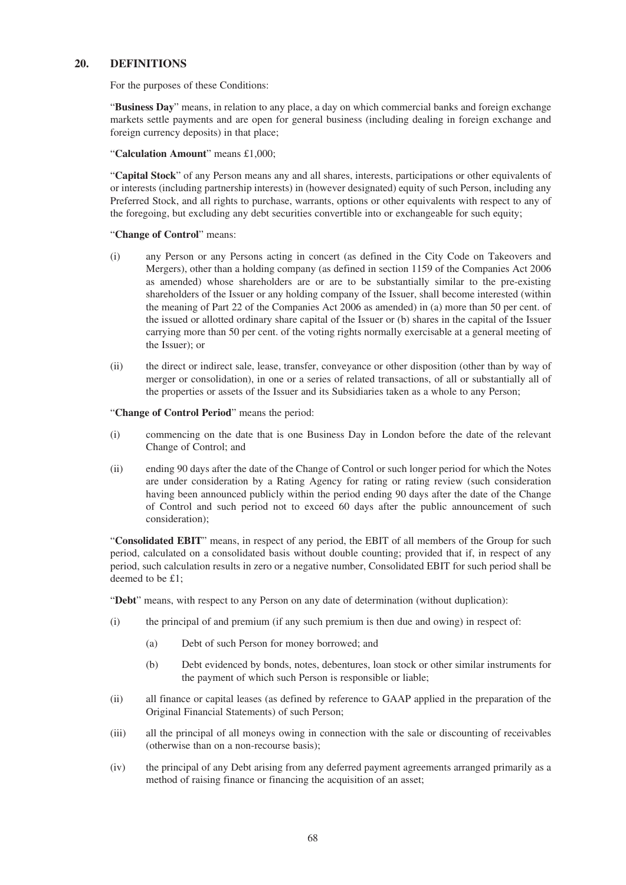# **20. DEFINITIONS**

For the purposes of these Conditions:

"**Business Day**" means, in relation to any place, a day on which commercial banks and foreign exchange markets settle payments and are open for general business (including dealing in foreign exchange and foreign currency deposits) in that place;

"**Calculation Amount**" means £1,000;

"**Capital Stock**" of any Person means any and all shares, interests, participations or other equivalents of or interests (including partnership interests) in (however designated) equity of such Person, including any Preferred Stock, and all rights to purchase, warrants, options or other equivalents with respect to any of the foregoing, but excluding any debt securities convertible into or exchangeable for such equity;

#### "**Change of Control**" means:

- (i) any Person or any Persons acting in concert (as defined in the City Code on Takeovers and Mergers), other than a holding company (as defined in section 1159 of the Companies Act 2006 as amended) whose shareholders are or are to be substantially similar to the pre-existing shareholders of the Issuer or any holding company of the Issuer, shall become interested (within the meaning of Part 22 of the Companies Act 2006 as amended) in (a) more than 50 per cent. of the issued or allotted ordinary share capital of the Issuer or (b) shares in the capital of the Issuer carrying more than 50 per cent. of the voting rights normally exercisable at a general meeting of the Issuer); or
- (ii) the direct or indirect sale, lease, transfer, conveyance or other disposition (other than by way of merger or consolidation), in one or a series of related transactions, of all or substantially all of the properties or assets of the Issuer and its Subsidiaries taken as a whole to any Person;

"**Change of Control Period**" means the period:

- (i) commencing on the date that is one Business Day in London before the date of the relevant Change of Control; and
- (ii) ending 90 days after the date of the Change of Control or such longer period for which the Notes are under consideration by a Rating Agency for rating or rating review (such consideration having been announced publicly within the period ending 90 days after the date of the Change of Control and such period not to exceed 60 days after the public announcement of such consideration);

"**Consolidated EBIT**" means, in respect of any period, the EBIT of all members of the Group for such period, calculated on a consolidated basis without double counting; provided that if, in respect of any period, such calculation results in zero or a negative number, Consolidated EBIT for such period shall be deemed to be £1;

"**Debt**" means, with respect to any Person on any date of determination (without duplication):

- (i) the principal of and premium (if any such premium is then due and owing) in respect of:
	- (a) Debt of such Person for money borrowed; and
	- (b) Debt evidenced by bonds, notes, debentures, loan stock or other similar instruments for the payment of which such Person is responsible or liable;
- (ii) all finance or capital leases (as defined by reference to GAAP applied in the preparation of the Original Financial Statements) of such Person;
- (iii) all the principal of all moneys owing in connection with the sale or discounting of receivables (otherwise than on a non-recourse basis);
- (iv) the principal of any Debt arising from any deferred payment agreements arranged primarily as a method of raising finance or financing the acquisition of an asset;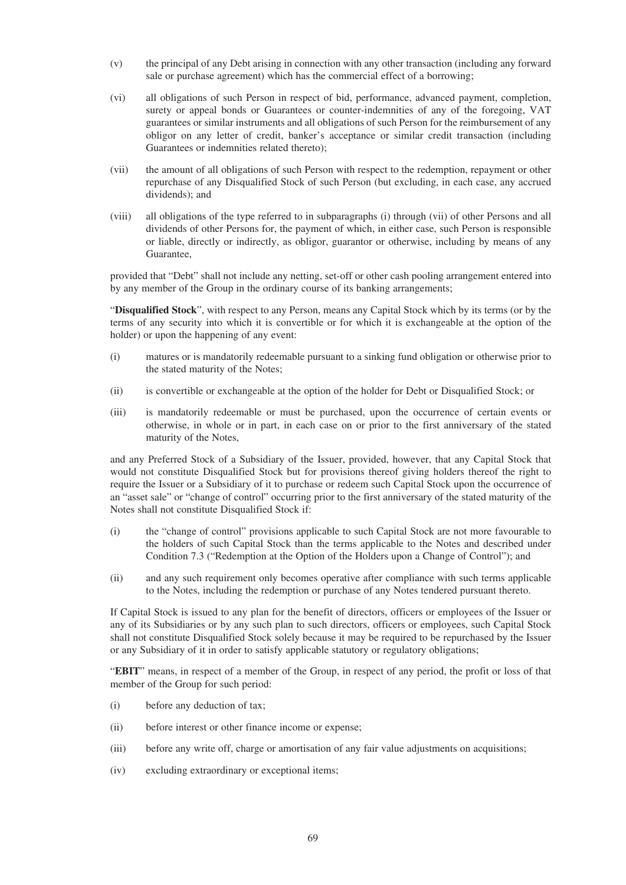- (v) the principal of any Debt arising in connection with any other transaction (including any forward sale or purchase agreement) which has the commercial effect of a borrowing;
- (vi) all obligations of such Person in respect of bid, performance, advanced payment, completion, surety or appeal bonds or Guarantees or counter-indemnities of any of the foregoing, VAT guarantees or similar instruments and all obligations of such Person for the reimbursement of any obligor on any letter of credit, banker's acceptance or similar credit transaction (including Guarantees or indemnities related thereto);
- (vii) the amount of all obligations of such Person with respect to the redemption, repayment or other repurchase of any Disqualified Stock of such Person (but excluding, in each case, any accrued dividends); and
- (viii) all obligations of the type referred to in subparagraphs (i) through (vii) of other Persons and all dividends of other Persons for, the payment of which, in either case, such Person is responsible or liable, directly or indirectly, as obligor, guarantor or otherwise, including by means of any Guarantee,

provided that "Debt" shall not include any netting, set-off or other cash pooling arrangement entered into by any member of the Group in the ordinary course of its banking arrangements;

"**Disqualified Stock**", with respect to any Person, means any Capital Stock which by its terms (or by the terms of any security into which it is convertible or for which it is exchangeable at the option of the holder) or upon the happening of any event:

- (i) matures or is mandatorily redeemable pursuant to a sinking fund obligation or otherwise prior to the stated maturity of the Notes;
- (ii) is convertible or exchangeable at the option of the holder for Debt or Disqualified Stock; or
- (iii) is mandatorily redeemable or must be purchased, upon the occurrence of certain events or otherwise, in whole or in part, in each case on or prior to the first anniversary of the stated maturity of the Notes,

and any Preferred Stock of a Subsidiary of the Issuer, provided, however, that any Capital Stock that would not constitute Disqualified Stock but for provisions thereof giving holders thereof the right to require the Issuer or a Subsidiary of it to purchase or redeem such Capital Stock upon the occurrence of an "asset sale" or "change of control" occurring prior to the first anniversary of the stated maturity of the Notes shall not constitute Disqualified Stock if:

- (i) the "change of control" provisions applicable to such Capital Stock are not more favourable to the holders of such Capital Stock than the terms applicable to the Notes and described under Condition 7.3 ("Redemption at the Option of the Holders upon a Change of Control"); and
- (ii) and any such requirement only becomes operative after compliance with such terms applicable to the Notes, including the redemption or purchase of any Notes tendered pursuant thereto.

If Capital Stock is issued to any plan for the benefit of directors, officers or employees of the Issuer or any of its Subsidiaries or by any such plan to such directors, officers or employees, such Capital Stock shall not constitute Disqualified Stock solely because it may be required to be repurchased by the Issuer or any Subsidiary of it in order to satisfy applicable statutory or regulatory obligations;

"**EBIT**" means, in respect of a member of the Group, in respect of any period, the profit or loss of that member of the Group for such period:

- (i) before any deduction of tax;
- (ii) before interest or other finance income or expense;
- (iii) before any write off, charge or amortisation of any fair value adjustments on acquisitions;
- (iv) excluding extraordinary or exceptional items;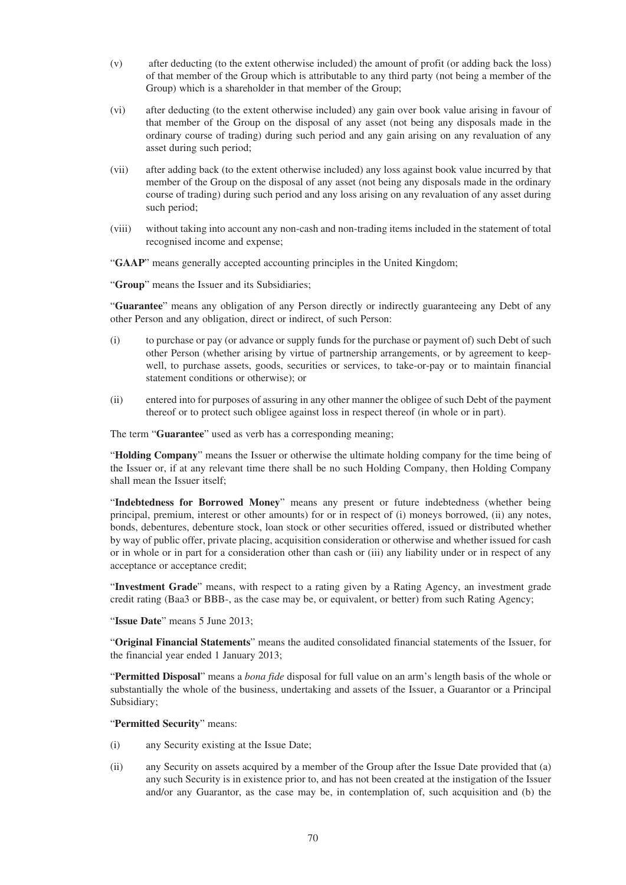- (v) after deducting (to the extent otherwise included) the amount of profit (or adding back the loss) of that member of the Group which is attributable to any third party (not being a member of the Group) which is a shareholder in that member of the Group;
- (vi) after deducting (to the extent otherwise included) any gain over book value arising in favour of that member of the Group on the disposal of any asset (not being any disposals made in the ordinary course of trading) during such period and any gain arising on any revaluation of any asset during such period;
- (vii) after adding back (to the extent otherwise included) any loss against book value incurred by that member of the Group on the disposal of any asset (not being any disposals made in the ordinary course of trading) during such period and any loss arising on any revaluation of any asset during such period;
- (viii) without taking into account any non-cash and non-trading items included in the statement of total recognised income and expense;
- "**GAAP**" means generally accepted accounting principles in the United Kingdom;

"**Group**" means the Issuer and its Subsidiaries;

"**Guarantee**" means any obligation of any Person directly or indirectly guaranteeing any Debt of any other Person and any obligation, direct or indirect, of such Person:

- (i) to purchase or pay (or advance or supply funds for the purchase or payment of) such Debt of such other Person (whether arising by virtue of partnership arrangements, or by agreement to keepwell, to purchase assets, goods, securities or services, to take-or-pay or to maintain financial statement conditions or otherwise); or
- (ii) entered into for purposes of assuring in any other manner the obligee of such Debt of the payment thereof or to protect such obligee against loss in respect thereof (in whole or in part).

The term "**Guarantee**" used as verb has a corresponding meaning;

"**Holding Company**" means the Issuer or otherwise the ultimate holding company for the time being of the Issuer or, if at any relevant time there shall be no such Holding Company, then Holding Company shall mean the Issuer itself;

"**Indebtedness for Borrowed Money**" means any present or future indebtedness (whether being principal, premium, interest or other amounts) for or in respect of (i) moneys borrowed, (ii) any notes, bonds, debentures, debenture stock, loan stock or other securities offered, issued or distributed whether by way of public offer, private placing, acquisition consideration or otherwise and whether issued for cash or in whole or in part for a consideration other than cash or (iii) any liability under or in respect of any acceptance or acceptance credit;

"**Investment Grade**" means, with respect to a rating given by a Rating Agency, an investment grade credit rating (Baa3 or BBB-, as the case may be, or equivalent, or better) from such Rating Agency;

"**Issue Date**" means 5 June 2013;

"**Original Financial Statements**" means the audited consolidated financial statements of the Issuer, for the financial year ended 1 January 2013;

"**Permitted Disposal**" means a *bona fide* disposal for full value on an arm's length basis of the whole or substantially the whole of the business, undertaking and assets of the Issuer, a Guarantor or a Principal Subsidiary;

#### "**Permitted Security**" means:

- (i) any Security existing at the Issue Date;
- (ii) any Security on assets acquired by a member of the Group after the Issue Date provided that (a) any such Security is in existence prior to, and has not been created at the instigation of the Issuer and/or any Guarantor, as the case may be, in contemplation of, such acquisition and (b) the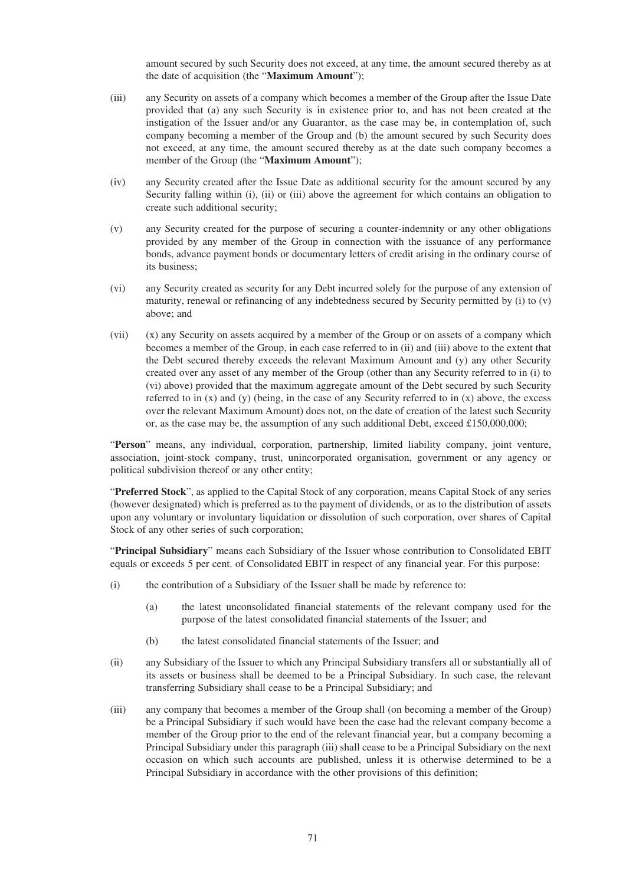amount secured by such Security does not exceed, at any time, the amount secured thereby as at the date of acquisition (the "**Maximum Amount**");

- (iii) any Security on assets of a company which becomes a member of the Group after the Issue Date provided that (a) any such Security is in existence prior to, and has not been created at the instigation of the Issuer and/or any Guarantor, as the case may be, in contemplation of, such company becoming a member of the Group and (b) the amount secured by such Security does not exceed, at any time, the amount secured thereby as at the date such company becomes a member of the Group (the "**Maximum Amount**");
- (iv) any Security created after the Issue Date as additional security for the amount secured by any Security falling within (i), (ii) or (iii) above the agreement for which contains an obligation to create such additional security;
- (v) any Security created for the purpose of securing a counter-indemnity or any other obligations provided by any member of the Group in connection with the issuance of any performance bonds, advance payment bonds or documentary letters of credit arising in the ordinary course of its business;
- (vi) any Security created as security for any Debt incurred solely for the purpose of any extension of maturity, renewal or refinancing of any indebtedness secured by Security permitted by (i) to (v) above; and
- (vii) (x) any Security on assets acquired by a member of the Group or on assets of a company which becomes a member of the Group, in each case referred to in (ii) and (iii) above to the extent that the Debt secured thereby exceeds the relevant Maximum Amount and (y) any other Security created over any asset of any member of the Group (other than any Security referred to in (i) to (vi) above) provided that the maximum aggregate amount of the Debt secured by such Security referred to in  $(x)$  and  $(y)$  (being, in the case of any Security referred to in  $(x)$  above, the excess over the relevant Maximum Amount) does not, on the date of creation of the latest such Security or, as the case may be, the assumption of any such additional Debt, exceed £150,000,000;

"**Person**" means, any individual, corporation, partnership, limited liability company, joint venture, association, joint-stock company, trust, unincorporated organisation, government or any agency or political subdivision thereof or any other entity;

"**Preferred Stock**", as applied to the Capital Stock of any corporation, means Capital Stock of any series (however designated) which is preferred as to the payment of dividends, or as to the distribution of assets upon any voluntary or involuntary liquidation or dissolution of such corporation, over shares of Capital Stock of any other series of such corporation;

"**Principal Subsidiary**" means each Subsidiary of the Issuer whose contribution to Consolidated EBIT equals or exceeds 5 per cent. of Consolidated EBIT in respect of any financial year. For this purpose:

- (i) the contribution of a Subsidiary of the Issuer shall be made by reference to:
	- (a) the latest unconsolidated financial statements of the relevant company used for the purpose of the latest consolidated financial statements of the Issuer; and
	- (b) the latest consolidated financial statements of the Issuer; and
- (ii) any Subsidiary of the Issuer to which any Principal Subsidiary transfers all or substantially all of its assets or business shall be deemed to be a Principal Subsidiary. In such case, the relevant transferring Subsidiary shall cease to be a Principal Subsidiary; and
- (iii) any company that becomes a member of the Group shall (on becoming a member of the Group) be a Principal Subsidiary if such would have been the case had the relevant company become a member of the Group prior to the end of the relevant financial year, but a company becoming a Principal Subsidiary under this paragraph (iii) shall cease to be a Principal Subsidiary on the next occasion on which such accounts are published, unless it is otherwise determined to be a Principal Subsidiary in accordance with the other provisions of this definition;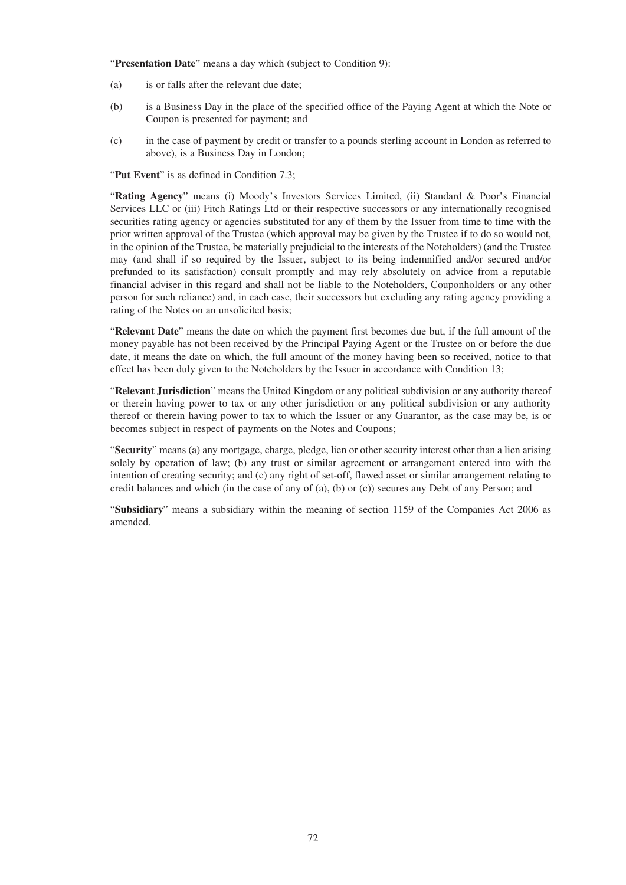"Presentation Date" means a day which (subject to Condition 9):

- (a) is or falls after the relevant due date;
- (b) is a Business Day in the place of the specified office of the Paying Agent at which the Note or Coupon is presented for payment; and
- (c) in the case of payment by credit or transfer to a pounds sterling account in London as referred to above), is a Business Day in London;

"**Put Event**" is as defined in Condition 7.3;

"**Rating Agency**" means (i) Moody's Investors Services Limited, (ii) Standard & Poor's Financial Services LLC or (iii) Fitch Ratings Ltd or their respective successors or any internationally recognised securities rating agency or agencies substituted for any of them by the Issuer from time to time with the prior written approval of the Trustee (which approval may be given by the Trustee if to do so would not, in the opinion of the Trustee, be materially prejudicial to the interests of the Noteholders) (and the Trustee may (and shall if so required by the Issuer, subject to its being indemnified and/or secured and/or prefunded to its satisfaction) consult promptly and may rely absolutely on advice from a reputable financial adviser in this regard and shall not be liable to the Noteholders, Couponholders or any other person for such reliance) and, in each case, their successors but excluding any rating agency providing a rating of the Notes on an unsolicited basis;

"**Relevant Date**" means the date on which the payment first becomes due but, if the full amount of the money payable has not been received by the Principal Paying Agent or the Trustee on or before the due date, it means the date on which, the full amount of the money having been so received, notice to that effect has been duly given to the Noteholders by the Issuer in accordance with Condition 13;

"**Relevant Jurisdiction**" means the United Kingdom or any political subdivision or any authority thereof or therein having power to tax or any other jurisdiction or any political subdivision or any authority thereof or therein having power to tax to which the Issuer or any Guarantor, as the case may be, is or becomes subject in respect of payments on the Notes and Coupons;

"**Security**" means (a) any mortgage, charge, pledge, lien or other security interest other than a lien arising solely by operation of law; (b) any trust or similar agreement or arrangement entered into with the intention of creating security; and (c) any right of set-off, flawed asset or similar arrangement relating to credit balances and which (in the case of any of (a), (b) or (c)) secures any Debt of any Person; and

"**Subsidiary**" means a subsidiary within the meaning of section 1159 of the Companies Act 2006 as amended.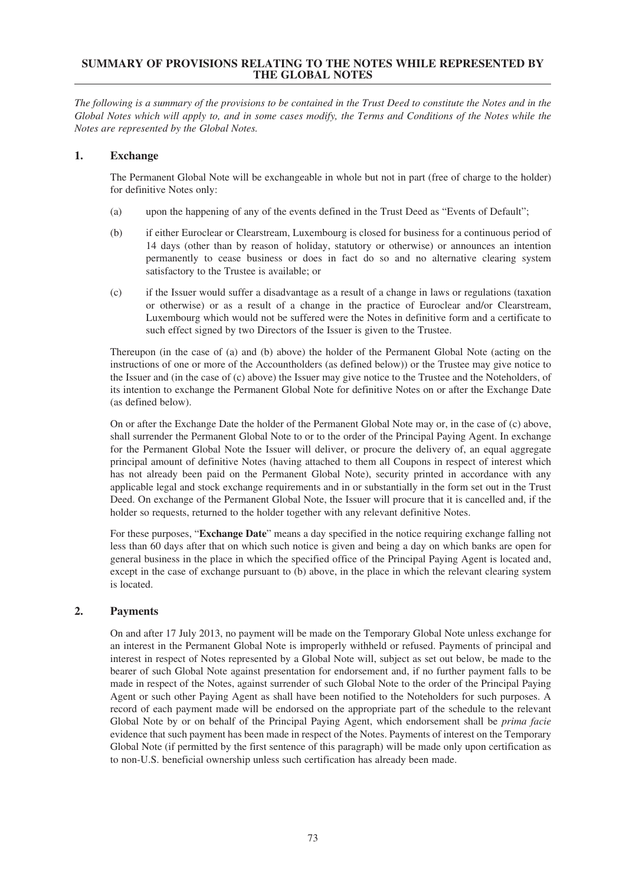### **SUMMARY OF PROVISIONS RELATING TO THE NOTES WHILE REPRESENTED BY THE GLOBAL NOTES**

The following is a summary of the provisions to be contained in the Trust Deed to constitute the Notes and in the Global Notes which will apply to, and in some cases modify, the Terms and Conditions of the Notes while the *Notes are represented by the Global Notes.*

# **1. Exchange**

The Permanent Global Note will be exchangeable in whole but not in part (free of charge to the holder) for definitive Notes only:

- (a) upon the happening of any of the events defined in the Trust Deed as "Events of Default";
- (b) if either Euroclear or Clearstream, Luxembourg is closed for business for a continuous period of 14 days (other than by reason of holiday, statutory or otherwise) or announces an intention permanently to cease business or does in fact do so and no alternative clearing system satisfactory to the Trustee is available; or
- (c) if the Issuer would suffer a disadvantage as a result of a change in laws or regulations (taxation or otherwise) or as a result of a change in the practice of Euroclear and/or Clearstream, Luxembourg which would not be suffered were the Notes in definitive form and a certificate to such effect signed by two Directors of the Issuer is given to the Trustee.

Thereupon (in the case of (a) and (b) above) the holder of the Permanent Global Note (acting on the instructions of one or more of the Accountholders (as defined below)) or the Trustee may give notice to the Issuer and (in the case of (c) above) the Issuer may give notice to the Trustee and the Noteholders, of its intention to exchange the Permanent Global Note for definitive Notes on or after the Exchange Date (as defined below).

On or after the Exchange Date the holder of the Permanent Global Note may or, in the case of (c) above, shall surrender the Permanent Global Note to or to the order of the Principal Paying Agent. In exchange for the Permanent Global Note the Issuer will deliver, or procure the delivery of, an equal aggregate principal amount of definitive Notes (having attached to them all Coupons in respect of interest which has not already been paid on the Permanent Global Note), security printed in accordance with any applicable legal and stock exchange requirements and in or substantially in the form set out in the Trust Deed. On exchange of the Permanent Global Note, the Issuer will procure that it is cancelled and, if the holder so requests, returned to the holder together with any relevant definitive Notes.

For these purposes, "**Exchange Date**" means a day specified in the notice requiring exchange falling not less than 60 days after that on which such notice is given and being a day on which banks are open for general business in the place in which the specified office of the Principal Paying Agent is located and, except in the case of exchange pursuant to (b) above, in the place in which the relevant clearing system is located.

# **2. Payments**

On and after 17 July 2013, no payment will be made on the Temporary Global Note unless exchange for an interest in the Permanent Global Note is improperly withheld or refused. Payments of principal and interest in respect of Notes represented by a Global Note will, subject as set out below, be made to the bearer of such Global Note against presentation for endorsement and, if no further payment falls to be made in respect of the Notes, against surrender of such Global Note to the order of the Principal Paying Agent or such other Paying Agent as shall have been notified to the Noteholders for such purposes. A record of each payment made will be endorsed on the appropriate part of the schedule to the relevant Global Note by or on behalf of the Principal Paying Agent, which endorsement shall be *prima facie* evidence that such payment has been made in respect of the Notes. Payments of interest on the Temporary Global Note (if permitted by the first sentence of this paragraph) will be made only upon certification as to non-U.S. beneficial ownership unless such certification has already been made.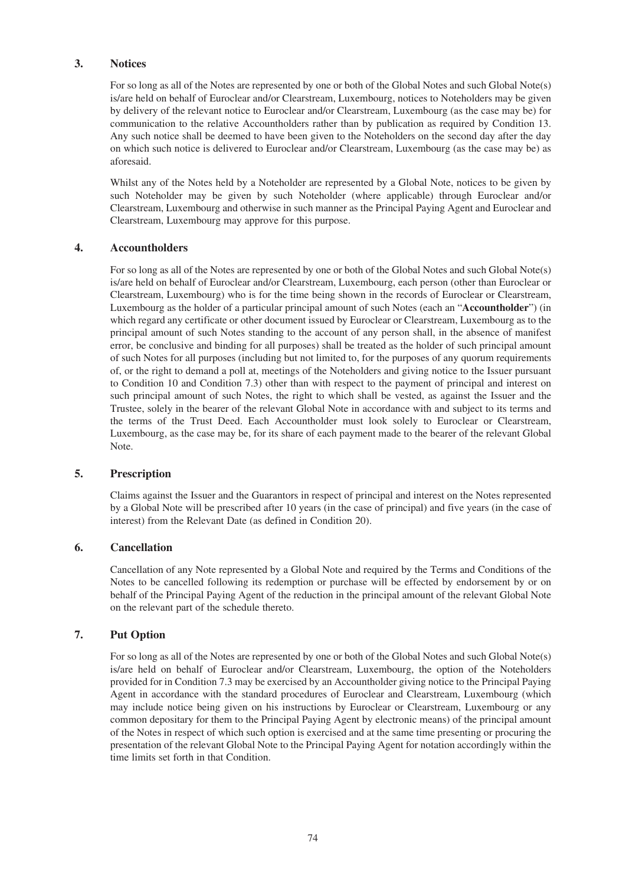# **3. Notices**

For so long as all of the Notes are represented by one or both of the Global Notes and such Global Note(s) is/are held on behalf of Euroclear and/or Clearstream, Luxembourg, notices to Noteholders may be given by delivery of the relevant notice to Euroclear and/or Clearstream, Luxembourg (as the case may be) for communication to the relative Accountholders rather than by publication as required by Condition 13. Any such notice shall be deemed to have been given to the Noteholders on the second day after the day on which such notice is delivered to Euroclear and/or Clearstream, Luxembourg (as the case may be) as aforesaid.

Whilst any of the Notes held by a Noteholder are represented by a Global Note, notices to be given by such Noteholder may be given by such Noteholder (where applicable) through Euroclear and/or Clearstream, Luxembourg and otherwise in such manner as the Principal Paying Agent and Euroclear and Clearstream, Luxembourg may approve for this purpose.

### **4. Accountholders**

For so long as all of the Notes are represented by one or both of the Global Notes and such Global Note(s) is/are held on behalf of Euroclear and/or Clearstream, Luxembourg, each person (other than Euroclear or Clearstream, Luxembourg) who is for the time being shown in the records of Euroclear or Clearstream, Luxembourg as the holder of a particular principal amount of such Notes (each an "**Accountholder**") (in which regard any certificate or other document issued by Euroclear or Clearstream, Luxembourg as to the principal amount of such Notes standing to the account of any person shall, in the absence of manifest error, be conclusive and binding for all purposes) shall be treated as the holder of such principal amount of such Notes for all purposes (including but not limited to, for the purposes of any quorum requirements of, or the right to demand a poll at, meetings of the Noteholders and giving notice to the Issuer pursuant to Condition 10 and Condition 7.3) other than with respect to the payment of principal and interest on such principal amount of such Notes, the right to which shall be vested, as against the Issuer and the Trustee, solely in the bearer of the relevant Global Note in accordance with and subject to its terms and the terms of the Trust Deed. Each Accountholder must look solely to Euroclear or Clearstream, Luxembourg, as the case may be, for its share of each payment made to the bearer of the relevant Global Note.

### **5. Prescription**

Claims against the Issuer and the Guarantors in respect of principal and interest on the Notes represented by a Global Note will be prescribed after 10 years (in the case of principal) and five years (in the case of interest) from the Relevant Date (as defined in Condition 20).

### **6. Cancellation**

Cancellation of any Note represented by a Global Note and required by the Terms and Conditions of the Notes to be cancelled following its redemption or purchase will be effected by endorsement by or on behalf of the Principal Paying Agent of the reduction in the principal amount of the relevant Global Note on the relevant part of the schedule thereto.

### **7. Put Option**

For so long as all of the Notes are represented by one or both of the Global Notes and such Global Note(s) is/are held on behalf of Euroclear and/or Clearstream, Luxembourg, the option of the Noteholders provided for in Condition 7.3 may be exercised by an Accountholder giving notice to the Principal Paying Agent in accordance with the standard procedures of Euroclear and Clearstream, Luxembourg (which may include notice being given on his instructions by Euroclear or Clearstream, Luxembourg or any common depositary for them to the Principal Paying Agent by electronic means) of the principal amount of the Notes in respect of which such option is exercised and at the same time presenting or procuring the presentation of the relevant Global Note to the Principal Paying Agent for notation accordingly within the time limits set forth in that Condition.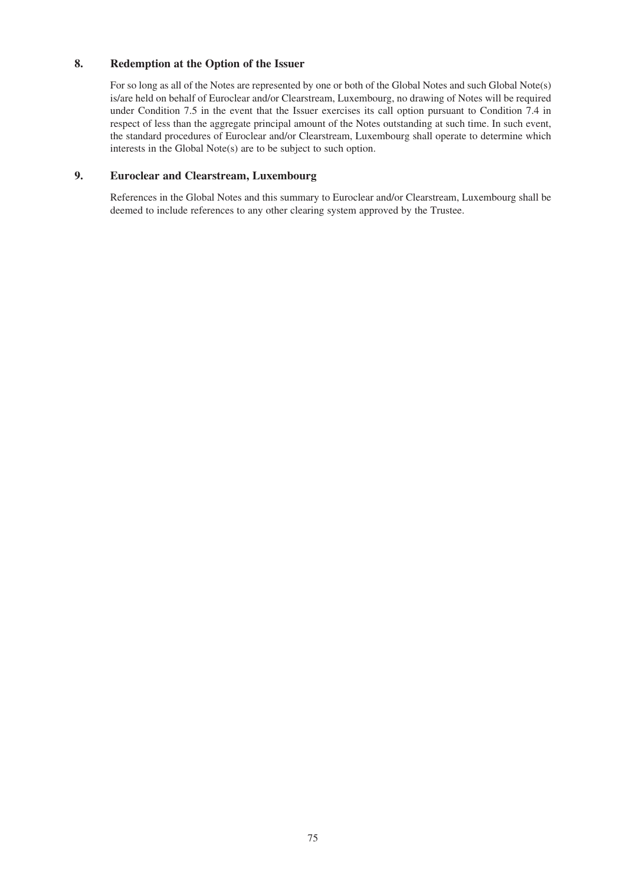# **8. Redemption at the Option of the Issuer**

For so long as all of the Notes are represented by one or both of the Global Notes and such Global Note(s) is/are held on behalf of Euroclear and/or Clearstream, Luxembourg, no drawing of Notes will be required under Condition 7.5 in the event that the Issuer exercises its call option pursuant to Condition 7.4 in respect of less than the aggregate principal amount of the Notes outstanding at such time. In such event, the standard procedures of Euroclear and/or Clearstream, Luxembourg shall operate to determine which interests in the Global Note(s) are to be subject to such option.

# **9. Euroclear and Clearstream, Luxembourg**

References in the Global Notes and this summary to Euroclear and/or Clearstream, Luxembourg shall be deemed to include references to any other clearing system approved by the Trustee.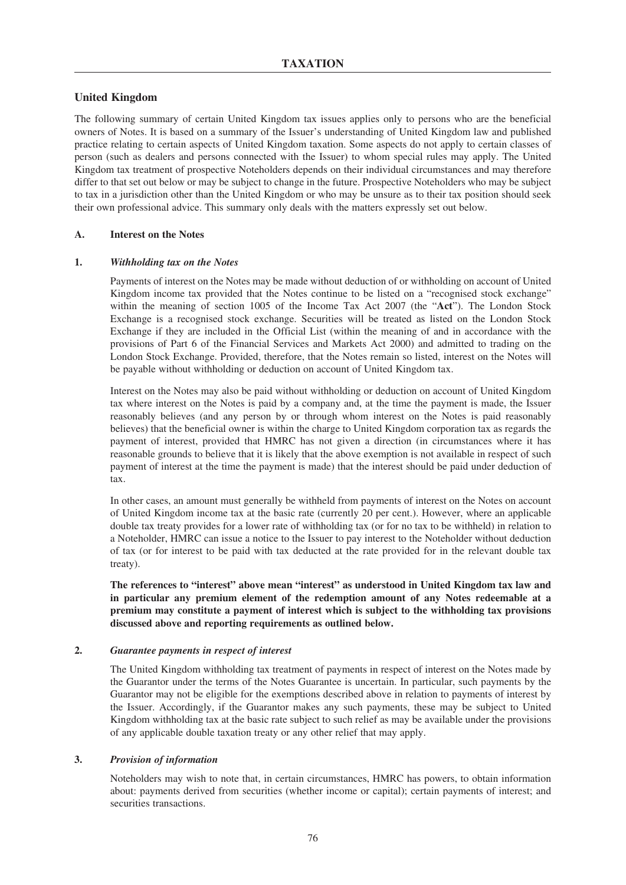### **United Kingdom**

The following summary of certain United Kingdom tax issues applies only to persons who are the beneficial owners of Notes. It is based on a summary of the Issuer's understanding of United Kingdom law and published practice relating to certain aspects of United Kingdom taxation. Some aspects do not apply to certain classes of person (such as dealers and persons connected with the Issuer) to whom special rules may apply. The United Kingdom tax treatment of prospective Noteholders depends on their individual circumstances and may therefore differ to that set out below or may be subject to change in the future. Prospective Noteholders who may be subject to tax in a jurisdiction other than the United Kingdom or who may be unsure as to their tax position should seek their own professional advice. This summary only deals with the matters expressly set out below.

#### **A. Interest on the Notes**

#### **1.** *Withholding tax on the Notes*

Payments of interest on the Notes may be made without deduction of or withholding on account of United Kingdom income tax provided that the Notes continue to be listed on a "recognised stock exchange" within the meaning of section 1005 of the Income Tax Act 2007 (the "**Act**"). The London Stock Exchange is a recognised stock exchange. Securities will be treated as listed on the London Stock Exchange if they are included in the Official List (within the meaning of and in accordance with the provisions of Part 6 of the Financial Services and Markets Act 2000) and admitted to trading on the London Stock Exchange. Provided, therefore, that the Notes remain so listed, interest on the Notes will be payable without withholding or deduction on account of United Kingdom tax.

Interest on the Notes may also be paid without withholding or deduction on account of United Kingdom tax where interest on the Notes is paid by a company and, at the time the payment is made, the Issuer reasonably believes (and any person by or through whom interest on the Notes is paid reasonably believes) that the beneficial owner is within the charge to United Kingdom corporation tax as regards the payment of interest, provided that HMRC has not given a direction (in circumstances where it has reasonable grounds to believe that it is likely that the above exemption is not available in respect of such payment of interest at the time the payment is made) that the interest should be paid under deduction of tax.

In other cases, an amount must generally be withheld from payments of interest on the Notes on account of United Kingdom income tax at the basic rate (currently 20 per cent.). However, where an applicable double tax treaty provides for a lower rate of withholding tax (or for no tax to be withheld) in relation to a Noteholder, HMRC can issue a notice to the Issuer to pay interest to the Noteholder without deduction of tax (or for interest to be paid with tax deducted at the rate provided for in the relevant double tax treaty).

**The references to "interest" above mean "interest" as understood in United Kingdom tax law and in particular any premium element of the redemption amount of any Notes redeemable at a premium may constitute a payment of interest which is subject to the withholding tax provisions discussed above and reporting requirements as outlined below.**

#### **2.** *Guarantee payments in respect of interest*

The United Kingdom withholding tax treatment of payments in respect of interest on the Notes made by the Guarantor under the terms of the Notes Guarantee is uncertain. In particular, such payments by the Guarantor may not be eligible for the exemptions described above in relation to payments of interest by the Issuer. Accordingly, if the Guarantor makes any such payments, these may be subject to United Kingdom withholding tax at the basic rate subject to such relief as may be available under the provisions of any applicable double taxation treaty or any other relief that may apply.

#### **3.** *Provision of information*

Noteholders may wish to note that, in certain circumstances, HMRC has powers, to obtain information about: payments derived from securities (whether income or capital); certain payments of interest; and securities transactions.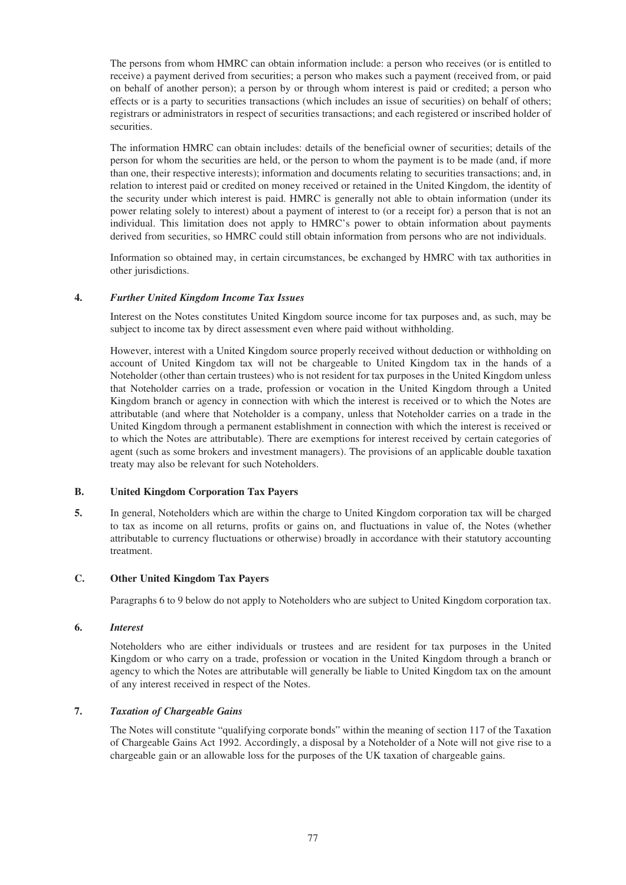The persons from whom HMRC can obtain information include: a person who receives (or is entitled to receive) a payment derived from securities; a person who makes such a payment (received from, or paid on behalf of another person); a person by or through whom interest is paid or credited; a person who effects or is a party to securities transactions (which includes an issue of securities) on behalf of others; registrars or administrators in respect of securities transactions; and each registered or inscribed holder of securities.

The information HMRC can obtain includes: details of the beneficial owner of securities; details of the person for whom the securities are held, or the person to whom the payment is to be made (and, if more than one, their respective interests); information and documents relating to securities transactions; and, in relation to interest paid or credited on money received or retained in the United Kingdom, the identity of the security under which interest is paid. HMRC is generally not able to obtain information (under its power relating solely to interest) about a payment of interest to (or a receipt for) a person that is not an individual. This limitation does not apply to HMRC's power to obtain information about payments derived from securities, so HMRC could still obtain information from persons who are not individuals.

Information so obtained may, in certain circumstances, be exchanged by HMRC with tax authorities in other jurisdictions.

### **4.** *Further United Kingdom Income Tax Issues*

Interest on the Notes constitutes United Kingdom source income for tax purposes and, as such, may be subject to income tax by direct assessment even where paid without withholding.

However, interest with a United Kingdom source properly received without deduction or withholding on account of United Kingdom tax will not be chargeable to United Kingdom tax in the hands of a Noteholder (other than certain trustees) who is not resident for tax purposes in the United Kingdom unless that Noteholder carries on a trade, profession or vocation in the United Kingdom through a United Kingdom branch or agency in connection with which the interest is received or to which the Notes are attributable (and where that Noteholder is a company, unless that Noteholder carries on a trade in the United Kingdom through a permanent establishment in connection with which the interest is received or to which the Notes are attributable). There are exemptions for interest received by certain categories of agent (such as some brokers and investment managers). The provisions of an applicable double taxation treaty may also be relevant for such Noteholders.

#### **B. United Kingdom Corporation Tax Payers**

**5.** In general, Noteholders which are within the charge to United Kingdom corporation tax will be charged to tax as income on all returns, profits or gains on, and fluctuations in value of, the Notes (whether attributable to currency fluctuations or otherwise) broadly in accordance with their statutory accounting treatment.

### **C. Other United Kingdom Tax Payers**

Paragraphs 6 to 9 below do not apply to Noteholders who are subject to United Kingdom corporation tax.

### **6.** *Interest*

Noteholders who are either individuals or trustees and are resident for tax purposes in the United Kingdom or who carry on a trade, profession or vocation in the United Kingdom through a branch or agency to which the Notes are attributable will generally be liable to United Kingdom tax on the amount of any interest received in respect of the Notes.

### **7.** *Taxation of Chargeable Gains*

The Notes will constitute "qualifying corporate bonds" within the meaning of section 117 of the Taxation of Chargeable Gains Act 1992. Accordingly, a disposal by a Noteholder of a Note will not give rise to a chargeable gain or an allowable loss for the purposes of the UK taxation of chargeable gains.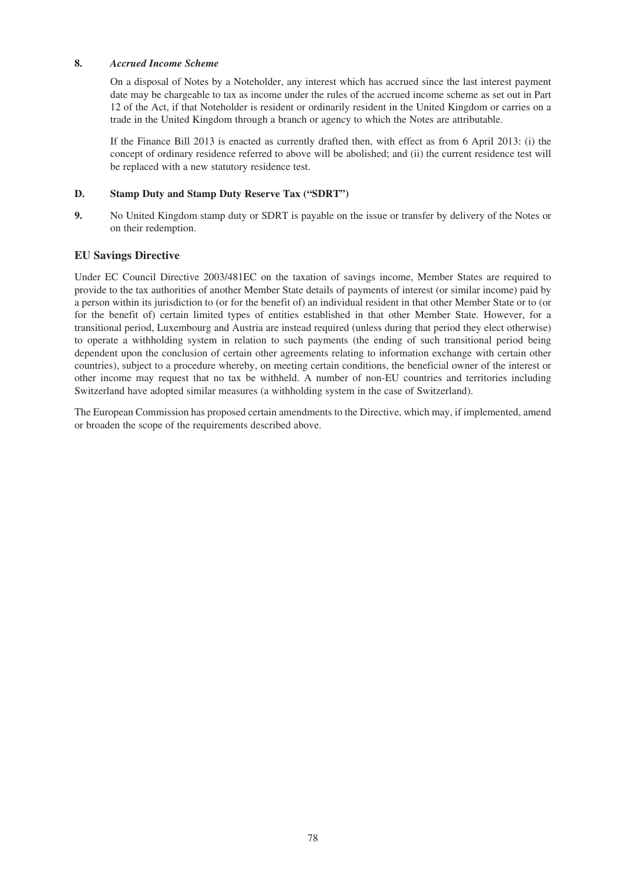### **8.** *Accrued Income Scheme*

On a disposal of Notes by a Noteholder, any interest which has accrued since the last interest payment date may be chargeable to tax as income under the rules of the accrued income scheme as set out in Part 12 of the Act, if that Noteholder is resident or ordinarily resident in the United Kingdom or carries on a trade in the United Kingdom through a branch or agency to which the Notes are attributable.

If the Finance Bill 2013 is enacted as currently drafted then, with effect as from 6 April 2013: (i) the concept of ordinary residence referred to above will be abolished; and (ii) the current residence test will be replaced with a new statutory residence test.

### **D. Stamp Duty and Stamp Duty Reserve Tax ("SDRT")**

**9.** No United Kingdom stamp duty or SDRT is payable on the issue or transfer by delivery of the Notes or on their redemption.

### **EU Savings Directive**

Under EC Council Directive 2003/481EC on the taxation of savings income, Member States are required to provide to the tax authorities of another Member State details of payments of interest (or similar income) paid by a person within its jurisdiction to (or for the benefit of) an individual resident in that other Member State or to (or for the benefit of) certain limited types of entities established in that other Member State. However, for a transitional period, Luxembourg and Austria are instead required (unless during that period they elect otherwise) to operate a withholding system in relation to such payments (the ending of such transitional period being dependent upon the conclusion of certain other agreements relating to information exchange with certain other countries), subject to a procedure whereby, on meeting certain conditions, the beneficial owner of the interest or other income may request that no tax be withheld. A number of non-EU countries and territories including Switzerland have adopted similar measures (a withholding system in the case of Switzerland).

The European Commission has proposed certain amendments to the Directive, which may, if implemented, amend or broaden the scope of the requirements described above.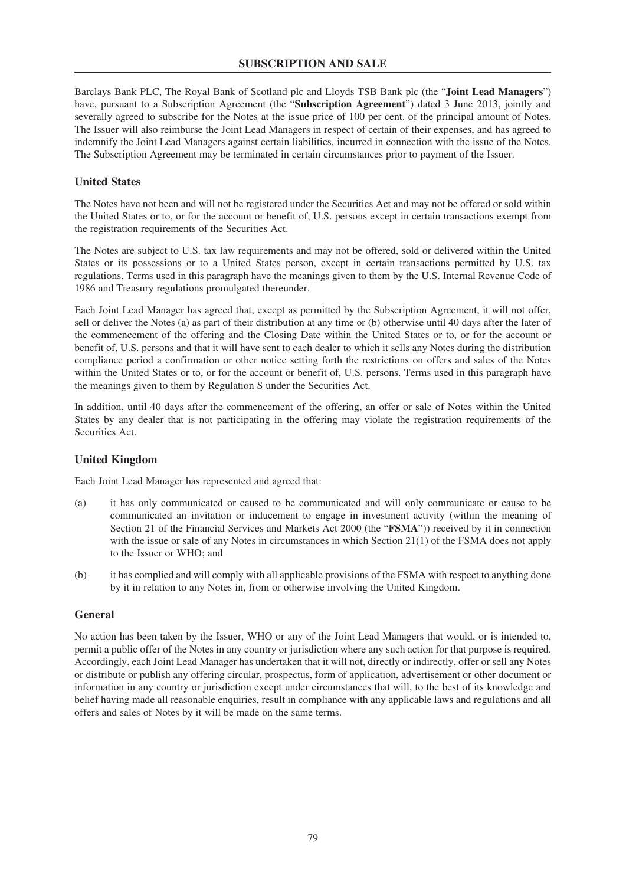Barclays Bank PLC, The Royal Bank of Scotland plc and Lloyds TSB Bank plc (the "**Joint Lead Managers**") have, pursuant to a Subscription Agreement (the "**Subscription Agreement**") dated 3 June 2013, jointly and severally agreed to subscribe for the Notes at the issue price of 100 per cent. of the principal amount of Notes. The Issuer will also reimburse the Joint Lead Managers in respect of certain of their expenses, and has agreed to indemnify the Joint Lead Managers against certain liabilities, incurred in connection with the issue of the Notes. The Subscription Agreement may be terminated in certain circumstances prior to payment of the Issuer.

### **United States**

The Notes have not been and will not be registered under the Securities Act and may not be offered or sold within the United States or to, or for the account or benefit of, U.S. persons except in certain transactions exempt from the registration requirements of the Securities Act.

The Notes are subject to U.S. tax law requirements and may not be offered, sold or delivered within the United States or its possessions or to a United States person, except in certain transactions permitted by U.S. tax regulations. Terms used in this paragraph have the meanings given to them by the U.S. Internal Revenue Code of 1986 and Treasury regulations promulgated thereunder.

Each Joint Lead Manager has agreed that, except as permitted by the Subscription Agreement, it will not offer, sell or deliver the Notes (a) as part of their distribution at any time or (b) otherwise until 40 days after the later of the commencement of the offering and the Closing Date within the United States or to, or for the account or benefit of, U.S. persons and that it will have sent to each dealer to which it sells any Notes during the distribution compliance period a confirmation or other notice setting forth the restrictions on offers and sales of the Notes within the United States or to, or for the account or benefit of, U.S. persons. Terms used in this paragraph have the meanings given to them by Regulation S under the Securities Act.

In addition, until 40 days after the commencement of the offering, an offer or sale of Notes within the United States by any dealer that is not participating in the offering may violate the registration requirements of the Securities Act.

### **United Kingdom**

Each Joint Lead Manager has represented and agreed that:

- (a) it has only communicated or caused to be communicated and will only communicate or cause to be communicated an invitation or inducement to engage in investment activity (within the meaning of Section 21 of the Financial Services and Markets Act 2000 (the "**FSMA**")) received by it in connection with the issue or sale of any Notes in circumstances in which Section 21(1) of the FSMA does not apply to the Issuer or WHO; and
- (b) it has complied and will comply with all applicable provisions of the FSMA with respect to anything done by it in relation to any Notes in, from or otherwise involving the United Kingdom.

### **General**

No action has been taken by the Issuer, WHO or any of the Joint Lead Managers that would, or is intended to, permit a public offer of the Notes in any country or jurisdiction where any such action for that purpose is required. Accordingly, each Joint Lead Manager has undertaken that it will not, directly or indirectly, offer or sell any Notes or distribute or publish any offering circular, prospectus, form of application, advertisement or other document or information in any country or jurisdiction except under circumstances that will, to the best of its knowledge and belief having made all reasonable enquiries, result in compliance with any applicable laws and regulations and all offers and sales of Notes by it will be made on the same terms.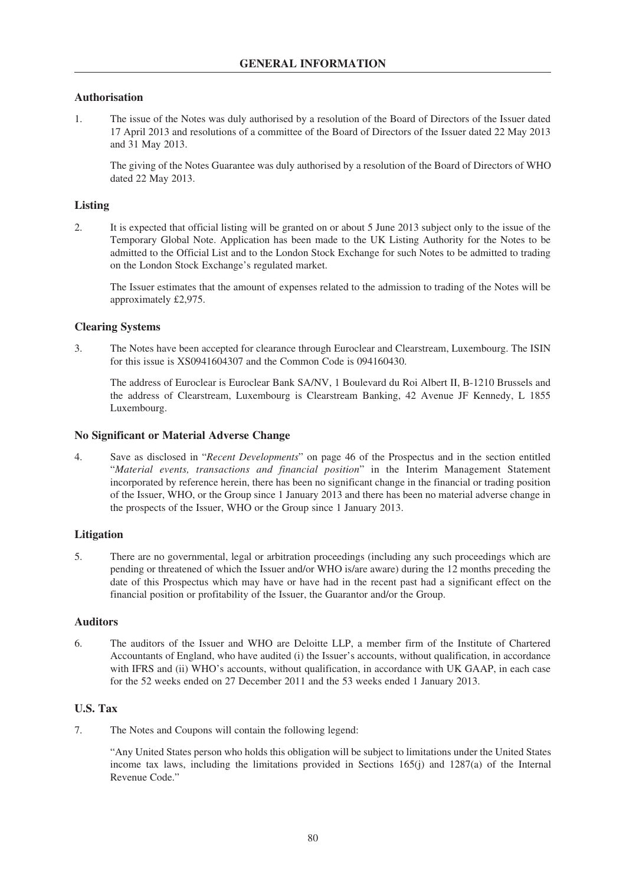## **Authorisation**

1. The issue of the Notes was duly authorised by a resolution of the Board of Directors of the Issuer dated 17 April 2013 and resolutions of a committee of the Board of Directors of the Issuer dated 22 May 2013 and 31 May 2013.

The giving of the Notes Guarantee was duly authorised by a resolution of the Board of Directors of WHO dated 22 May 2013.

### **Listing**

2. It is expected that official listing will be granted on or about 5 June 2013 subject only to the issue of the Temporary Global Note. Application has been made to the UK Listing Authority for the Notes to be admitted to the Official List and to the London Stock Exchange for such Notes to be admitted to trading on the London Stock Exchange's regulated market.

The Issuer estimates that the amount of expenses related to the admission to trading of the Notes will be approximately £2,975.

### **Clearing Systems**

3. The Notes have been accepted for clearance through Euroclear and Clearstream, Luxembourg. The ISIN for this issue is XS0941604307 and the Common Code is 094160430.

The address of Euroclear is Euroclear Bank SA/NV, 1 Boulevard du Roi Albert II, B-1210 Brussels and the address of Clearstream, Luxembourg is Clearstream Banking, 42 Avenue JF Kennedy, L 1855 Luxembourg.

### **No Significant or Material Adverse Change**

4. Save as disclosed in "*Recent Developments*" on page 46 of the Prospectus and in the section entitled "*Material events, transactions and financial position*" in the Interim Management Statement incorporated by reference herein, there has been no significant change in the financial or trading position of the Issuer, WHO, or the Group since 1 January 2013 and there has been no material adverse change in the prospects of the Issuer, WHO or the Group since 1 January 2013.

### **Litigation**

5. There are no governmental, legal or arbitration proceedings (including any such proceedings which are pending or threatened of which the Issuer and/or WHO is/are aware) during the 12 months preceding the date of this Prospectus which may have or have had in the recent past had a significant effect on the financial position or profitability of the Issuer, the Guarantor and/or the Group.

### **Auditors**

6. The auditors of the Issuer and WHO are Deloitte LLP, a member firm of the Institute of Chartered Accountants of England, who have audited (i) the Issuer's accounts, without qualification, in accordance with IFRS and (ii) WHO's accounts, without qualification, in accordance with UK GAAP, in each case for the 52 weeks ended on 27 December 2011 and the 53 weeks ended 1 January 2013.

### **U.S. Tax**

7. The Notes and Coupons will contain the following legend:

"Any United States person who holds this obligation will be subject to limitations under the United States income tax laws, including the limitations provided in Sections 165(j) and 1287(a) of the Internal Revenue Code."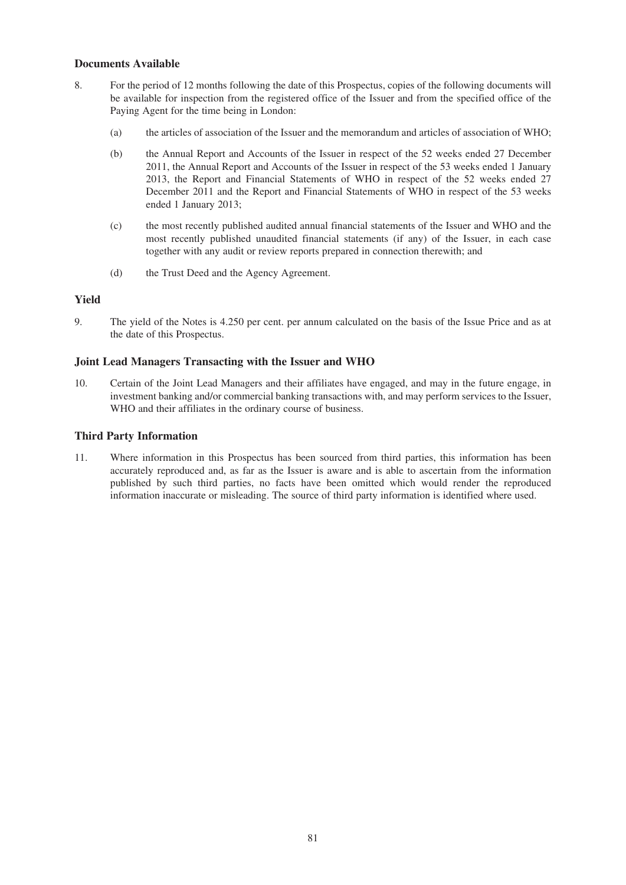## **Documents Available**

- 8. For the period of 12 months following the date of this Prospectus, copies of the following documents will be available for inspection from the registered office of the Issuer and from the specified office of the Paying Agent for the time being in London:
	- (a) the articles of association of the Issuer and the memorandum and articles of association of WHO;
	- (b) the Annual Report and Accounts of the Issuer in respect of the 52 weeks ended 27 December 2011, the Annual Report and Accounts of the Issuer in respect of the 53 weeks ended 1 January 2013, the Report and Financial Statements of WHO in respect of the 52 weeks ended 27 December 2011 and the Report and Financial Statements of WHO in respect of the 53 weeks ended 1 January 2013;
	- (c) the most recently published audited annual financial statements of the Issuer and WHO and the most recently published unaudited financial statements (if any) of the Issuer, in each case together with any audit or review reports prepared in connection therewith; and
	- (d) the Trust Deed and the Agency Agreement.

# **Yield**

9. The yield of the Notes is 4.250 per cent. per annum calculated on the basis of the Issue Price and as at the date of this Prospectus.

### **Joint Lead Managers Transacting with the Issuer and WHO**

10. Certain of the Joint Lead Managers and their affiliates have engaged, and may in the future engage, in investment banking and/or commercial banking transactions with, and may perform services to the Issuer, WHO and their affiliates in the ordinary course of business.

### **Third Party Information**

11. Where information in this Prospectus has been sourced from third parties, this information has been accurately reproduced and, as far as the Issuer is aware and is able to ascertain from the information published by such third parties, no facts have been omitted which would render the reproduced information inaccurate or misleading. The source of third party information is identified where used.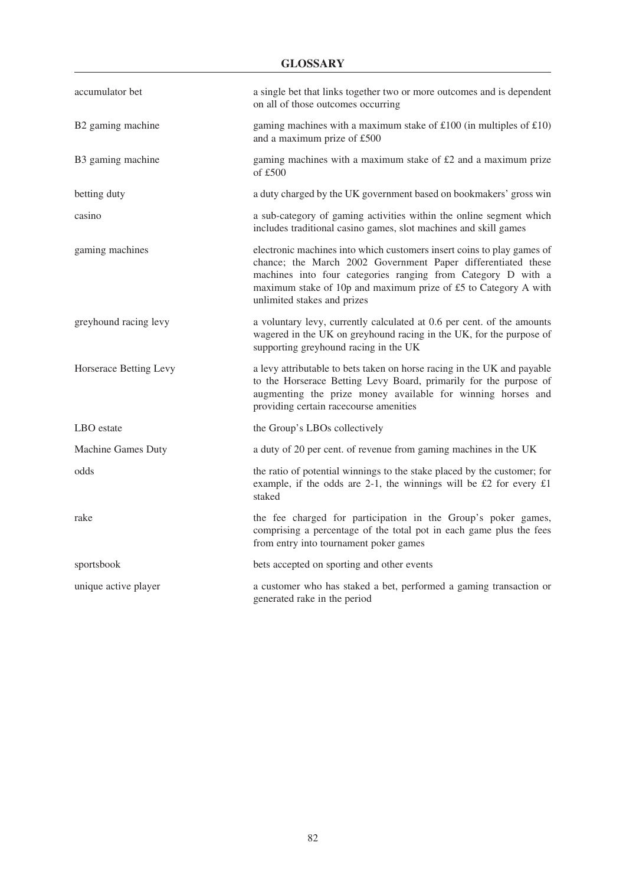| accumulator bet        | a single bet that links together two or more outcomes and is dependent<br>on all of those outcomes occurring                                                                                                                                                                                             |
|------------------------|----------------------------------------------------------------------------------------------------------------------------------------------------------------------------------------------------------------------------------------------------------------------------------------------------------|
| B2 gaming machine      | gaming machines with a maximum stake of $£100$ (in multiples of £10)<br>and a maximum prize of £500                                                                                                                                                                                                      |
| B3 gaming machine      | gaming machines with a maximum stake of £2 and a maximum prize<br>of $£500$                                                                                                                                                                                                                              |
| betting duty           | a duty charged by the UK government based on bookmakers' gross win                                                                                                                                                                                                                                       |
| casino                 | a sub-category of gaming activities within the online segment which<br>includes traditional casino games, slot machines and skill games                                                                                                                                                                  |
| gaming machines        | electronic machines into which customers insert coins to play games of<br>chance; the March 2002 Government Paper differentiated these<br>machines into four categories ranging from Category D with a<br>maximum stake of 10p and maximum prize of £5 to Category A with<br>unlimited stakes and prizes |
| greyhound racing levy  | a voluntary levy, currently calculated at 0.6 per cent. of the amounts<br>wagered in the UK on greyhound racing in the UK, for the purpose of<br>supporting greyhound racing in the UK                                                                                                                   |
| Horserace Betting Levy | a levy attributable to bets taken on horse racing in the UK and payable<br>to the Horserace Betting Levy Board, primarily for the purpose of<br>augmenting the prize money available for winning horses and<br>providing certain racecourse amenities                                                    |
| LBO estate             | the Group's LBOs collectively                                                                                                                                                                                                                                                                            |
| Machine Games Duty     | a duty of 20 per cent. of revenue from gaming machines in the UK                                                                                                                                                                                                                                         |
| odds                   | the ratio of potential winnings to the stake placed by the customer; for<br>example, if the odds are 2-1, the winnings will be £2 for every $£1$<br>staked                                                                                                                                               |
| rake                   | the fee charged for participation in the Group's poker games,<br>comprising a percentage of the total pot in each game plus the fees<br>from entry into tournament poker games                                                                                                                           |
| sportsbook             | bets accepted on sporting and other events                                                                                                                                                                                                                                                               |
| unique active player   | a customer who has staked a bet, performed a gaming transaction or<br>generated rake in the period                                                                                                                                                                                                       |